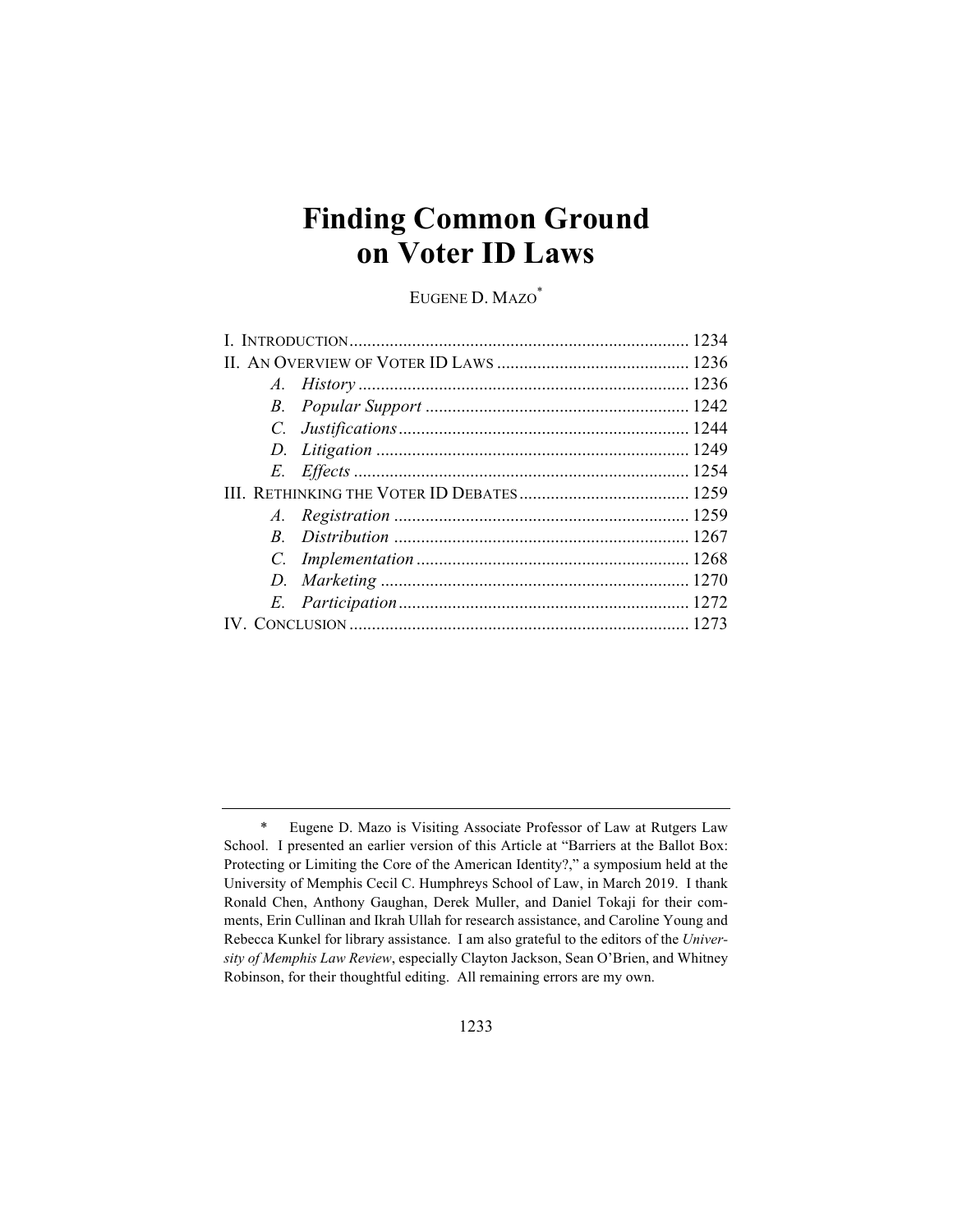# **Finding Common Ground on Voter ID Laws**

EUGENE D. MAZO\*

<sup>\*</sup> Eugene D. Mazo is Visiting Associate Professor of Law at Rutgers Law School. I presented an earlier version of this Article at "Barriers at the Ballot Box: Protecting or Limiting the Core of the American Identity?," a symposium held at the University of Memphis Cecil C. Humphreys School of Law, in March 2019. I thank Ronald Chen, Anthony Gaughan, Derek Muller, and Daniel Tokaji for their comments, Erin Cullinan and Ikrah Ullah for research assistance, and Caroline Young and Rebecca Kunkel for library assistance. I am also grateful to the editors of the *University of Memphis Law Review*, especially Clayton Jackson, Sean O'Brien, and Whitney Robinson, for their thoughtful editing. All remaining errors are my own.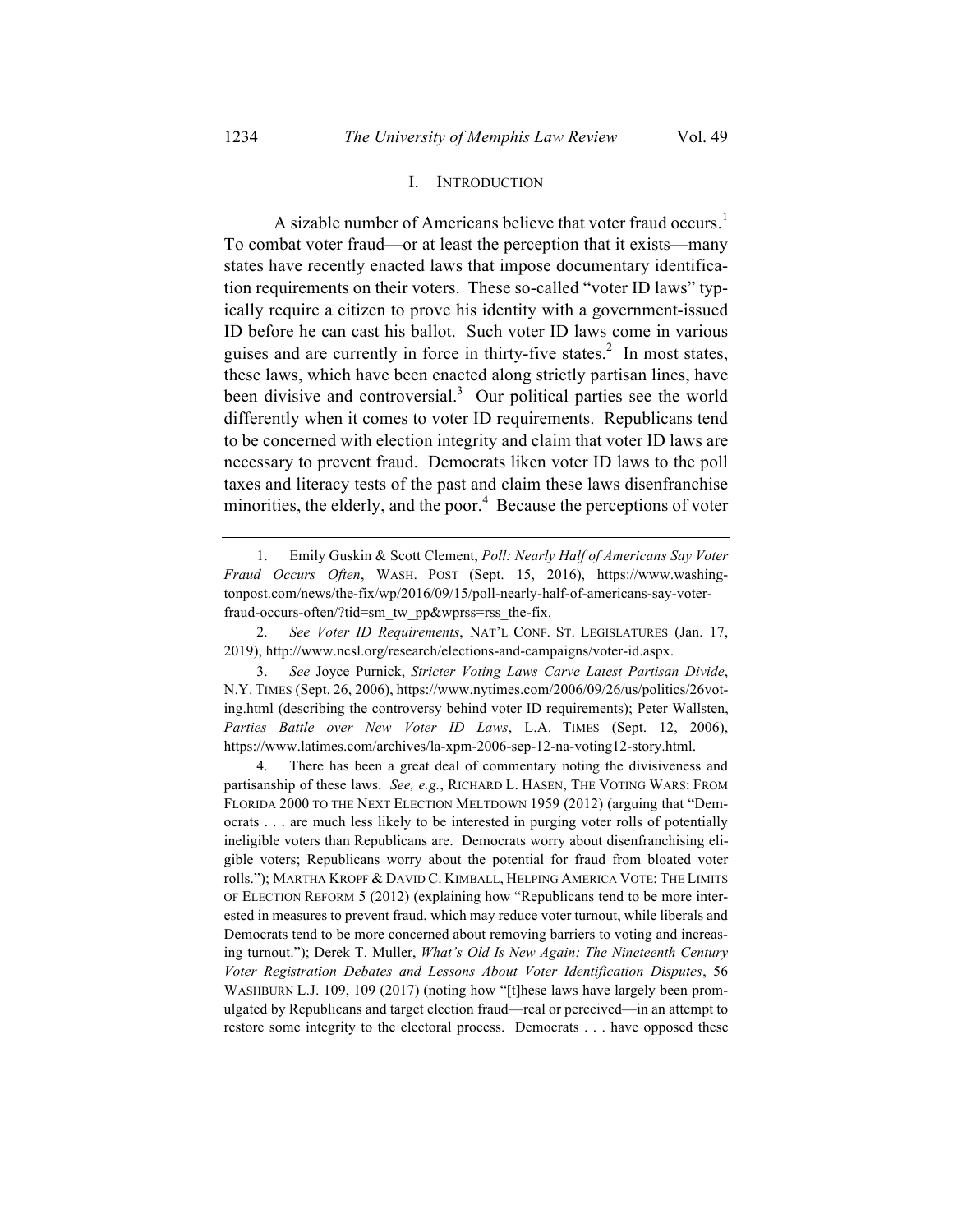#### I. INTRODUCTION

A sizable number of Americans believe that voter fraud occurs.<sup>1</sup> To combat voter fraud—or at least the perception that it exists—many states have recently enacted laws that impose documentary identification requirements on their voters. These so-called "voter ID laws" typically require a citizen to prove his identity with a government-issued ID before he can cast his ballot. Such voter ID laws come in various guises and are currently in force in thirty-five states.<sup>2</sup> In most states, these laws, which have been enacted along strictly partisan lines, have been divisive and controversial.<sup>3</sup> Our political parties see the world differently when it comes to voter ID requirements. Republicans tend to be concerned with election integrity and claim that voter ID laws are necessary to prevent fraud. Democrats liken voter ID laws to the poll taxes and literacy tests of the past and claim these laws disenfranchise minorities, the elderly, and the poor.<sup>4</sup> Because the perceptions of voter

2. *See Voter ID Requirements*, NAT'L CONF. ST. LEGISLATURES (Jan. 17, 2019), http://www.ncsl.org/research/elections-and-campaigns/voter-id.aspx.

3. *See* Joyce Purnick, *Stricter Voting Laws Carve Latest Partisan Divide*, N.Y. TIMES (Sept. 26, 2006), https://www.nytimes.com/2006/09/26/us/politics/26voting.html (describing the controversy behind voter ID requirements); Peter Wallsten, *Parties Battle over New Voter ID Laws*, L.A. TIMES (Sept. 12, 2006), https://www.latimes.com/archives/la-xpm-2006-sep-12-na-voting12-story.html.

4. There has been a great deal of commentary noting the divisiveness and partisanship of these laws. *See, e.g.*, RICHARD L. HASEN, THE VOTING WARS: FROM FLORIDA 2000 TO THE NEXT ELECTION MELTDOWN 1959 (2012) (arguing that "Democrats . . . are much less likely to be interested in purging voter rolls of potentially ineligible voters than Republicans are. Democrats worry about disenfranchising eligible voters; Republicans worry about the potential for fraud from bloated voter rolls."); MARTHA KROPF & DAVID C. KIMBALL, HELPING AMERICA VOTE: THE LIMITS OF ELECTION REFORM 5 (2012) (explaining how "Republicans tend to be more interested in measures to prevent fraud, which may reduce voter turnout, while liberals and Democrats tend to be more concerned about removing barriers to voting and increasing turnout."); Derek T. Muller, *What's Old Is New Again: The Nineteenth Century Voter Registration Debates and Lessons About Voter Identification Disputes*, 56 WASHBURN L.J. 109, 109 (2017) (noting how "[t]hese laws have largely been promulgated by Republicans and target election fraud—real or perceived—in an attempt to restore some integrity to the electoral process. Democrats . . . have opposed these

<sup>1.</sup> Emily Guskin & Scott Clement, *Poll: Nearly Half of Americans Say Voter Fraud Occurs Often*, WASH. POST (Sept. 15, 2016), https://www.washingtonpost.com/news/the-fix/wp/2016/09/15/poll-nearly-half-of-americans-say-voterfraud-occurs-often/?tid=sm\_tw\_pp&wprss=rss\_the-fix.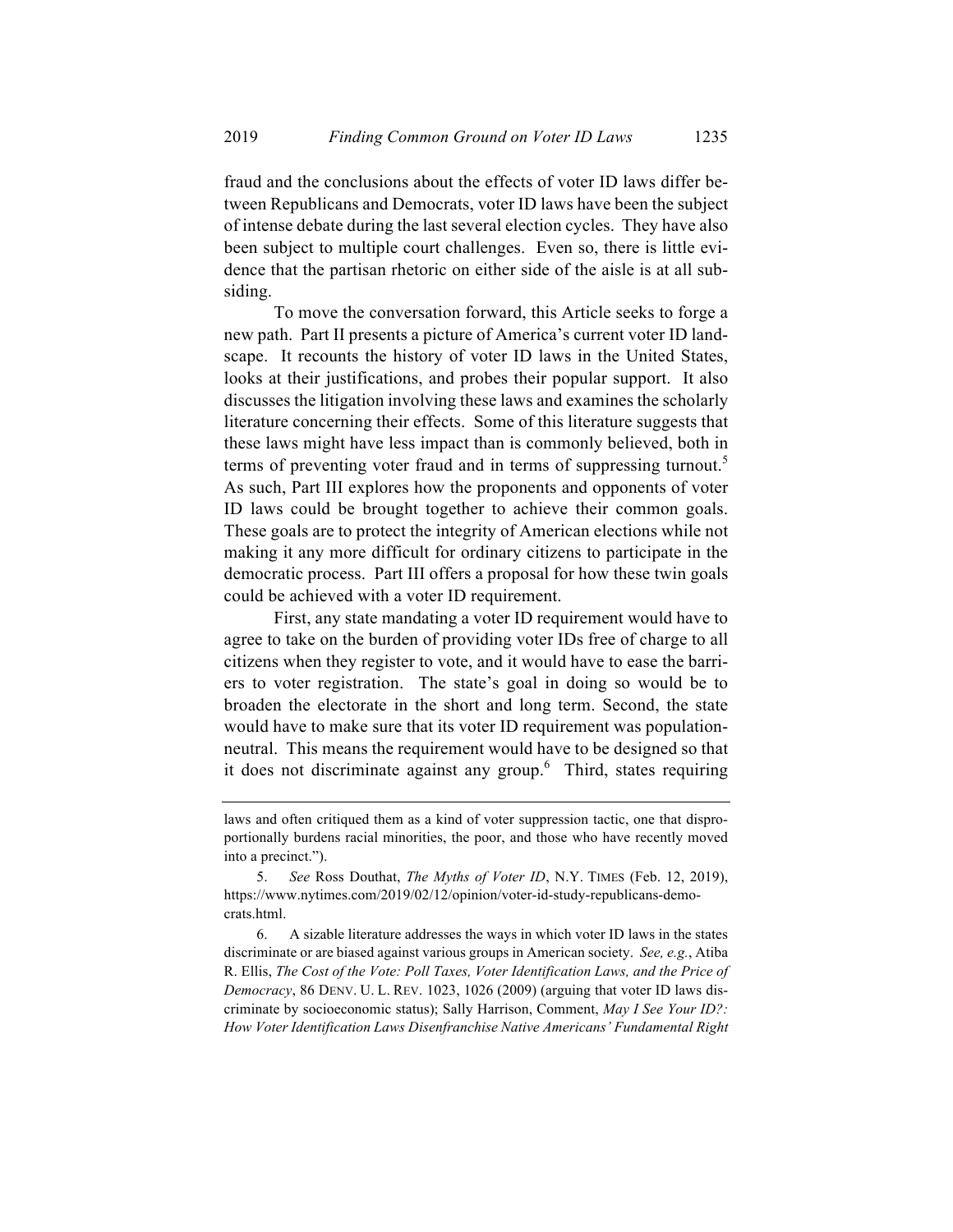fraud and the conclusions about the effects of voter ID laws differ between Republicans and Democrats, voter ID laws have been the subject of intense debate during the last several election cycles. They have also been subject to multiple court challenges. Even so, there is little evidence that the partisan rhetoric on either side of the aisle is at all subsiding.

To move the conversation forward, this Article seeks to forge a new path. Part II presents a picture of America's current voter ID landscape. It recounts the history of voter ID laws in the United States, looks at their justifications, and probes their popular support. It also discusses the litigation involving these laws and examines the scholarly literature concerning their effects. Some of this literature suggests that these laws might have less impact than is commonly believed, both in terms of preventing voter fraud and in terms of suppressing turnout.<sup>5</sup> As such, Part III explores how the proponents and opponents of voter ID laws could be brought together to achieve their common goals. These goals are to protect the integrity of American elections while not making it any more difficult for ordinary citizens to participate in the democratic process. Part III offers a proposal for how these twin goals could be achieved with a voter ID requirement.

First, any state mandating a voter ID requirement would have to agree to take on the burden of providing voter IDs free of charge to all citizens when they register to vote, and it would have to ease the barriers to voter registration. The state's goal in doing so would be to broaden the electorate in the short and long term. Second, the state would have to make sure that its voter ID requirement was populationneutral. This means the requirement would have to be designed so that it does not discriminate against any group.<sup>6</sup> Third, states requiring

laws and often critiqued them as a kind of voter suppression tactic, one that disproportionally burdens racial minorities, the poor, and those who have recently moved into a precinct.").

<sup>5.</sup> *See* Ross Douthat, *The Myths of Voter ID*, N.Y. TIMES (Feb. 12, 2019), https://www.nytimes.com/2019/02/12/opinion/voter-id-study-republicans-democrats.html.

<sup>6.</sup> A sizable literature addresses the ways in which voter ID laws in the states discriminate or are biased against various groups in American society. *See, e.g.*, Atiba R. Ellis, *The Cost of the Vote: Poll Taxes, Voter Identification Laws, and the Price of Democracy*, 86 DENV. U. L. REV. 1023, 1026 (2009) (arguing that voter ID laws discriminate by socioeconomic status); Sally Harrison, Comment, *May I See Your ID?: How Voter Identification Laws Disenfranchise Native Americans' Fundamental Right*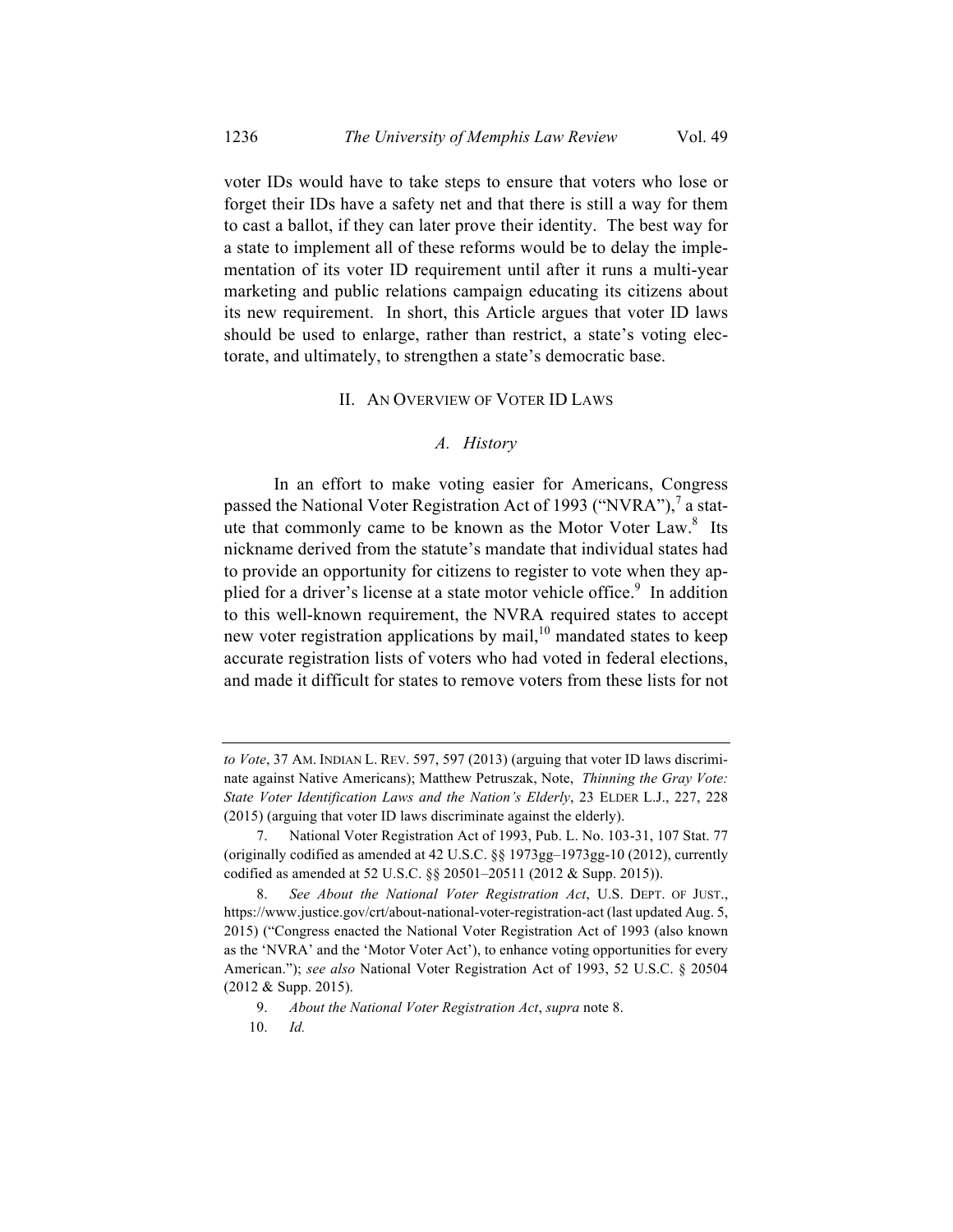voter IDs would have to take steps to ensure that voters who lose or forget their IDs have a safety net and that there is still a way for them to cast a ballot, if they can later prove their identity. The best way for a state to implement all of these reforms would be to delay the implementation of its voter ID requirement until after it runs a multi-year marketing and public relations campaign educating its citizens about its new requirement. In short, this Article argues that voter ID laws should be used to enlarge, rather than restrict, a state's voting electorate, and ultimately, to strengthen a state's democratic base.

#### II. AN OVERVIEW OF VOTER ID LAWS

#### *A. History*

In an effort to make voting easier for Americans, Congress passed the National Voter Registration Act of 1993 ("NVRA"), $^7$  a statute that commonly came to be known as the Motor Voter Law.<sup>8</sup> Its nickname derived from the statute's mandate that individual states had to provide an opportunity for citizens to register to vote when they applied for a driver's license at a state motor vehicle office.<sup>9</sup> In addition to this well-known requirement, the NVRA required states to accept new voter registration applications by mail, $10$  mandated states to keep accurate registration lists of voters who had voted in federal elections, and made it difficult for states to remove voters from these lists for not

*to Vote*, 37 AM. INDIAN L. REV. 597, 597 (2013) (arguing that voter ID laws discriminate against Native Americans); Matthew Petruszak, Note, *Thinning the Gray Vote: State Voter Identification Laws and the Nation's Elderly*, 23 ELDER L.J., 227, 228 (2015) (arguing that voter ID laws discriminate against the elderly).

<sup>7.</sup> National Voter Registration Act of 1993, Pub. L. No. 103-31, 107 Stat. 77 (originally codified as amended at 42 U.S.C. §§ 1973gg–1973gg-10 (2012), currently codified as amended at 52 U.S.C. §§ 20501–20511 (2012 & Supp. 2015)).

<sup>8.</sup> *See About the National Voter Registration Act*, U.S. DEPT. OF JUST., https://www.justice.gov/crt/about-national-voter-registration-act (last updated Aug. 5, 2015) ("Congress enacted the National Voter Registration Act of 1993 (also known as the 'NVRA' and the 'Motor Voter Act'), to enhance voting opportunities for every American."); *see also* National Voter Registration Act of 1993, 52 U.S.C. § 20504 (2012 & Supp. 2015).

<sup>9.</sup> *About the National Voter Registration Act*, *supra* note 8.

<sup>10.</sup> *Id.*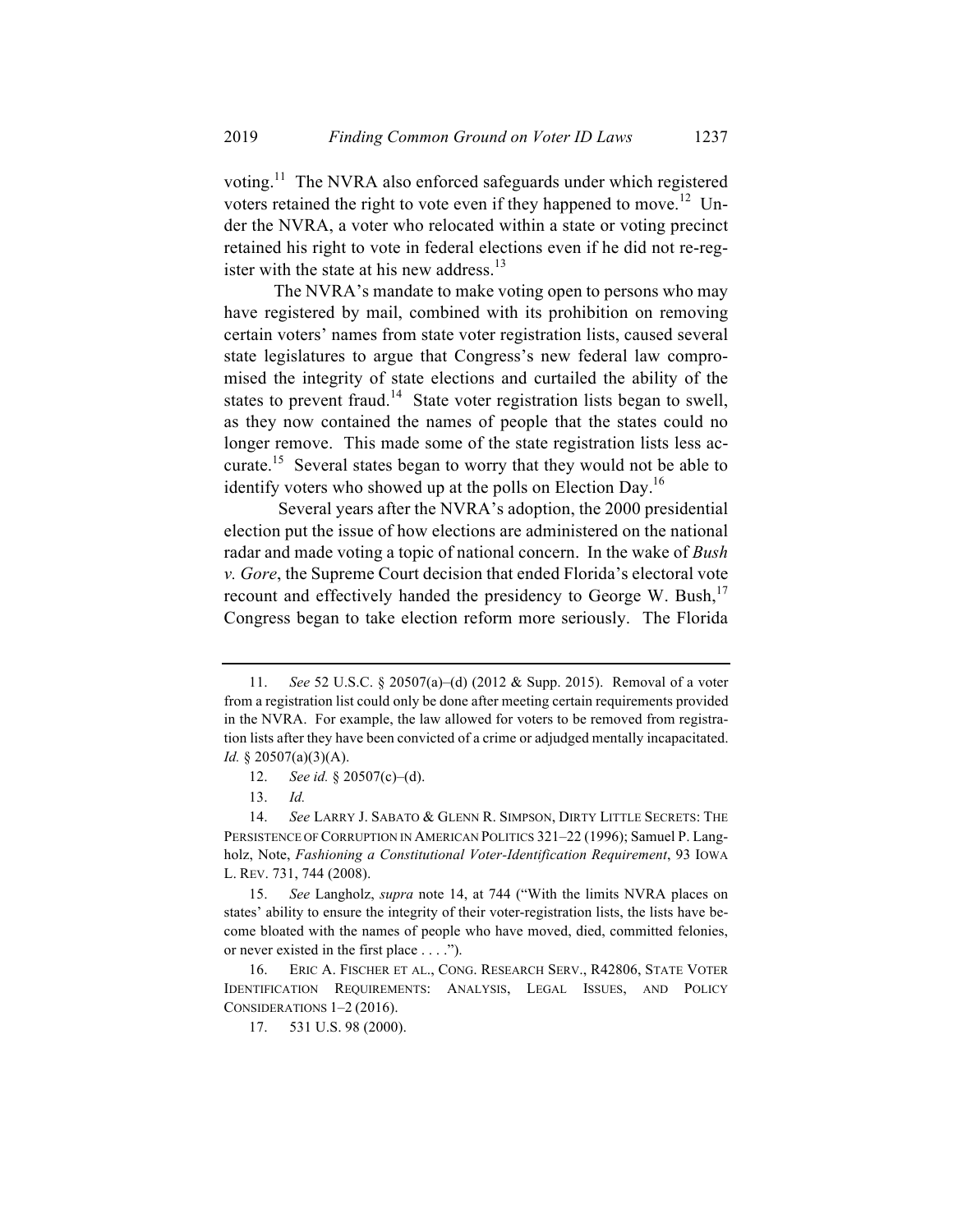voting.11 The NVRA also enforced safeguards under which registered voters retained the right to vote even if they happened to move.<sup>12</sup> Under the NVRA, a voter who relocated within a state or voting precinct retained his right to vote in federal elections even if he did not re-register with the state at his new address.<sup>13</sup>

The NVRA's mandate to make voting open to persons who may have registered by mail, combined with its prohibition on removing certain voters' names from state voter registration lists, caused several state legislatures to argue that Congress's new federal law compromised the integrity of state elections and curtailed the ability of the states to prevent fraud.<sup>14</sup> State voter registration lists began to swell, as they now contained the names of people that the states could no longer remove. This made some of the state registration lists less accurate.<sup>15</sup> Several states began to worry that they would not be able to identify voters who showed up at the polls on Election Day.<sup>16</sup>

Several years after the NVRA's adoption, the 2000 presidential election put the issue of how elections are administered on the national radar and made voting a topic of national concern. In the wake of *Bush v. Gore*, the Supreme Court decision that ended Florida's electoral vote recount and effectively handed the presidency to George W. Bush, $17$ Congress began to take election reform more seriously. The Florida

<sup>11.</sup> *See* 52 U.S.C. § 20507(a)–(d) (2012 & Supp. 2015). Removal of a voter from a registration list could only be done after meeting certain requirements provided in the NVRA. For example, the law allowed for voters to be removed from registration lists after they have been convicted of a crime or adjudged mentally incapacitated. *Id.* § 20507(a)(3)(A).

<sup>12.</sup> *See id.* § 20507(c)–(d).

<sup>13.</sup> *Id.*

<sup>14.</sup> *See* LARRY J. SABATO & GLENN R. SIMPSON, DIRTY LITTLE SECRETS: THE PERSISTENCE OF CORRUPTION IN AMERICAN POLITICS 321–22 (1996); Samuel P. Langholz, Note, *Fashioning a Constitutional Voter-Identification Requirement*, 93 IOWA L. REV. 731, 744 (2008).

<sup>15.</sup> *See* Langholz, *supra* note 14, at 744 ("With the limits NVRA places on states' ability to ensure the integrity of their voter-registration lists, the lists have become bloated with the names of people who have moved, died, committed felonies, or never existed in the first place . . . .").

<sup>16.</sup> ERIC A. FISCHER ET AL., CONG. RESEARCH SERV., R42806, STATE VOTER IDENTIFICATION REQUIREMENTS: ANALYSIS, LEGAL ISSUES, AND POLICY CONSIDERATIONS 1–2 (2016).

<sup>17.</sup> 531 U.S. 98 (2000).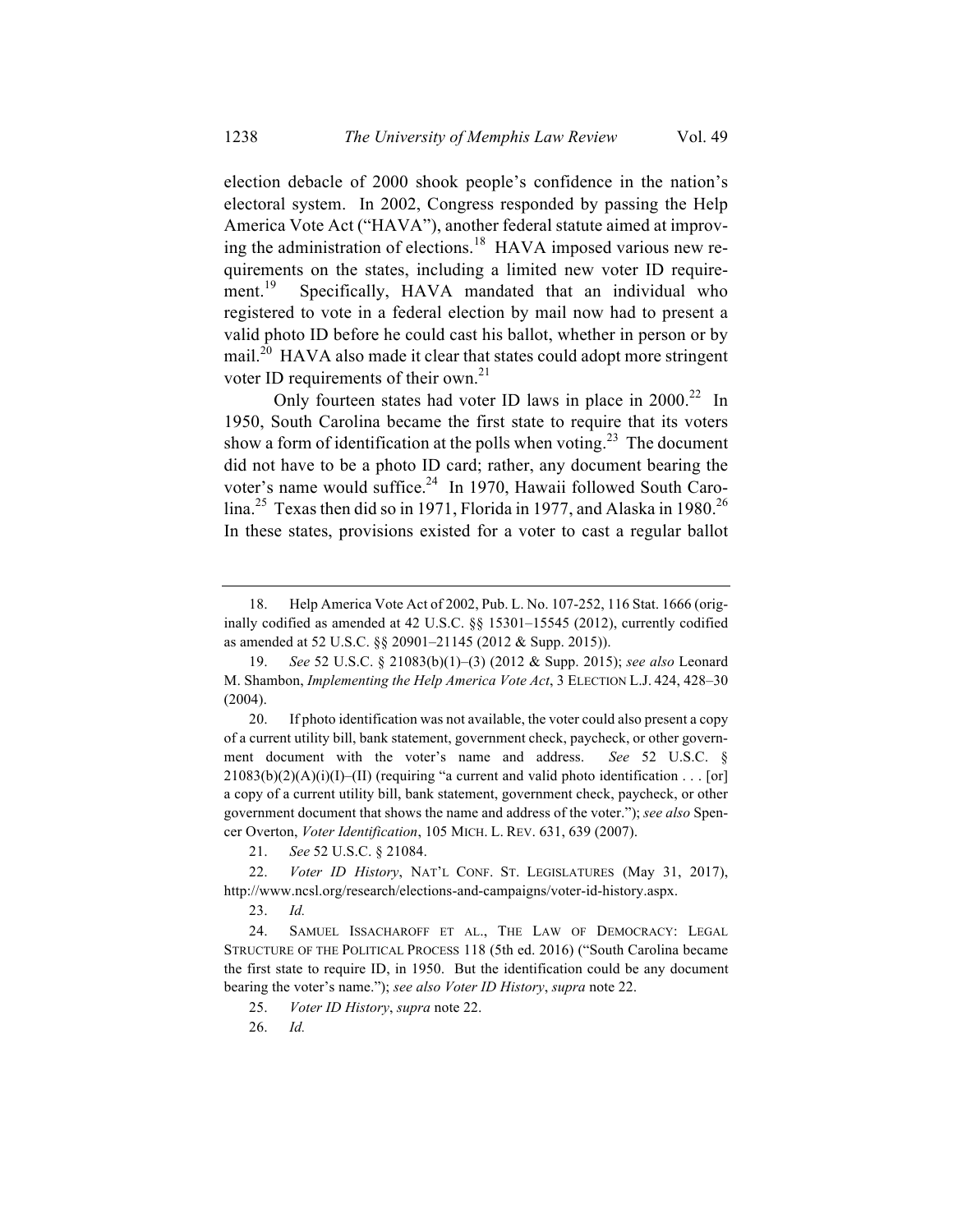election debacle of 2000 shook people's confidence in the nation's electoral system. In 2002, Congress responded by passing the Help America Vote Act ("HAVA"), another federal statute aimed at improving the administration of elections.<sup>18</sup> HAVA imposed various new requirements on the states, including a limited new voter ID requirement.<sup>19</sup> Specifically, HAVA mandated that an individual who registered to vote in a federal election by mail now had to present a valid photo ID before he could cast his ballot, whether in person or by mail.<sup>20</sup> HAVA also made it clear that states could adopt more stringent voter ID requirements of their own. $^{21}$ 

Only fourteen states had voter ID laws in place in  $2000<sup>22</sup>$  In 1950, South Carolina became the first state to require that its voters show a form of identification at the polls when voting.<sup>23</sup> The document did not have to be a photo ID card; rather, any document bearing the voter's name would suffice.<sup>24</sup> In 1970, Hawaii followed South Carolina.<sup>25</sup> Texas then did so in 1971, Florida in 1977, and Alaska in 1980.<sup>26</sup> In these states, provisions existed for a voter to cast a regular ballot

23. *Id.*

<sup>18.</sup> Help America Vote Act of 2002, Pub. L. No. 107-252, 116 Stat. 1666 (originally codified as amended at 42 U.S.C. §§ 15301–15545 (2012), currently codified as amended at 52 U.S.C. §§ 20901–21145 (2012 & Supp. 2015)).

<sup>19.</sup> *See* 52 U.S.C. § 21083(b)(1)–(3) (2012 & Supp. 2015); *see also* Leonard M. Shambon, *Implementing the Help America Vote Act*, 3 ELECTION L.J. 424, 428–30 (2004).

<sup>20.</sup> If photo identification was not available, the voter could also present a copy of a current utility bill, bank statement, government check, paycheck, or other government document with the voter's name and address. *See* 52 U.S.C. §  $21083(b)(2)(A)(i)(I)$ –(II) (requiring "a current and valid photo identification . . . [or] a copy of a current utility bill, bank statement, government check, paycheck, or other government document that shows the name and address of the voter."); *see also* Spencer Overton, *Voter Identification*, 105 MICH. L. REV. 631, 639 (2007).

<sup>21.</sup> *See* 52 U.S.C. § 21084.

<sup>22.</sup> *Voter ID History*, NAT'L CONF. ST. LEGISLATURES (May 31, 2017), http://www.ncsl.org/research/elections-and-campaigns/voter-id-history.aspx.

<sup>24.</sup> SAMUEL ISSACHAROFF ET AL., THE LAW OF DEMOCRACY: LEGAL STRUCTURE OF THE POLITICAL PROCESS 118 (5th ed. 2016) ("South Carolina became the first state to require ID, in 1950. But the identification could be any document bearing the voter's name."); *see also Voter ID History*, *supra* note 22.

<sup>25.</sup> *Voter ID History*, *supra* note 22.

<sup>26.</sup> *Id.*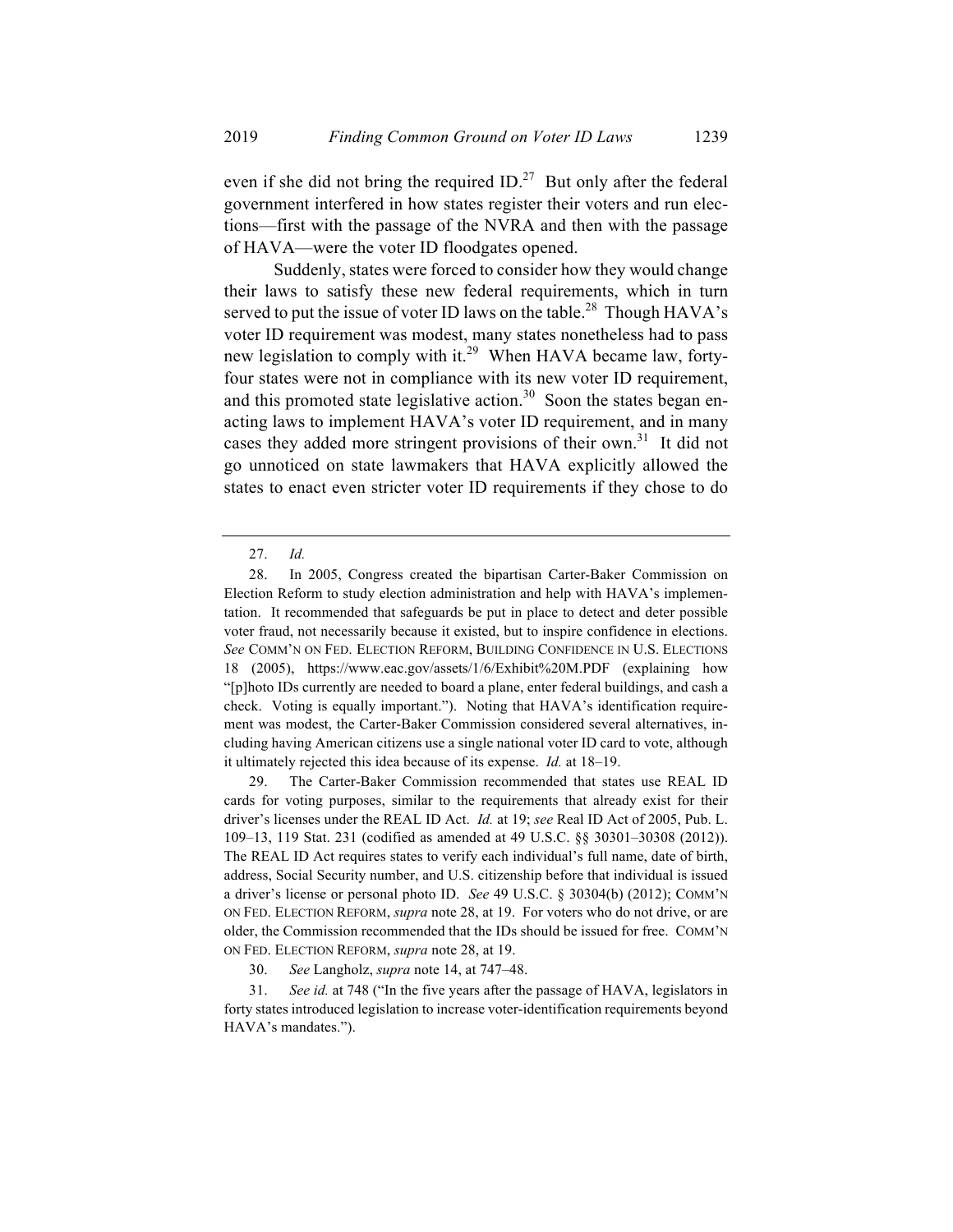even if she did not bring the required ID.<sup>27</sup> But only after the federal government interfered in how states register their voters and run elections—first with the passage of the NVRA and then with the passage of HAVA—were the voter ID floodgates opened.

Suddenly, states were forced to consider how they would change their laws to satisfy these new federal requirements, which in turn served to put the issue of voter ID laws on the table.<sup>28</sup> Though HAVA's voter ID requirement was modest, many states nonetheless had to pass new legislation to comply with it.<sup>29</sup> When HAVA became law, fortyfour states were not in compliance with its new voter ID requirement, and this promoted state legislative action.<sup>30</sup> Soon the states began enacting laws to implement HAVA's voter ID requirement, and in many cases they added more stringent provisions of their own.<sup>31</sup> It did not go unnoticed on state lawmakers that HAVA explicitly allowed the states to enact even stricter voter ID requirements if they chose to do

29. The Carter-Baker Commission recommended that states use REAL ID cards for voting purposes, similar to the requirements that already exist for their driver's licenses under the REAL ID Act. *Id.* at 19; *see* Real ID Act of 2005, Pub. L. 109–13, 119 Stat. 231 (codified as amended at 49 U.S.C. §§ 30301–30308 (2012)). The REAL ID Act requires states to verify each individual's full name, date of birth, address, Social Security number, and U.S. citizenship before that individual is issued a driver's license or personal photo ID. *See* 49 U.S.C. § 30304(b) (2012); COMM'N ON FED. ELECTION REFORM, *supra* note 28, at 19. For voters who do not drive, or are older, the Commission recommended that the IDs should be issued for free. COMM'N ON FED. ELECTION REFORM, *supra* note 28, at 19.

30. *See* Langholz, *supra* note 14, at 747–48.

31. *See id.* at 748 ("In the five years after the passage of HAVA, legislators in forty states introduced legislation to increase voter-identification requirements beyond HAVA's mandates.").

<sup>27.</sup> *Id.*

<sup>28.</sup> In 2005, Congress created the bipartisan Carter-Baker Commission on Election Reform to study election administration and help with HAVA's implementation. It recommended that safeguards be put in place to detect and deter possible voter fraud, not necessarily because it existed, but to inspire confidence in elections. *See* COMM'N ON FED. ELECTION REFORM, BUILDING CONFIDENCE IN U.S. ELECTIONS 18 (2005), https://www.eac.gov/assets/1/6/Exhibit%20M.PDF (explaining how "[p]hoto IDs currently are needed to board a plane, enter federal buildings, and cash a check. Voting is equally important."). Noting that HAVA's identification requirement was modest, the Carter-Baker Commission considered several alternatives, including having American citizens use a single national voter ID card to vote, although it ultimately rejected this idea because of its expense. *Id.* at 18–19.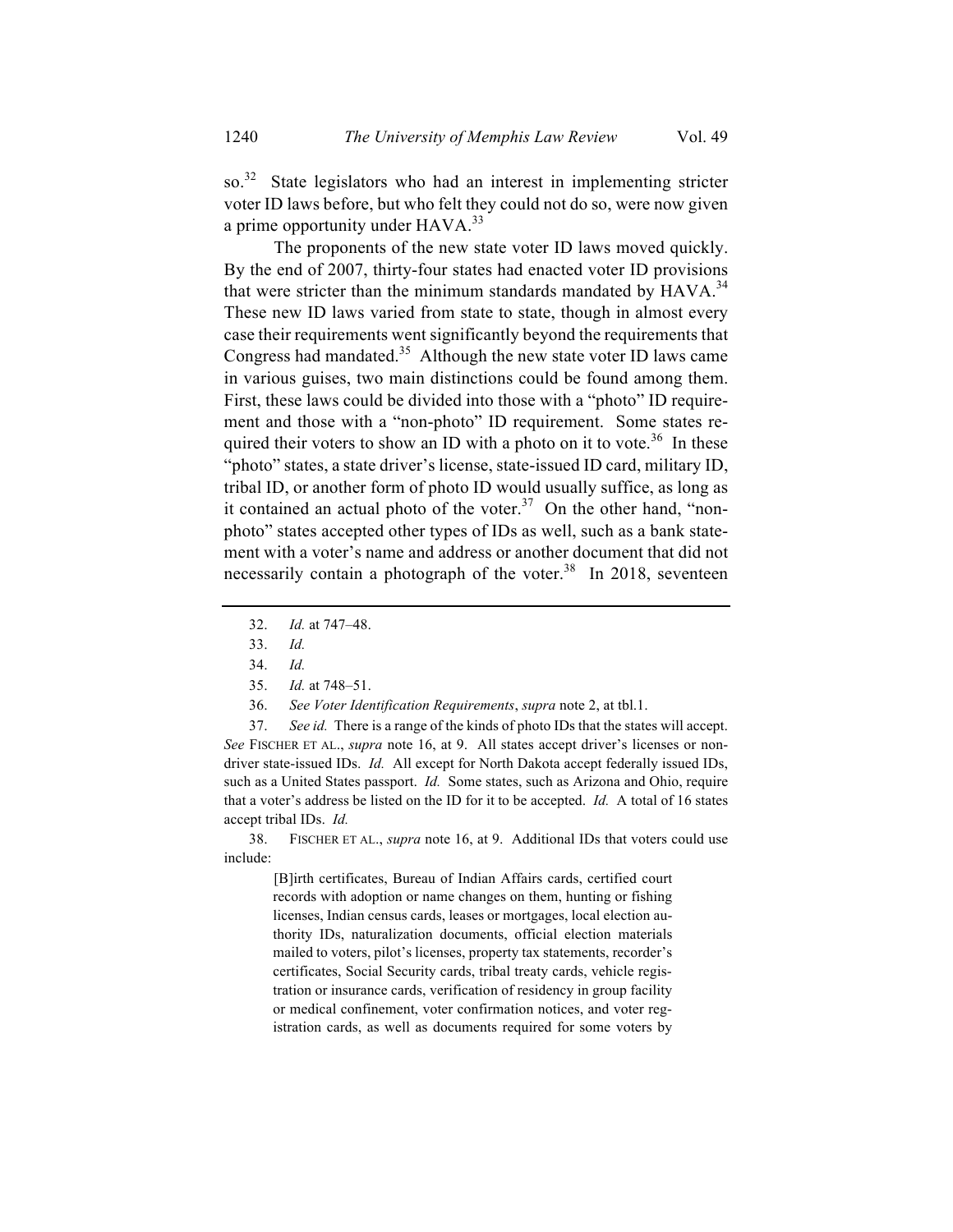so.<sup>32</sup> State legislators who had an interest in implementing stricter voter ID laws before, but who felt they could not do so, were now given a prime opportunity under HAVA.<sup>33</sup>

The proponents of the new state voter ID laws moved quickly. By the end of 2007, thirty-four states had enacted voter ID provisions that were stricter than the minimum standards mandated by  $HAVA$ <sup>34</sup> These new ID laws varied from state to state, though in almost every case their requirements went significantly beyond the requirements that Congress had mandated.<sup>35</sup> Although the new state voter ID laws came in various guises, two main distinctions could be found among them. First, these laws could be divided into those with a "photo" ID requirement and those with a "non-photo" ID requirement. Some states required their voters to show an ID with a photo on it to vote.<sup>36</sup> In these "photo" states, a state driver's license, state-issued ID card, military ID, tribal ID, or another form of photo ID would usually suffice, as long as it contained an actual photo of the voter.<sup>37</sup> On the other hand, "nonphoto" states accepted other types of IDs as well, such as a bank statement with a voter's name and address or another document that did not necessarily contain a photograph of the voter.<sup>38</sup> In 2018, seventeen

36. *See Voter Identification Requirements*, *supra* note 2, at tbl.1.

37. *See id.* There is a range of the kinds of photo IDs that the states will accept. *See* FISCHER ET AL., *supra* note 16, at 9. All states accept driver's licenses or nondriver state-issued IDs. *Id.* All except for North Dakota accept federally issued IDs, such as a United States passport. *Id.* Some states, such as Arizona and Ohio, require that a voter's address be listed on the ID for it to be accepted. *Id.* A total of 16 states accept tribal IDs. *Id.*

38. FISCHER ET AL., *supra* note 16, at 9. Additional IDs that voters could use include:

[B]irth certificates, Bureau of Indian Affairs cards, certified court records with adoption or name changes on them, hunting or fishing licenses, Indian census cards, leases or mortgages, local election authority IDs, naturalization documents, official election materials mailed to voters, pilot's licenses, property tax statements, recorder's certificates, Social Security cards, tribal treaty cards, vehicle registration or insurance cards, verification of residency in group facility or medical confinement, voter confirmation notices, and voter registration cards, as well as documents required for some voters by

<sup>32.</sup> *Id.* at 747–48.

<sup>33.</sup> *Id.*

<sup>34.</sup> *Id.*

<sup>35.</sup> *Id.* at 748–51.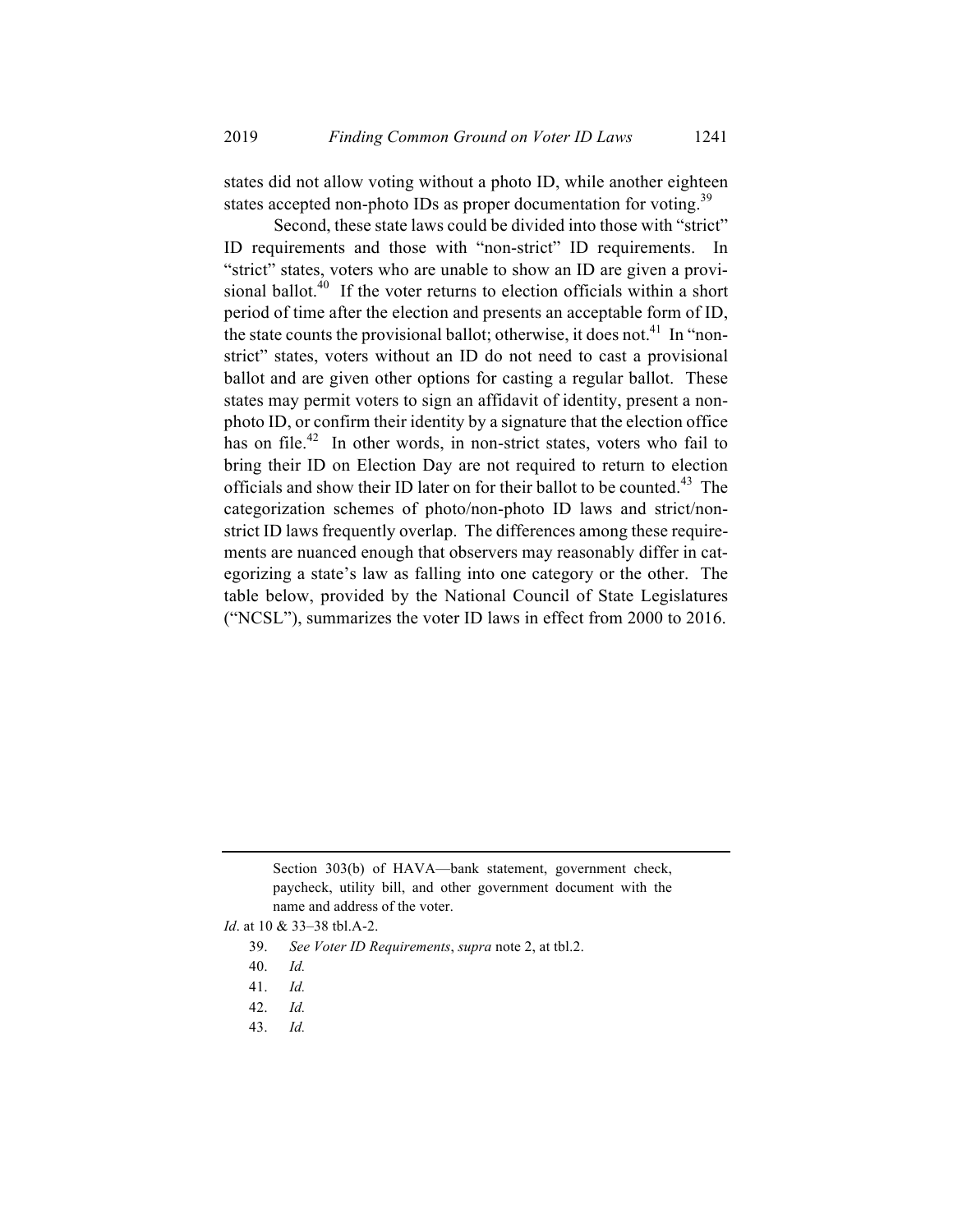states did not allow voting without a photo ID, while another eighteen states accepted non-photo IDs as proper documentation for voting.<sup>39</sup>

Second, these state laws could be divided into those with "strict" ID requirements and those with "non-strict" ID requirements. In "strict" states, voters who are unable to show an ID are given a provisional ballot.<sup>40</sup> If the voter returns to election officials within a short period of time after the election and presents an acceptable form of ID, the state counts the provisional ballot; otherwise, it does not.<sup>41</sup> In "nonstrict" states, voters without an ID do not need to cast a provisional ballot and are given other options for casting a regular ballot. These states may permit voters to sign an affidavit of identity, present a nonphoto ID, or confirm their identity by a signature that the election office has on file.<sup>42</sup> In other words, in non-strict states, voters who fail to bring their ID on Election Day are not required to return to election officials and show their ID later on for their ballot to be counted.<sup>43</sup> The categorization schemes of photo/non-photo ID laws and strict/nonstrict ID laws frequently overlap. The differences among these requirements are nuanced enough that observers may reasonably differ in categorizing a state's law as falling into one category or the other. The table below, provided by the National Council of State Legislatures ("NCSL"), summarizes the voter ID laws in effect from 2000 to 2016.

43. *Id.*

Section 303(b) of HAVA—bank statement, government check, paycheck, utility bill, and other government document with the name and address of the voter.

*Id*. at 10 & 33–38 tbl.A-2.

<sup>39.</sup> *See Voter ID Requirements*, *supra* note 2, at tbl.2.

<sup>40.</sup> *Id.*

<sup>41.</sup> *Id.*

<sup>42.</sup> *Id.*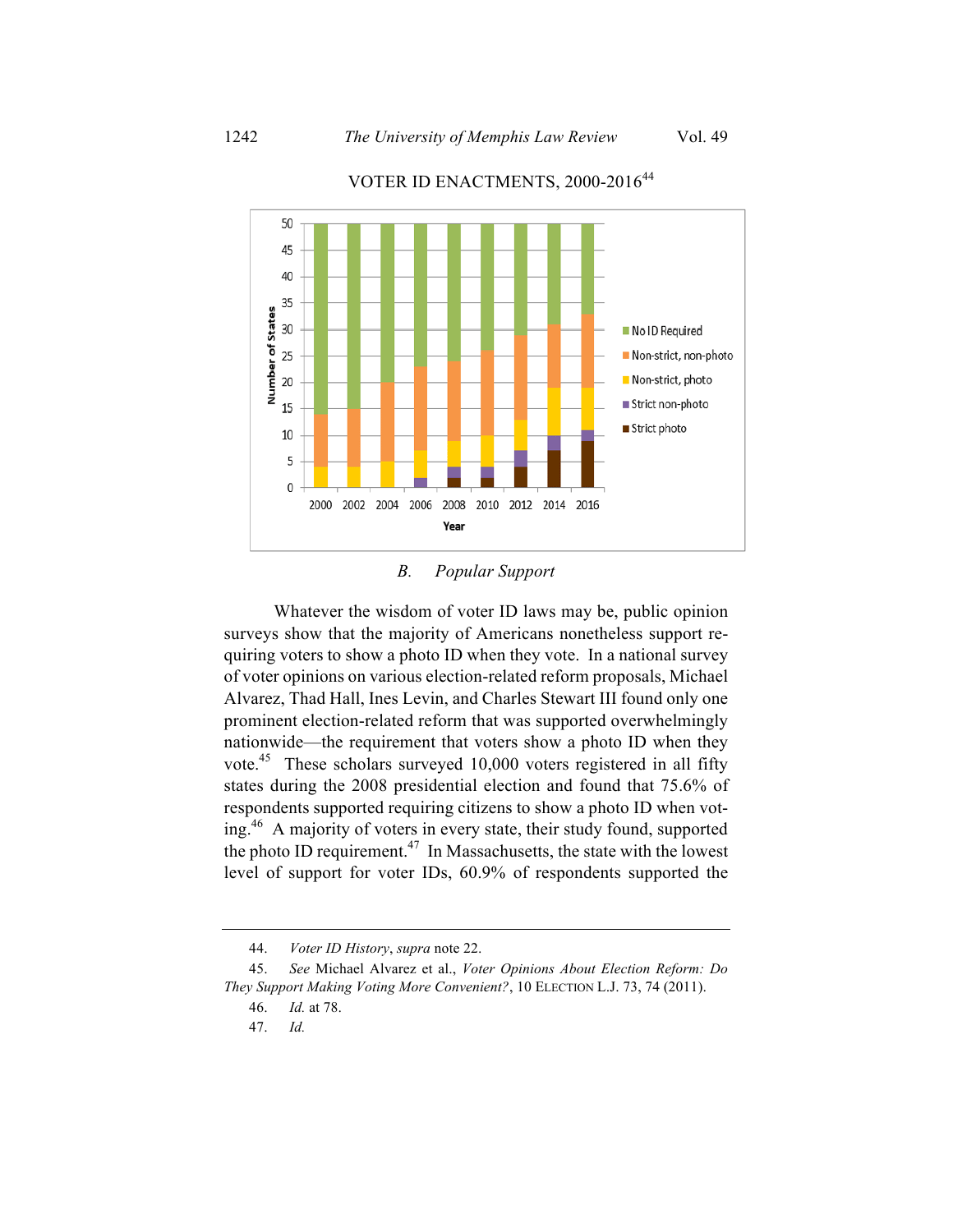

# VOTER ID ENACTMENTS, 2000-2016<sup>44</sup>

*B. Popular Support*

Whatever the wisdom of voter ID laws may be, public opinion surveys show that the majority of Americans nonetheless support requiring voters to show a photo ID when they vote. In a national survey of voter opinions on various election-related reform proposals, Michael Alvarez, Thad Hall, Ines Levin, and Charles Stewart III found only one prominent election-related reform that was supported overwhelmingly nationwide—the requirement that voters show a photo ID when they vote.45 These scholars surveyed 10,000 voters registered in all fifty states during the 2008 presidential election and found that 75.6% of respondents supported requiring citizens to show a photo ID when voting. 46 A majority of voters in every state, their study found, supported the photo ID requirement.<sup>47</sup> In Massachusetts, the state with the lowest level of support for voter IDs, 60.9% of respondents supported the

<sup>44.</sup> *Voter ID History*, *supra* note 22.

<sup>45.</sup> *See* Michael Alvarez et al., *Voter Opinions About Election Reform: Do They Support Making Voting More Convenient?*, 10 ELECTION L.J. 73, 74 (2011).

<sup>46.</sup> *Id.* at 78.

<sup>47.</sup> *Id.*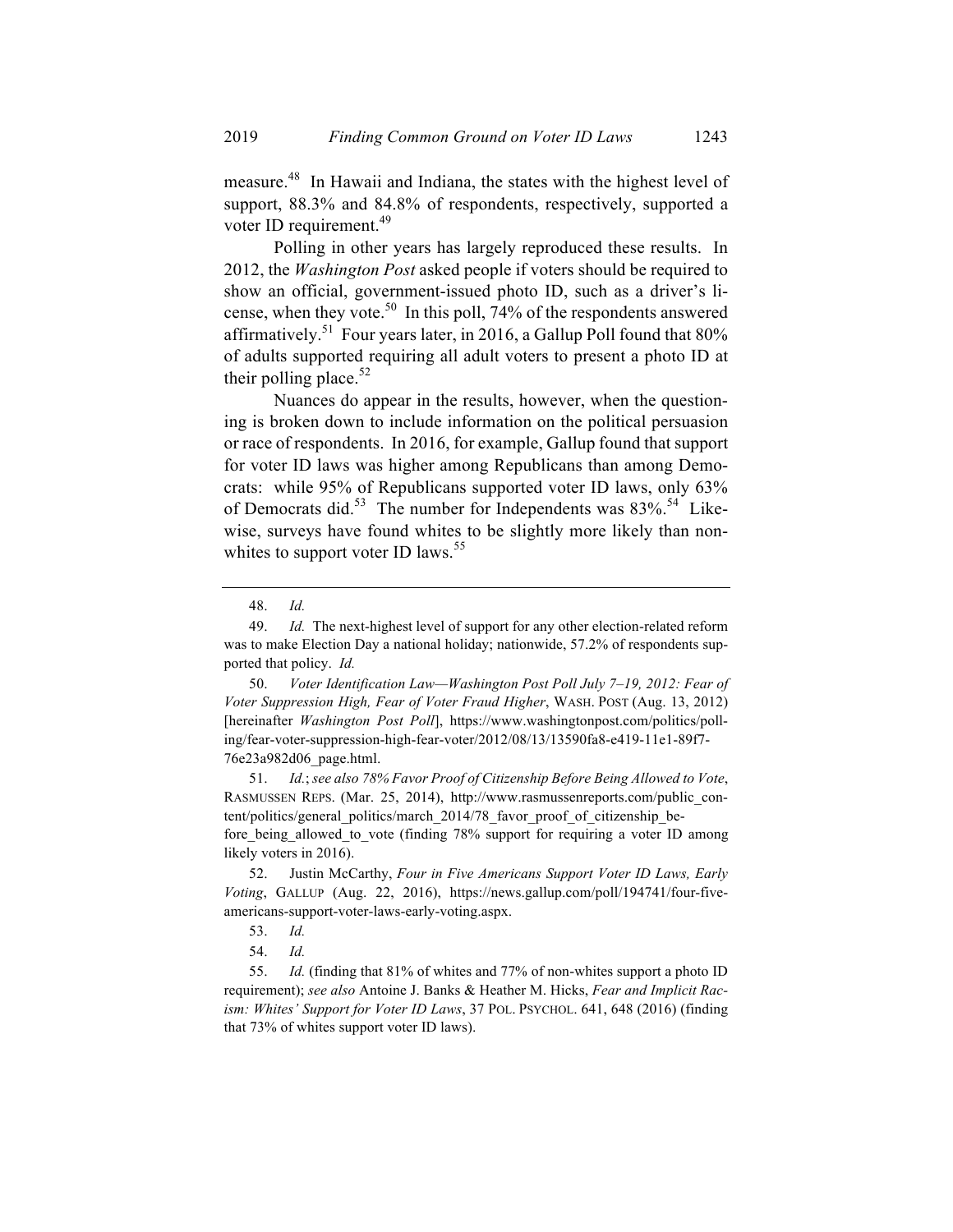measure.48 In Hawaii and Indiana, the states with the highest level of support, 88.3% and 84.8% of respondents, respectively, supported a voter ID requirement.<sup>49</sup>

Polling in other years has largely reproduced these results. In 2012, the *Washington Post* asked people if voters should be required to show an official, government-issued photo ID, such as a driver's license, when they vote.<sup>50</sup> In this poll,  $74%$  of the respondents answered affirmatively.<sup>51</sup> Four years later, in 2016, a Gallup Poll found that  $80\%$ of adults supported requiring all adult voters to present a photo ID at their polling place. $52$ 

Nuances do appear in the results, however, when the questioning is broken down to include information on the political persuasion or race of respondents. In 2016, for example, Gallup found that support for voter ID laws was higher among Republicans than among Democrats: while 95% of Republicans supported voter ID laws, only 63% of Democrats did.<sup>53</sup> The number for Independents was  $83\%$ <sup>54</sup> Likewise, surveys have found whites to be slightly more likely than nonwhites to support voter ID laws.<sup>55</sup>

50. *Voter Identification Law—Washington Post Poll July 7–19, 2012: Fear of Voter Suppression High, Fear of Voter Fraud Higher*, WASH. POST (Aug. 13, 2012) [hereinafter *Washington Post Poll*], https://www.washingtonpost.com/politics/polling/fear-voter-suppression-high-fear-voter/2012/08/13/13590fa8-e419-11e1-89f7- 76e23a982d06\_page.html.

51. *Id.*; *see also 78% Favor Proof of Citizenship Before Being Allowed to Vote*, RASMUSSEN REPS. (Mar. 25, 2014), http://www.rasmussenreports.com/public\_content/politics/general\_politics/march\_2014/78\_favor\_proof\_of\_citizenship\_before being allowed to vote (finding 78% support for requiring a voter ID among likely voters in 2016).

52. Justin McCarthy, *Four in Five Americans Support Voter ID Laws, Early Voting*, GALLUP (Aug. 22, 2016), https://news.gallup.com/poll/194741/four-fiveamericans-support-voter-laws-early-voting.aspx.

55. *Id.* (finding that 81% of whites and 77% of non-whites support a photo ID requirement); *see also* Antoine J. Banks & Heather M. Hicks, *Fear and Implicit Racism: Whites' Support for Voter ID Laws*, 37 POL. PSYCHOL. 641, 648 (2016) (finding that 73% of whites support voter ID laws).

<sup>48.</sup> *Id.*

<sup>49.</sup> *Id.* The next-highest level of support for any other election-related reform was to make Election Day a national holiday; nationwide, 57.2% of respondents supported that policy. *Id.*

<sup>53.</sup> *Id.*

<sup>54.</sup> *Id.*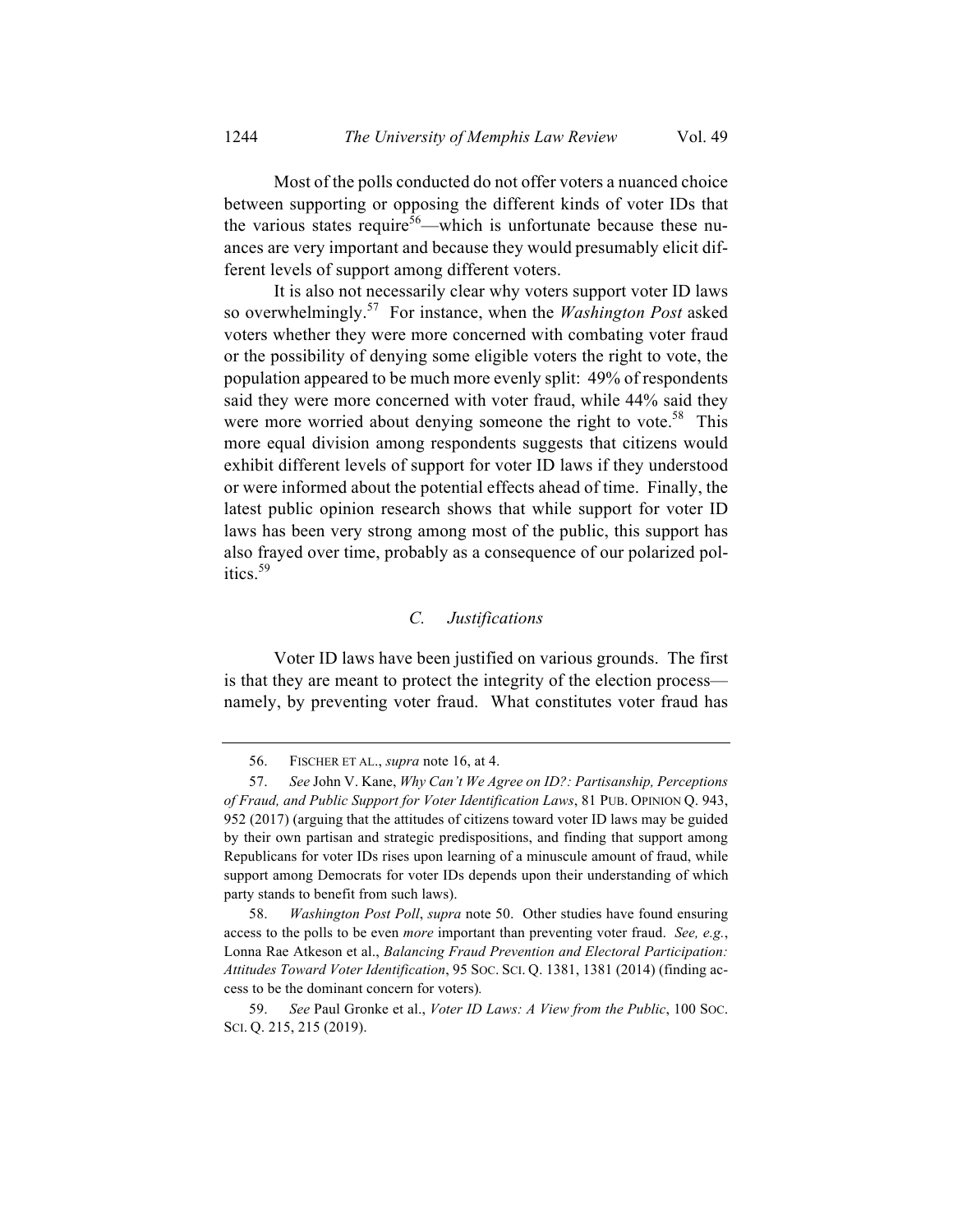Most of the polls conducted do not offer voters a nuanced choice between supporting or opposing the different kinds of voter IDs that the various states require<sup>56</sup>—which is unfortunate because these nuances are very important and because they would presumably elicit different levels of support among different voters.

It is also not necessarily clear why voters support voter ID laws so overwhelmingly.57 For instance, when the *Washington Post* asked voters whether they were more concerned with combating voter fraud or the possibility of denying some eligible voters the right to vote, the population appeared to be much more evenly split: 49% of respondents said they were more concerned with voter fraud, while 44% said they were more worried about denying someone the right to vote.<sup>58</sup> This more equal division among respondents suggests that citizens would exhibit different levels of support for voter ID laws if they understood or were informed about the potential effects ahead of time. Finally, the latest public opinion research shows that while support for voter ID laws has been very strong among most of the public, this support has also frayed over time, probably as a consequence of our polarized politics.<sup>59</sup>

## *C. Justifications*

Voter ID laws have been justified on various grounds. The first is that they are meant to protect the integrity of the election process namely, by preventing voter fraud. What constitutes voter fraud has

<sup>56.</sup> FISCHER ET AL., *supra* note 16, at 4.

<sup>57.</sup> *See* John V. Kane, *Why Can't We Agree on ID?: Partisanship, Perceptions of Fraud, and Public Support for Voter Identification Laws*, 81 PUB. OPINION Q. 943, 952 (2017) (arguing that the attitudes of citizens toward voter ID laws may be guided by their own partisan and strategic predispositions, and finding that support among Republicans for voter IDs rises upon learning of a minuscule amount of fraud, while support among Democrats for voter IDs depends upon their understanding of which party stands to benefit from such laws).

<sup>58.</sup> *Washington Post Poll*, *supra* note 50. Other studies have found ensuring access to the polls to be even *more* important than preventing voter fraud. *See, e.g.*, Lonna Rae Atkeson et al., *Balancing Fraud Prevention and Electoral Participation: Attitudes Toward Voter Identification*, 95 SOC. SCI. Q. 1381, 1381 (2014) (finding access to be the dominant concern for voters)*.*

<sup>59.</sup> *See* Paul Gronke et al., *Voter ID Laws: A View from the Public*, 100 SOC. SCI. Q. 215, 215 (2019).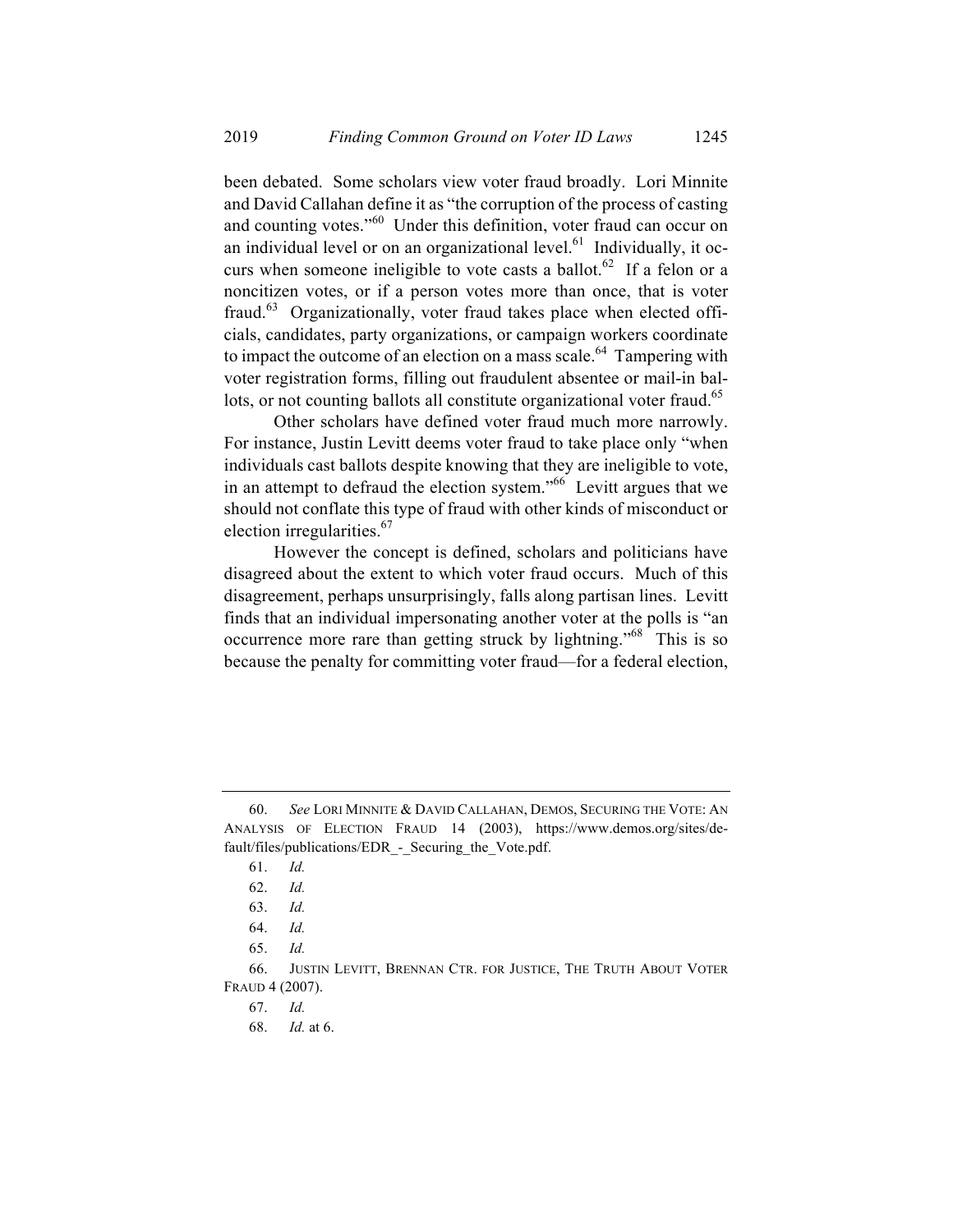been debated. Some scholars view voter fraud broadly. Lori Minnite and David Callahan define it as "the corruption of the process of casting and counting votes."<sup>60</sup> Under this definition, voter fraud can occur on an individual level or on an organizational level. $61$  Individually, it occurs when someone ineligible to vote casts a ballot.<sup>62</sup> If a felon or a noncitizen votes, or if a person votes more than once, that is voter fraud. $63$  Organizationally, voter fraud takes place when elected officials, candidates, party organizations, or campaign workers coordinate to impact the outcome of an election on a mass scale.<sup>64</sup> Tampering with voter registration forms, filling out fraudulent absentee or mail-in ballots, or not counting ballots all constitute organizational voter fraud.<sup>65</sup>

Other scholars have defined voter fraud much more narrowly. For instance, Justin Levitt deems voter fraud to take place only "when individuals cast ballots despite knowing that they are ineligible to vote, in an attempt to defraud the election system.<sup> $566$ </sup> Levitt argues that we should not conflate this type of fraud with other kinds of misconduct or election irregularities.<sup>67</sup>

However the concept is defined, scholars and politicians have disagreed about the extent to which voter fraud occurs. Much of this disagreement, perhaps unsurprisingly, falls along partisan lines. Levitt finds that an individual impersonating another voter at the polls is "an occurrence more rare than getting struck by lightning."<sup>68</sup> This is so because the penalty for committing voter fraud—for a federal election,

<sup>60.</sup> *See* LORI MINNITE & DAVID CALLAHAN, DEMOS, SECURING THE VOTE: AN ANALYSIS OF ELECTION FRAUD 14 (2003), https://www.demos.org/sites/default/files/publications/EDR\_-\_Securing\_the\_Vote.pdf.

<sup>61.</sup> *Id.*

<sup>62.</sup> *Id.*

<sup>63.</sup> *Id.*

<sup>64.</sup> *Id.*

<sup>65.</sup> *Id.*

<sup>66.</sup> JUSTIN LEVITT, BRENNAN CTR. FOR JUSTICE, THE TRUTH ABOUT VOTER FRAUD 4 (2007).

<sup>67.</sup> *Id.*

<sup>68.</sup> *Id.* at 6.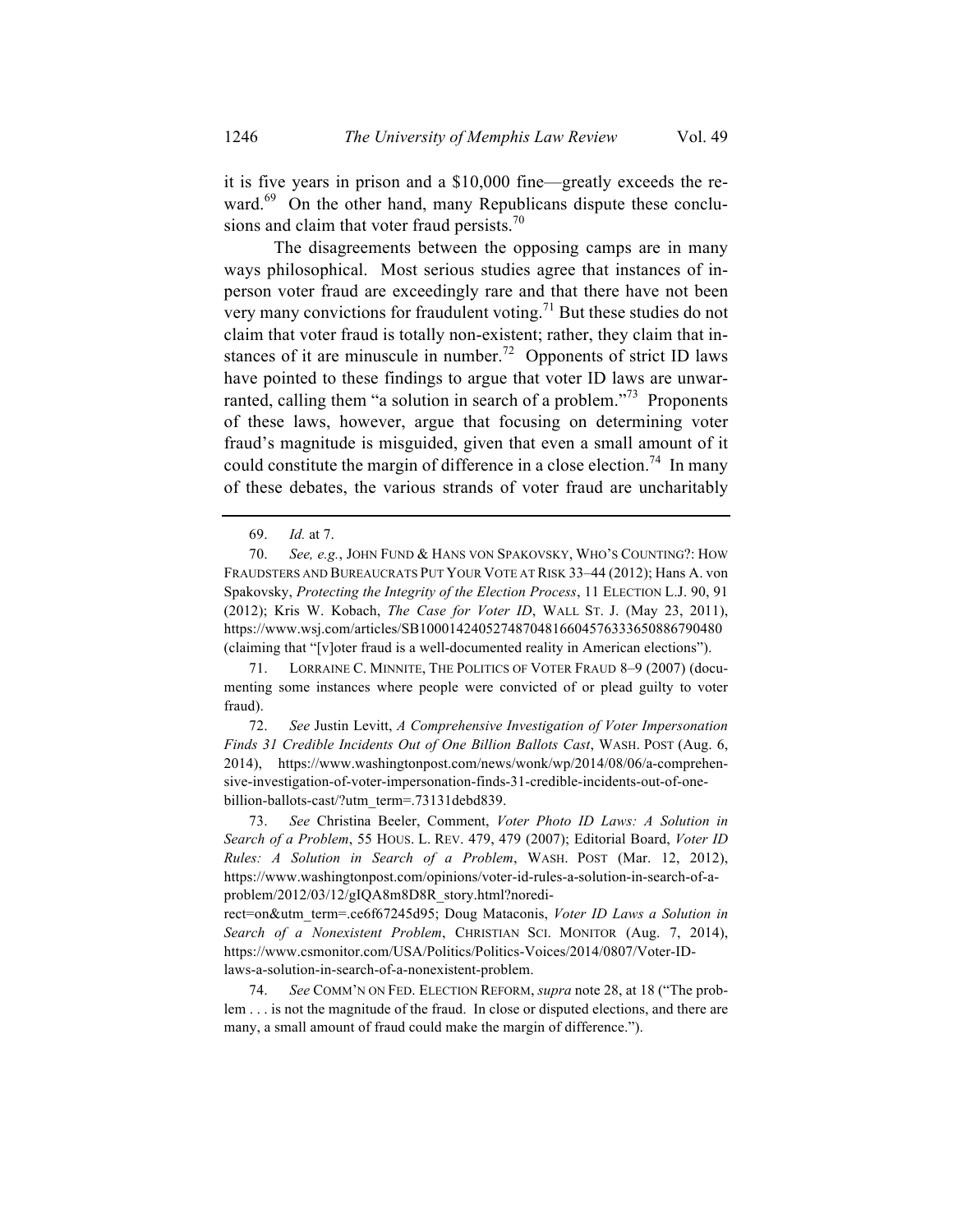it is five years in prison and a \$10,000 fine—greatly exceeds the reward.<sup>69</sup> On the other hand, many Republicans dispute these conclusions and claim that voter fraud persists. $\frac{70}{2}$ 

The disagreements between the opposing camps are in many ways philosophical. Most serious studies agree that instances of inperson voter fraud are exceedingly rare and that there have not been very many convictions for fraudulent voting.<sup>71</sup> But these studies do not claim that voter fraud is totally non-existent; rather, they claim that instances of it are minuscule in number.<sup>72</sup> Opponents of strict ID laws have pointed to these findings to argue that voter ID laws are unwarranted, calling them "a solution in search of a problem."<sup>73</sup> Proponents of these laws, however, argue that focusing on determining voter fraud's magnitude is misguided, given that even a small amount of it could constitute the margin of difference in a close election.<sup>74</sup> In many of these debates, the various strands of voter fraud are uncharitably

71. LORRAINE C. MINNITE, THE POLITICS OF VOTER FRAUD 8–9 (2007) (documenting some instances where people were convicted of or plead guilty to voter fraud).

72. *See* Justin Levitt, *A Comprehensive Investigation of Voter Impersonation Finds 31 Credible Incidents Out of One Billion Ballots Cast*, WASH. POST (Aug. 6, 2014), https://www.washingtonpost.com/news/wonk/wp/2014/08/06/a-comprehensive-investigation-of-voter-impersonation-finds-31-credible-incidents-out-of-onebillion-ballots-cast/?utm\_term=.73131debd839.

73. *See* Christina Beeler, Comment, *Voter Photo ID Laws: A Solution in Search of a Problem*, 55 HOUS. L. REV. 479, 479 (2007); Editorial Board, *Voter ID Rules: A Solution in Search of a Problem*, WASH. POST (Mar. 12, 2012), https://www.washingtonpost.com/opinions/voter-id-rules-a-solution-in-search-of-aproblem/2012/03/12/gIQA8m8D8R\_story.html?noredi-

rect=on&utm\_term=.ce6f67245d95; Doug Mataconis, *Voter ID Laws a Solution in Search of a Nonexistent Problem*, CHRISTIAN SCI. MONITOR (Aug. 7, 2014), https://www.csmonitor.com/USA/Politics/Politics-Voices/2014/0807/Voter-IDlaws-a-solution-in-search-of-a-nonexistent-problem.

74. *See* COMM'N ON FED. ELECTION REFORM, *supra* note 28, at 18 ("The problem . . . is not the magnitude of the fraud. In close or disputed elections, and there are many, a small amount of fraud could make the margin of difference.").

<sup>69.</sup> *Id.* at 7.

<sup>70.</sup> *See, e.g.*, JOHN FUND & HANS VON SPAKOVSKY, WHO'S COUNTING?: HOW FRAUDSTERS AND BUREAUCRATS PUT YOUR VOTE AT RISK 33–44 (2012); Hans A. von Spakovsky, *Protecting the Integrity of the Election Process*, 11 ELECTION L.J. 90, 91 (2012); Kris W. Kobach, *The Case for Voter ID*, WALL ST. J. (May 23, 2011), https://www.wsj.com/articles/SB10001424052748704816604576333650886790480 (claiming that "[v]oter fraud is a well-documented reality in American elections").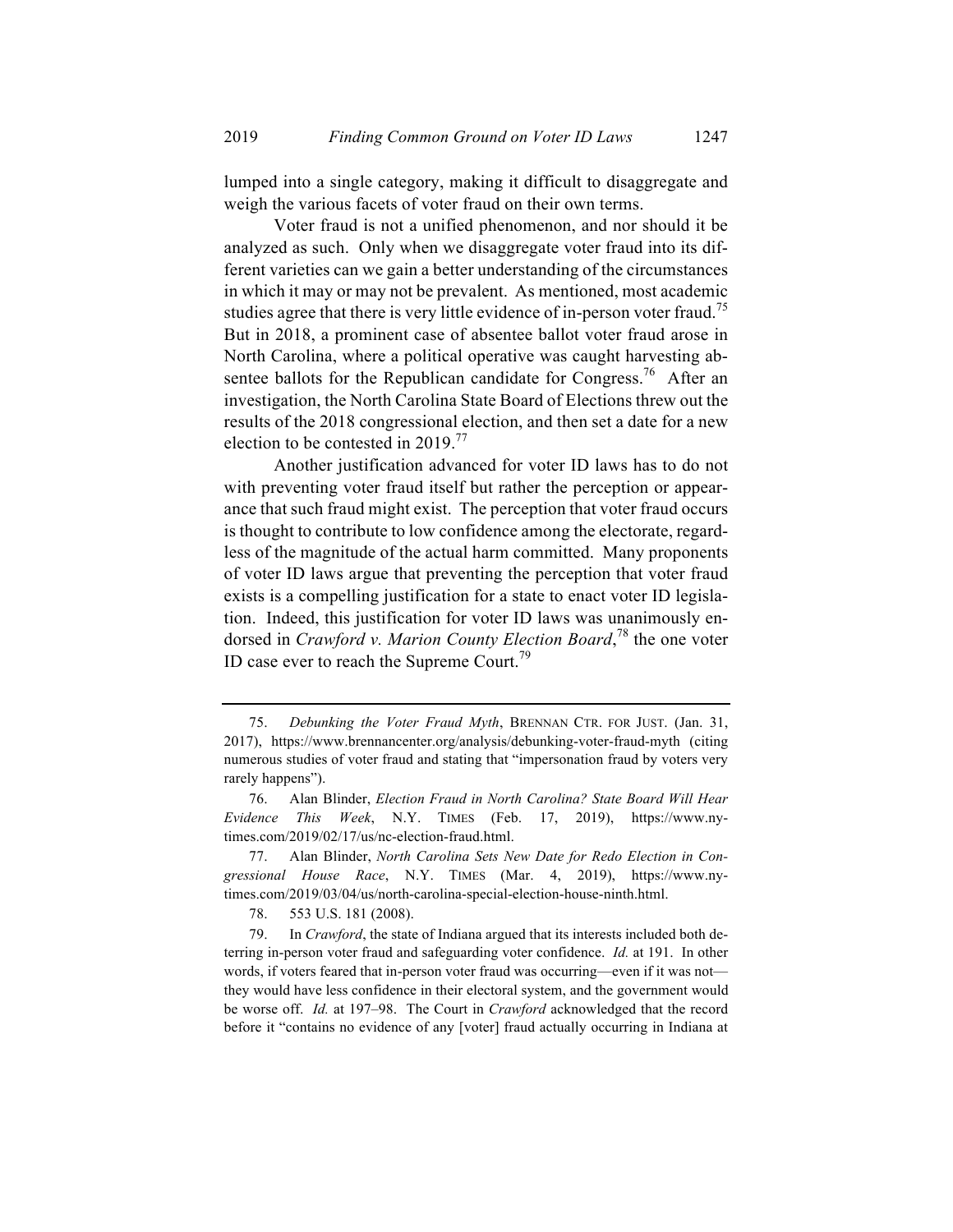lumped into a single category, making it difficult to disaggregate and weigh the various facets of voter fraud on their own terms.

Voter fraud is not a unified phenomenon, and nor should it be analyzed as such. Only when we disaggregate voter fraud into its different varieties can we gain a better understanding of the circumstances in which it may or may not be prevalent. As mentioned, most academic studies agree that there is very little evidence of in-person voter fraud.<sup>75</sup> But in 2018, a prominent case of absentee ballot voter fraud arose in North Carolina, where a political operative was caught harvesting absentee ballots for the Republican candidate for Congress.<sup>76</sup> After an investigation, the North Carolina State Board of Elections threw out the results of the 2018 congressional election, and then set a date for a new election to be contested in 2019.<sup>77</sup>

Another justification advanced for voter ID laws has to do not with preventing voter fraud itself but rather the perception or appearance that such fraud might exist. The perception that voter fraud occurs is thought to contribute to low confidence among the electorate, regardless of the magnitude of the actual harm committed. Many proponents of voter ID laws argue that preventing the perception that voter fraud exists is a compelling justification for a state to enact voter ID legislation. Indeed, this justification for voter ID laws was unanimously endorsed in *Crawford v. Marion County Election Board*, <sup>78</sup> the one voter ID case ever to reach the Supreme Court.<sup>79</sup>

78. 553 U.S. 181 (2008).

<sup>75.</sup> *Debunking the Voter Fraud Myth*, BRENNAN CTR. FOR JUST. (Jan. 31, 2017), https://www.brennancenter.org/analysis/debunking-voter-fraud-myth (citing numerous studies of voter fraud and stating that "impersonation fraud by voters very rarely happens").

<sup>76.</sup> Alan Blinder, *Election Fraud in North Carolina? State Board Will Hear Evidence This Week*, N.Y. TIMES (Feb. 17, 2019), https://www.nytimes.com/2019/02/17/us/nc-election-fraud.html.

<sup>77.</sup> Alan Blinder, *North Carolina Sets New Date for Redo Election in Congressional House Race*, N.Y. TIMES (Mar. 4, 2019), https://www.nytimes.com/2019/03/04/us/north-carolina-special-election-house-ninth.html.

<sup>79.</sup> In *Crawford*, the state of Indiana argued that its interests included both deterring in-person voter fraud and safeguarding voter confidence. *Id.* at 191. In other words, if voters feared that in-person voter fraud was occurring—even if it was not they would have less confidence in their electoral system, and the government would be worse off. *Id.* at 197–98. The Court in *Crawford* acknowledged that the record before it "contains no evidence of any [voter] fraud actually occurring in Indiana at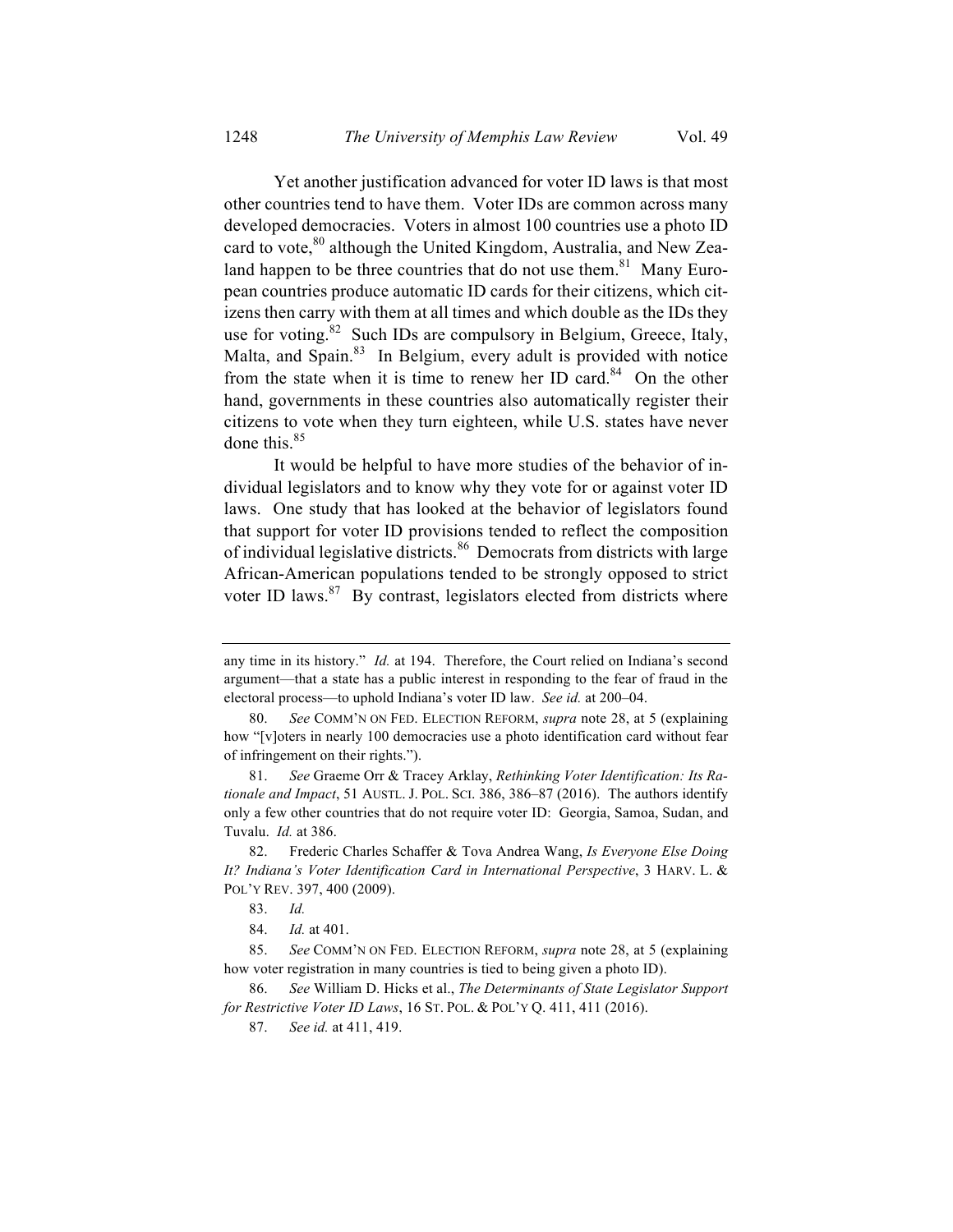Yet another justification advanced for voter ID laws is that most other countries tend to have them. Voter IDs are common across many developed democracies. Voters in almost 100 countries use a photo ID card to vote,<sup>80</sup> although the United Kingdom, Australia, and New Zealand happen to be three countries that do not use them.<sup>81</sup> Many European countries produce automatic ID cards for their citizens, which citizens then carry with them at all times and which double as the IDs they use for voting.<sup>82</sup> Such IDs are compulsory in Belgium, Greece, Italy, Malta, and Spain.<sup>83</sup> In Belgium, every adult is provided with notice from the state when it is time to renew her ID card.<sup>84</sup> On the other hand, governments in these countries also automatically register their citizens to vote when they turn eighteen, while U.S. states have never done this. 85

It would be helpful to have more studies of the behavior of individual legislators and to know why they vote for or against voter ID laws. One study that has looked at the behavior of legislators found that support for voter ID provisions tended to reflect the composition of individual legislative districts.<sup>86</sup> Democrats from districts with large African-American populations tended to be strongly opposed to strict voter ID laws. $87$  By contrast, legislators elected from districts where

any time in its history." *Id.* at 194. Therefore, the Court relied on Indiana's second argument—that a state has a public interest in responding to the fear of fraud in the electoral process—to uphold Indiana's voter ID law. *See id.* at 200–04.

<sup>80.</sup> *See* COMM'N ON FED. ELECTION REFORM, *supra* note 28, at 5 (explaining how "[v]oters in nearly 100 democracies use a photo identification card without fear of infringement on their rights.").

<sup>81.</sup> *See* Graeme Orr & Tracey Arklay, *Rethinking Voter Identification: Its Rationale and Impact*, 51 AUSTL. J. POL. SCI. 386, 386–87 (2016). The authors identify only a few other countries that do not require voter ID: Georgia, Samoa, Sudan, and Tuvalu. *Id.* at 386.

<sup>82.</sup> Frederic Charles Schaffer & Tova Andrea Wang, *Is Everyone Else Doing It? Indiana's Voter Identification Card in International Perspective*, 3 HARV. L. & POL'Y REV. 397, 400 (2009).

<sup>83.</sup> *Id.*

<sup>84.</sup> *Id.* at 401.

<sup>85.</sup> *See* COMM'N ON FED. ELECTION REFORM, *supra* note 28, at 5 (explaining how voter registration in many countries is tied to being given a photo ID).

<sup>86.</sup> *See* William D. Hicks et al., *The Determinants of State Legislator Support for Restrictive Voter ID Laws*, 16 ST. POL. & POL'Y Q. 411, 411 (2016).

<sup>87.</sup> *See id.* at 411, 419.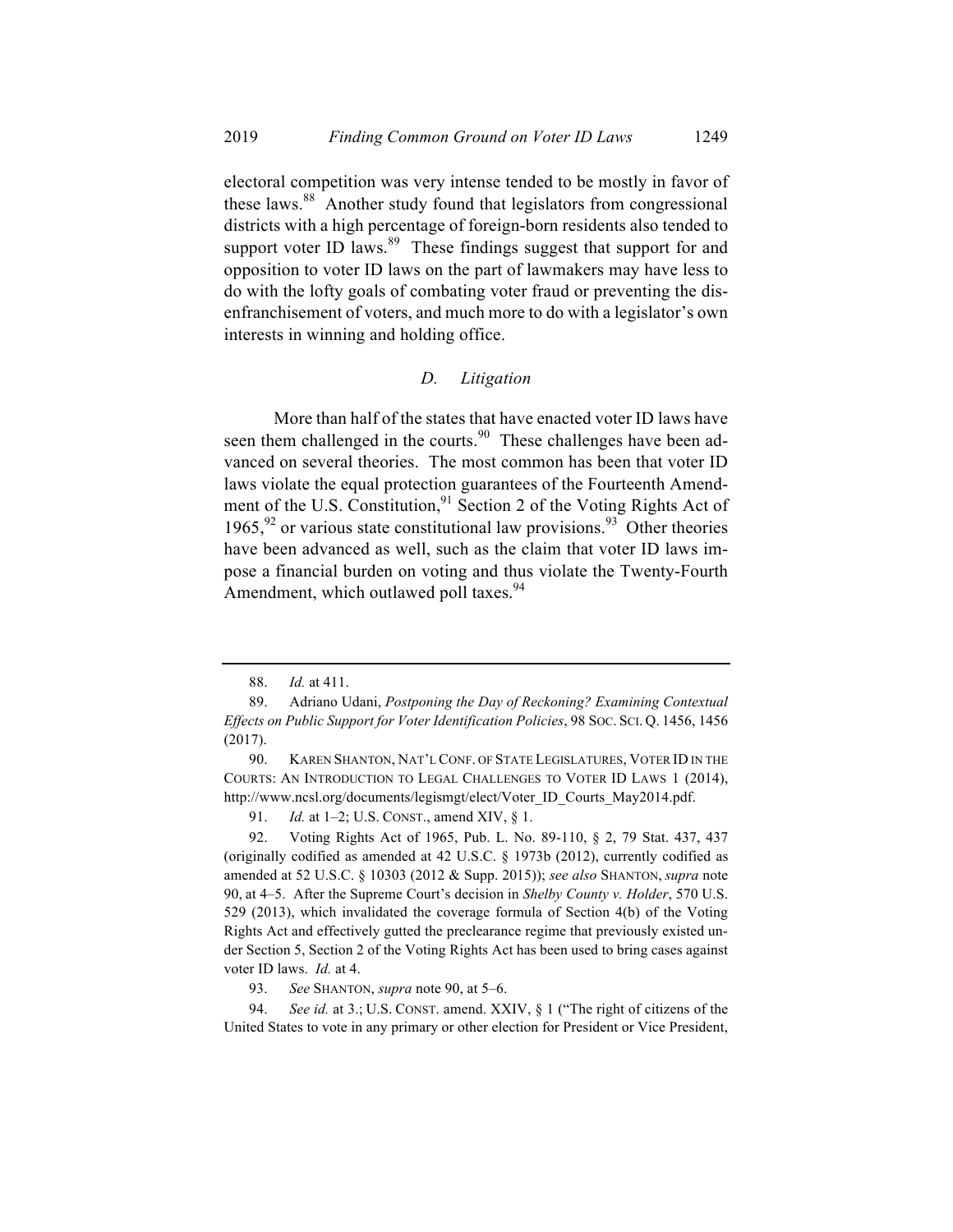electoral competition was very intense tended to be mostly in favor of these laws.<sup>88</sup> Another study found that legislators from congressional districts with a high percentage of foreign-born residents also tended to support voter ID laws.<sup>89</sup> These findings suggest that support for and opposition to voter ID laws on the part of lawmakers may have less to do with the lofty goals of combating voter fraud or preventing the disenfranchisement of voters, and much more to do with a legislator's own interests in winning and holding office.

#### *D. Litigation*

More than half of the states that have enacted voter ID laws have seen them challenged in the courts.<sup>90</sup> These challenges have been advanced on several theories. The most common has been that voter ID laws violate the equal protection guarantees of the Fourteenth Amendment of the U.S. Constitution, $91$  Section 2 of the Voting Rights Act of 1965,  $92$  or various state constitutional law provisions.  $93$  Other theories have been advanced as well, such as the claim that voter ID laws impose a financial burden on voting and thus violate the Twenty-Fourth Amendment, which outlawed poll taxes.<sup>94</sup>

91. *Id.* at 1-2; U.S. CONST., amend XIV, § 1.

92. Voting Rights Act of 1965, Pub. L. No. 89-110, § 2, 79 Stat. 437, 437 (originally codified as amended at 42 U.S.C. § 1973b (2012), currently codified as amended at 52 U.S.C. § 10303 (2012 & Supp. 2015)); *see also* SHANTON, *supra* note 90, at 4–5. After the Supreme Court's decision in *Shelby County v. Holder*, 570 U.S. 529 (2013), which invalidated the coverage formula of Section 4(b) of the Voting Rights Act and effectively gutted the preclearance regime that previously existed under Section 5, Section 2 of the Voting Rights Act has been used to bring cases against voter ID laws. *Id.* at 4.

93. *See* SHANTON, *supra* note 90, at 5–6.

94. *See id.* at 3.; U.S. CONST. amend. XXIV, § 1 ("The right of citizens of the United States to vote in any primary or other election for President or Vice President,

<sup>88.</sup> *Id.* at 411.

<sup>89.</sup> Adriano Udani, *Postponing the Day of Reckoning? Examining Contextual Effects on Public Support for Voter Identification Policies*, 98 SOC. SCI. Q. 1456, 1456 (2017).

<sup>90.</sup> KAREN SHANTON, NAT'L CONF. OF STATE LEGISLATURES, VOTER ID IN THE COURTS: AN INTRODUCTION TO LEGAL CHALLENGES TO VOTER ID LAWS 1 (2014), http://www.ncsl.org/documents/legismgt/elect/Voter\_ID\_Courts\_May2014.pdf.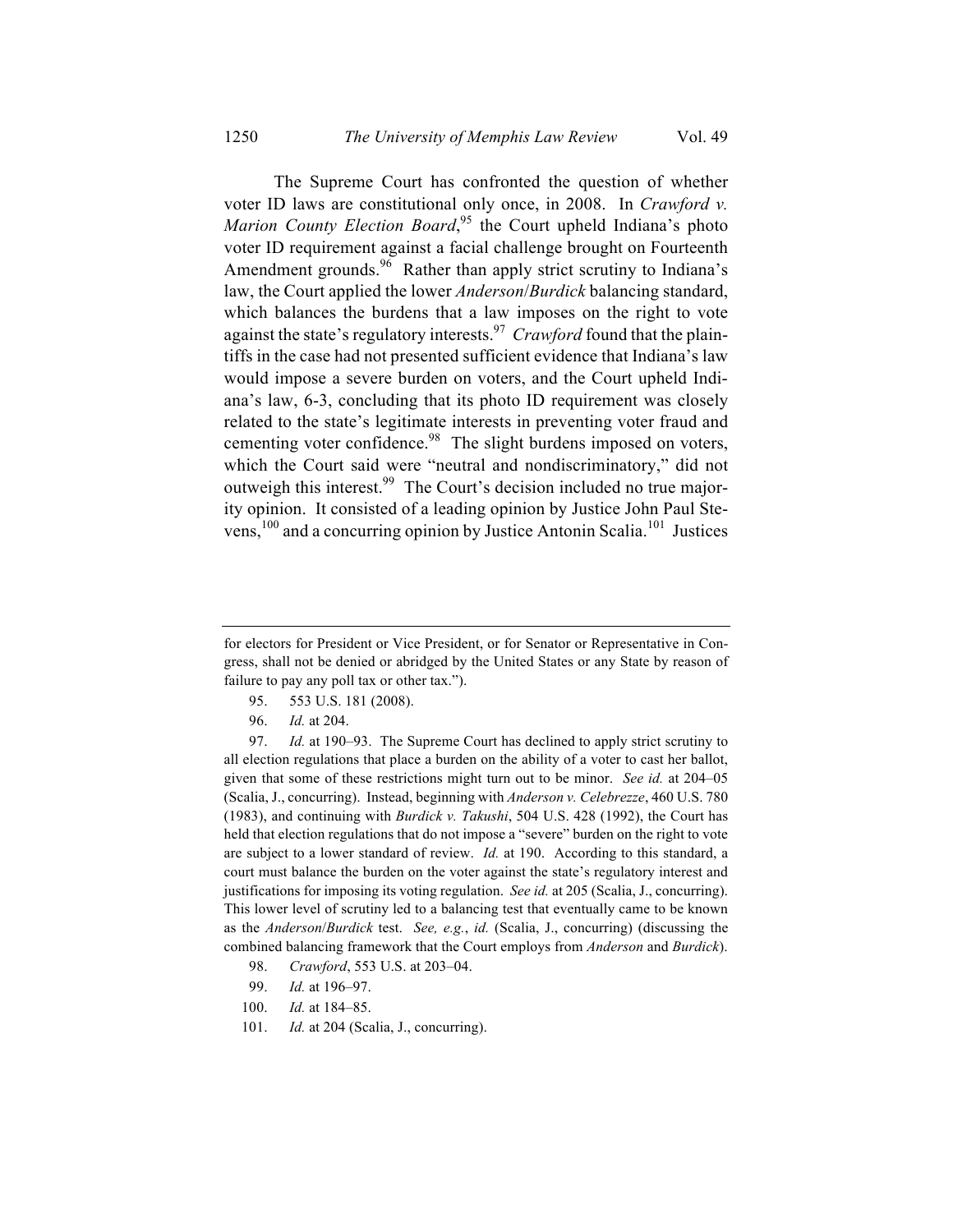The Supreme Court has confronted the question of whether voter ID laws are constitutional only once, in 2008. In *Crawford v.*  Marion County Election Board,<sup>95</sup> the Court upheld Indiana's photo voter ID requirement against a facial challenge brought on Fourteenth Amendment grounds.<sup>96</sup> Rather than apply strict scrutiny to Indiana's law, the Court applied the lower *Anderson*/*Burdick* balancing standard, which balances the burdens that a law imposes on the right to vote against the state's regulatory interests.<sup>97</sup> *Crawford* found that the plaintiffs in the case had not presented sufficient evidence that Indiana's law would impose a severe burden on voters, and the Court upheld Indiana's law, 6-3, concluding that its photo ID requirement was closely related to the state's legitimate interests in preventing voter fraud and cementing voter confidence.<sup>98</sup> The slight burdens imposed on voters, which the Court said were "neutral and nondiscriminatory," did not outweigh this interest.<sup>99</sup> The Court's decision included no true majority opinion. It consisted of a leading opinion by Justice John Paul Stevens,  $^{100}$  and a concurring opinion by Justice Antonin Scalia.<sup>101</sup> Justices

- 95. 553 U.S. 181 (2008).
- 96. *Id.* at 204.

97. *Id.* at 190–93. The Supreme Court has declined to apply strict scrutiny to all election regulations that place a burden on the ability of a voter to cast her ballot, given that some of these restrictions might turn out to be minor. *See id.* at 204–05 (Scalia, J., concurring). Instead, beginning with *Anderson v. Celebrezze*, 460 U.S. 780 (1983), and continuing with *Burdick v. Takushi*, 504 U.S. 428 (1992), the Court has held that election regulations that do not impose a "severe" burden on the right to vote are subject to a lower standard of review. *Id.* at 190. According to this standard, a court must balance the burden on the voter against the state's regulatory interest and justifications for imposing its voting regulation. *See id.* at 205 (Scalia, J., concurring). This lower level of scrutiny led to a balancing test that eventually came to be known as the *Anderson*/*Burdick* test. *See, e.g.*, *id.* (Scalia, J., concurring) (discussing the combined balancing framework that the Court employs from *Anderson* and *Burdick*).

- 98. *Crawford*, 553 U.S. at 203–04.
- 99. *Id.* at 196–97.
- 100. *Id.* at 184–85.
- 101. *Id.* at 204 (Scalia, J., concurring).

for electors for President or Vice President, or for Senator or Representative in Congress, shall not be denied or abridged by the United States or any State by reason of failure to pay any poll tax or other tax.").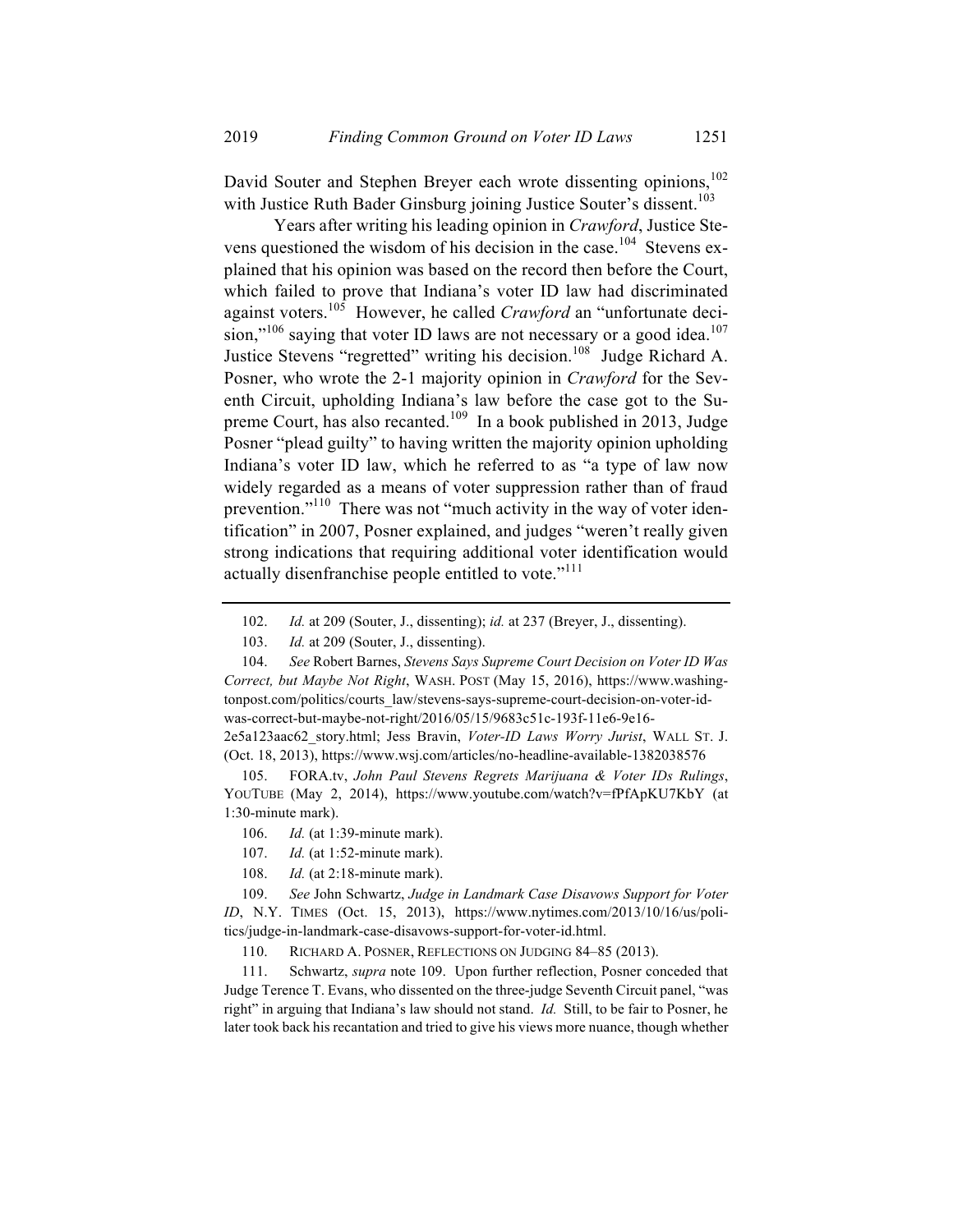David Souter and Stephen Breyer each wrote dissenting opinions,<sup>102</sup> with Justice Ruth Bader Ginsburg joining Justice Souter's dissent.<sup>103</sup>

Years after writing his leading opinion in *Crawford*, Justice Stevens questioned the wisdom of his decision in the case.<sup>104</sup> Stevens explained that his opinion was based on the record then before the Court, which failed to prove that Indiana's voter ID law had discriminated against voters.105 However, he called *Crawford* an "unfortunate decision,"<sup>106</sup> saying that voter ID laws are not necessary or a good idea.<sup>107</sup> Justice Stevens "regretted" writing his decision.<sup>108</sup> Judge Richard A. Posner, who wrote the 2-1 majority opinion in *Crawford* for the Seventh Circuit, upholding Indiana's law before the case got to the Supreme Court, has also recanted.<sup>109</sup> In a book published in 2013, Judge Posner "plead guilty" to having written the majority opinion upholding Indiana's voter ID law, which he referred to as "a type of law now widely regarded as a means of voter suppression rather than of fraud prevention."110 There was not "much activity in the way of voter identification" in 2007, Posner explained, and judges "weren't really given strong indications that requiring additional voter identification would actually disenfranchise people entitled to vote."<sup>111</sup>

104. *See* Robert Barnes, *Stevens Says Supreme Court Decision on Voter ID Was Correct, but Maybe Not Right*, WASH. POST (May 15, 2016), https://www.washingtonpost.com/politics/courts\_law/stevens-says-supreme-court-decision-on-voter-idwas-correct-but-maybe-not-right/2016/05/15/9683c51c-193f-11e6-9e16- 2e5a123aac62\_story.html; Jess Bravin, *Voter-ID Laws Worry Jurist*, WALL ST. J.

(Oct. 18, 2013), https://www.wsj.com/articles/no-headline-available-1382038576

105. FORA.tv, *John Paul Stevens Regrets Marijuana & Voter IDs Rulings*, YOUTUBE (May 2, 2014), https://www.youtube.com/watch?v=fPfApKU7KbY (at 1:30-minute mark).

- 106. *Id.* (at 1:39-minute mark).
- 107. *Id.* (at 1:52-minute mark).
- 108. *Id.* (at 2:18-minute mark).

109. *See* John Schwartz, *Judge in Landmark Case Disavows Support for Voter ID*, N.Y. TIMES (Oct. 15, 2013), https://www.nytimes.com/2013/10/16/us/politics/judge-in-landmark-case-disavows-support-for-voter-id.html.

110. RICHARD A. POSNER, REFLECTIONS ON JUDGING 84–85 (2013).

111. Schwartz, *supra* note 109. Upon further reflection, Posner conceded that Judge Terence T. Evans, who dissented on the three-judge Seventh Circuit panel, "was right" in arguing that Indiana's law should not stand. *Id.* Still, to be fair to Posner, he later took back his recantation and tried to give his views more nuance, though whether

<sup>102.</sup> *Id.* at 209 (Souter, J., dissenting); *id.* at 237 (Breyer, J., dissenting).

<sup>103.</sup> *Id.* at 209 (Souter, J., dissenting).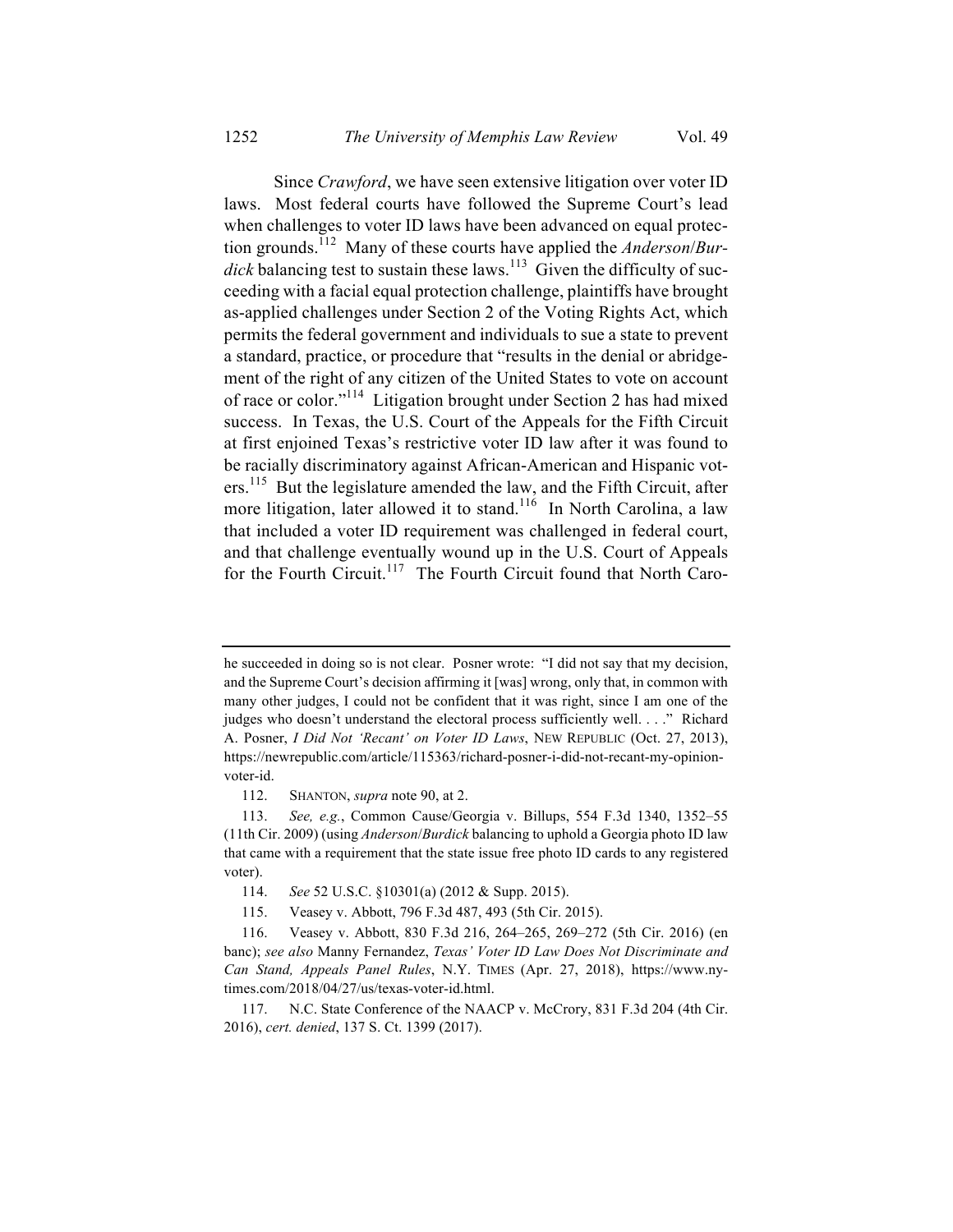Since *Crawford*, we have seen extensive litigation over voter ID laws. Most federal courts have followed the Supreme Court's lead when challenges to voter ID laws have been advanced on equal protection grounds.<sup>112</sup> Many of these courts have applied the *Anderson*/*Bur-* $\overrightarrow{dict}$  balancing test to sustain these laws.<sup>113</sup> Given the difficulty of succeeding with a facial equal protection challenge, plaintiffs have brought as-applied challenges under Section 2 of the Voting Rights Act, which permits the federal government and individuals to sue a state to prevent a standard, practice, or procedure that "results in the denial or abridgement of the right of any citizen of the United States to vote on account of race or color."<sup>114</sup> Litigation brought under Section 2 has had mixed success. In Texas, the U.S. Court of the Appeals for the Fifth Circuit at first enjoined Texas's restrictive voter ID law after it was found to be racially discriminatory against African-American and Hispanic voters.<sup>115</sup> But the legislature amended the law, and the Fifth Circuit, after more litigation, later allowed it to stand.<sup>116</sup> In North Carolina, a law that included a voter ID requirement was challenged in federal court, and that challenge eventually wound up in the U.S. Court of Appeals for the Fourth Circuit.<sup>117</sup> The Fourth Circuit found that North Caro-

he succeeded in doing so is not clear. Posner wrote: "I did not say that my decision, and the Supreme Court's decision affirming it [was] wrong, only that, in common with many other judges, I could not be confident that it was right, since I am one of the judges who doesn't understand the electoral process sufficiently well. . . ." Richard A. Posner, *I Did Not 'Recant' on Voter ID Laws*, NEW REPUBLIC (Oct. 27, 2013), https://newrepublic.com/article/115363/richard-posner-i-did-not-recant-my-opinionvoter-id.

<sup>112.</sup> SHANTON, *supra* note 90, at 2.

<sup>113.</sup> *See, e.g.*, Common Cause/Georgia v. Billups, 554 F.3d 1340, 1352–55 (11th Cir. 2009) (using *Anderson*/*Burdick* balancing to uphold a Georgia photo ID law that came with a requirement that the state issue free photo ID cards to any registered voter).

<sup>114.</sup> *See* 52 U.S.C. §10301(a) (2012 & Supp. 2015).

<sup>115.</sup> Veasey v. Abbott, 796 F.3d 487, 493 (5th Cir. 2015).

<sup>116.</sup> Veasey v. Abbott, 830 F.3d 216, 264–265, 269–272 (5th Cir. 2016) (en banc); *see also* Manny Fernandez, *Texas' Voter ID Law Does Not Discriminate and Can Stand, Appeals Panel Rules*, N.Y. TIMES (Apr. 27, 2018), https://www.nytimes.com/2018/04/27/us/texas-voter-id.html.

<sup>117.</sup> N.C. State Conference of the NAACP v. McCrory, 831 F.3d 204 (4th Cir. 2016), *cert. denied*, 137 S. Ct. 1399 (2017).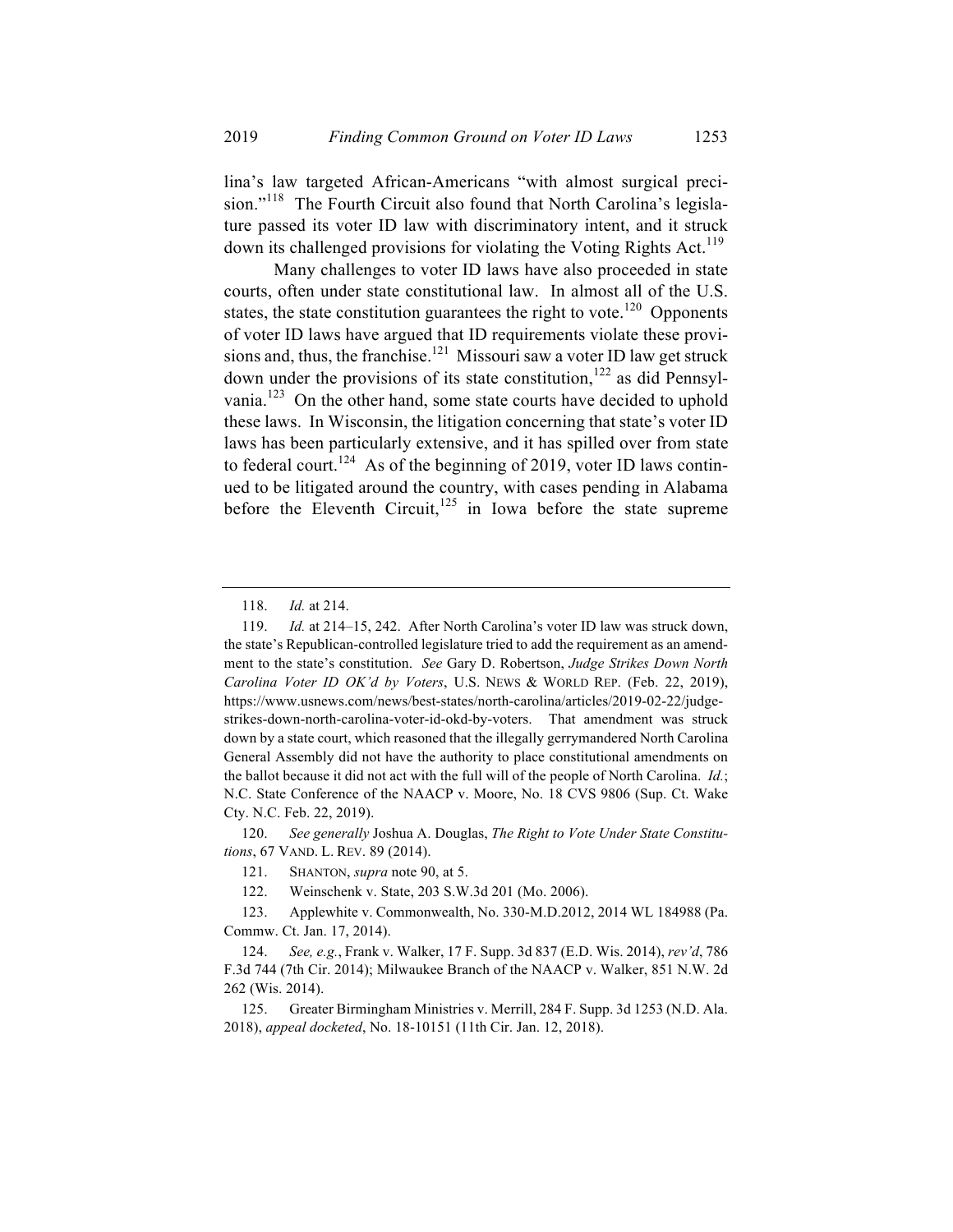lina's law targeted African-Americans "with almost surgical precision."<sup>118</sup> The Fourth Circuit also found that North Carolina's legislature passed its voter ID law with discriminatory intent, and it struck down its challenged provisions for violating the Voting Rights Act.<sup>119</sup>

Many challenges to voter ID laws have also proceeded in state courts, often under state constitutional law. In almost all of the U.S. states, the state constitution guarantees the right to vote.<sup>120</sup> Opponents of voter ID laws have argued that ID requirements violate these provisions and, thus, the franchise.<sup>121</sup> Missouri saw a voter ID law get struck down under the provisions of its state constitution,<sup>122</sup> as did Pennsylvania.<sup>123</sup> On the other hand, some state courts have decided to uphold these laws. In Wisconsin, the litigation concerning that state's voter ID laws has been particularly extensive, and it has spilled over from state to federal court.<sup>124</sup> As of the beginning of 2019, voter ID laws continued to be litigated around the country, with cases pending in Alabama before the Eleventh Circuit, $125$  in Iowa before the state supreme

120. *See generally* Joshua A. Douglas, *The Right to Vote Under State Constitutions*, 67 VAND. L. REV. 89 (2014).

<sup>118.</sup> *Id.* at 214.

<sup>119.</sup> *Id.* at 214–15, 242. After North Carolina's voter ID law was struck down, the state's Republican-controlled legislature tried to add the requirement as an amendment to the state's constitution. *See* Gary D. Robertson, *Judge Strikes Down North Carolina Voter ID OK'd by Voters*, U.S. NEWS & WORLD REP. (Feb. 22, 2019), https://www.usnews.com/news/best-states/north-carolina/articles/2019-02-22/judgestrikes-down-north-carolina-voter-id-okd-by-voters. That amendment was struck down by a state court, which reasoned that the illegally gerrymandered North Carolina General Assembly did not have the authority to place constitutional amendments on the ballot because it did not act with the full will of the people of North Carolina. *Id.*; N.C. State Conference of the NAACP v. Moore, No. 18 CVS 9806 (Sup. Ct. Wake Cty. N.C. Feb. 22, 2019).

<sup>121.</sup> SHANTON, *supra* note 90, at 5.

<sup>122.</sup> Weinschenk v. State, 203 S.W.3d 201 (Mo. 2006).

<sup>123.</sup> Applewhite v. Commonwealth, No. 330-M.D.2012, 2014 WL 184988 (Pa. Commw. Ct. Jan. 17, 2014).

<sup>124.</sup> *See, e.g.*, Frank v. Walker, 17 F. Supp. 3d 837 (E.D. Wis. 2014), *rev'd*, 786 F.3d 744 (7th Cir. 2014); Milwaukee Branch of the NAACP v. Walker, 851 N.W. 2d 262 (Wis. 2014).

<sup>125.</sup> Greater Birmingham Ministries v. Merrill, 284 F. Supp. 3d 1253 (N.D. Ala. 2018), *appeal docketed*, No. 18-10151 (11th Cir. Jan. 12, 2018).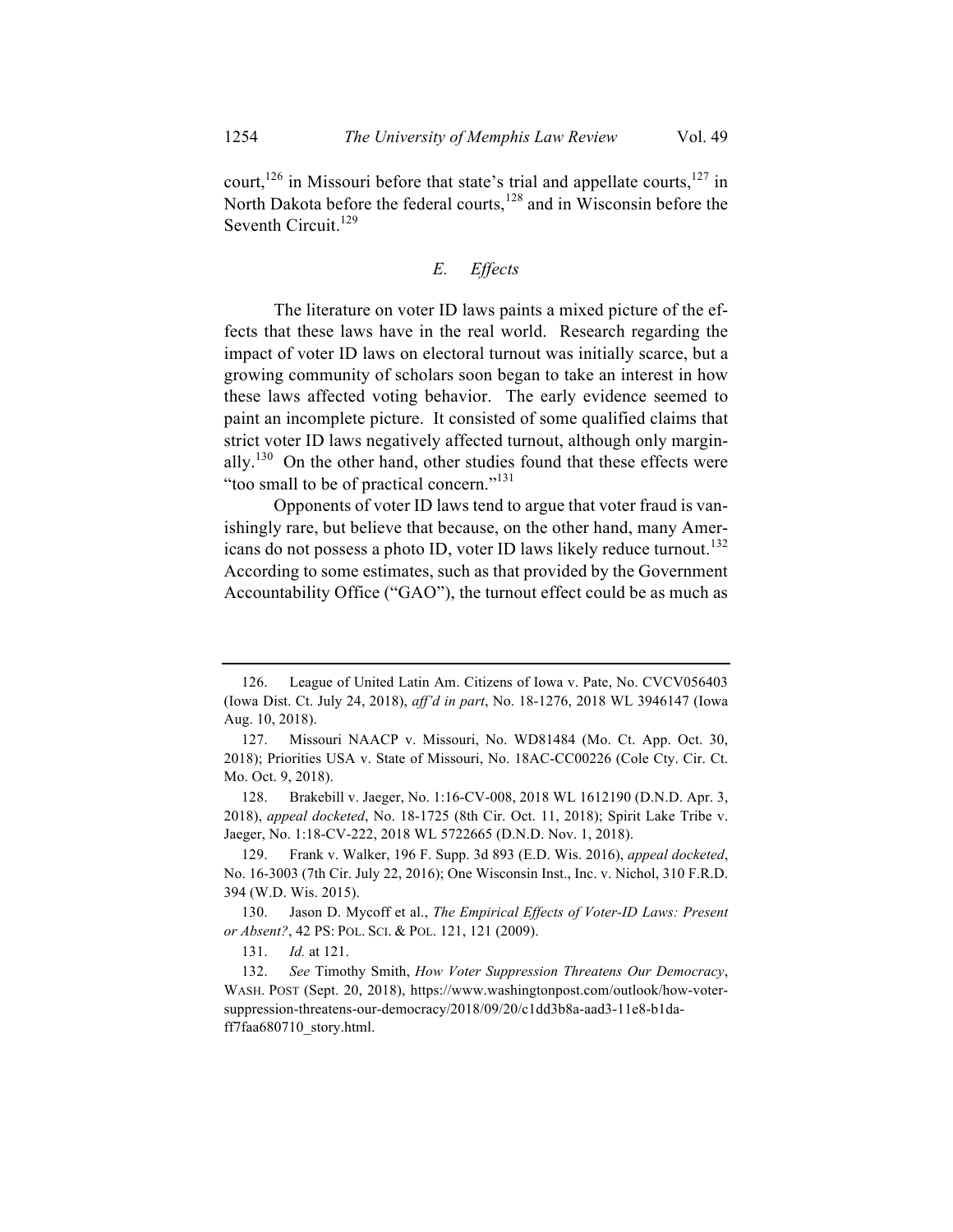court,  $126$  in Missouri before that state's trial and appellate courts,  $127$  in North Dakota before the federal courts, $128$  and in Wisconsin before the Seventh Circuit.<sup>129</sup>

# *E. Effects*

The literature on voter ID laws paints a mixed picture of the effects that these laws have in the real world. Research regarding the impact of voter ID laws on electoral turnout was initially scarce, but a growing community of scholars soon began to take an interest in how these laws affected voting behavior. The early evidence seemed to paint an incomplete picture. It consisted of some qualified claims that strict voter ID laws negatively affected turnout, although only marginally.<sup>130</sup> On the other hand, other studies found that these effects were "too small to be of practical concern."<sup>131</sup>

Opponents of voter ID laws tend to argue that voter fraud is vanishingly rare, but believe that because, on the other hand, many Americans do not possess a photo ID, voter ID laws likely reduce turnout.<sup>132</sup> According to some estimates, such as that provided by the Government Accountability Office ("GAO"), the turnout effect could be as much as

128. Brakebill v. Jaeger, No. 1:16-CV-008, 2018 WL 1612190 (D.N.D. Apr. 3, 2018), *appeal docketed*, No. 18-1725 (8th Cir. Oct. 11, 2018); Spirit Lake Tribe v. Jaeger, No. 1:18-CV-222, 2018 WL 5722665 (D.N.D. Nov. 1, 2018).

129. Frank v. Walker, 196 F. Supp. 3d 893 (E.D. Wis. 2016), *appeal docketed*, No. 16-3003 (7th Cir. July 22, 2016); One Wisconsin Inst., Inc. v. Nichol, 310 F.R.D. 394 (W.D. Wis. 2015).

130. Jason D. Mycoff et al., *The Empirical Effects of Voter-ID Laws: Present or Absent?*, 42 PS: POL. SCI. & POL. 121, 121 (2009).

131. *Id.* at 121.

<sup>126.</sup> League of United Latin Am. Citizens of Iowa v. Pate, No. CVCV056403 (Iowa Dist. Ct. July 24, 2018), *aff'd in part*, No. 18-1276, 2018 WL 3946147 (Iowa Aug. 10, 2018).

<sup>127.</sup> Missouri NAACP v. Missouri, No. WD81484 (Mo. Ct. App. Oct. 30, 2018); Priorities USA v. State of Missouri, No. 18AC-CC00226 (Cole Cty. Cir. Ct. Mo. Oct. 9, 2018).

<sup>132.</sup> *See* Timothy Smith, *How Voter Suppression Threatens Our Democracy*, WASH. POST (Sept. 20, 2018), https://www.washingtonpost.com/outlook/how-votersuppression-threatens-our-democracy/2018/09/20/c1dd3b8a-aad3-11e8-b1daff7faa680710\_story.html.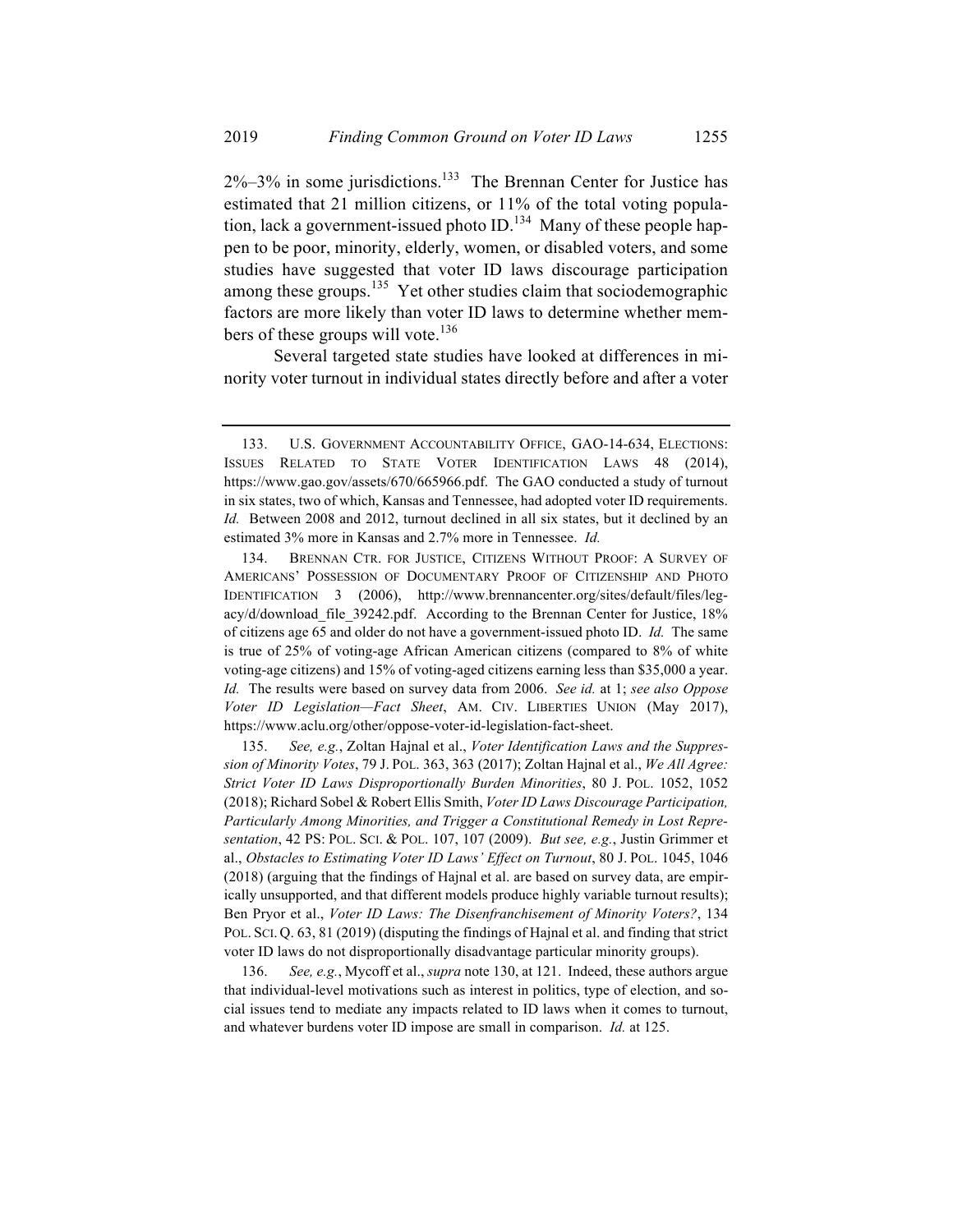$2\% - 3\%$  in some jurisdictions.<sup>133</sup> The Brennan Center for Justice has estimated that 21 million citizens, or 11% of the total voting population, lack a government-issued photo  $ID<sup>134</sup>$  Many of these people happen to be poor, minority, elderly, women, or disabled voters, and some studies have suggested that voter ID laws discourage participation among these groups.<sup>135</sup> Yet other studies claim that sociodemographic factors are more likely than voter ID laws to determine whether members of these groups will vote.<sup>136</sup>

Several targeted state studies have looked at differences in minority voter turnout in individual states directly before and after a voter

<sup>133.</sup> U.S. GOVERNMENT ACCOUNTABILITY OFFICE, GAO-14-634, ELECTIONS: ISSUES RELATED TO STATE VOTER IDENTIFICATION LAWS 48 (2014), https://www.gao.gov/assets/670/665966.pdf. The GAO conducted a study of turnout in six states, two of which, Kansas and Tennessee, had adopted voter ID requirements. *Id.* Between 2008 and 2012, turnout declined in all six states, but it declined by an estimated 3% more in Kansas and 2.7% more in Tennessee. *Id.*

<sup>134.</sup> BRENNAN CTR. FOR JUSTICE, CITIZENS WITHOUT PROOF: A SURVEY OF AMERICANS' POSSESSION OF DOCUMENTARY PROOF OF CITIZENSHIP AND PHOTO IDENTIFICATION 3 (2006), http://www.brennancenter.org/sites/default/files/legacy/d/download\_file\_39242.pdf. According to the Brennan Center for Justice, 18% of citizens age 65 and older do not have a government-issued photo ID. *Id.* The same is true of 25% of voting-age African American citizens (compared to 8% of white voting-age citizens) and 15% of voting-aged citizens earning less than \$35,000 a year. *Id.* The results were based on survey data from 2006. *See id.* at 1; *see also Oppose Voter ID Legislation—Fact Sheet*, AM. CIV. LIBERTIES UNION (May 2017), https://www.aclu.org/other/oppose-voter-id-legislation-fact-sheet.

<sup>135.</sup> *See, e.g.*, Zoltan Hajnal et al., *Voter Identification Laws and the Suppression of Minority Votes*, 79 J. POL. 363, 363 (2017); Zoltan Hajnal et al., *We All Agree: Strict Voter ID Laws Disproportionally Burden Minorities*, 80 J. POL. 1052, 1052 (2018); Richard Sobel & Robert Ellis Smith, *Voter ID Laws Discourage Participation, Particularly Among Minorities, and Trigger a Constitutional Remedy in Lost Representation*, 42 PS: POL. SCI. & POL. 107, 107 (2009). *But see, e.g.*, Justin Grimmer et al., *Obstacles to Estimating Voter ID Laws' Effect on Turnout*, 80 J. POL. 1045, 1046 (2018) (arguing that the findings of Hajnal et al. are based on survey data, are empirically unsupported, and that different models produce highly variable turnout results); Ben Pryor et al., *Voter ID Laws: The Disenfranchisement of Minority Voters?*, 134 POL. SCI. Q. 63, 81 (2019) (disputing the findings of Hajnal et al. and finding that strict voter ID laws do not disproportionally disadvantage particular minority groups).

<sup>136.</sup> *See, e.g.*, Mycoff et al., *supra* note 130, at 121. Indeed, these authors argue that individual-level motivations such as interest in politics, type of election, and social issues tend to mediate any impacts related to ID laws when it comes to turnout, and whatever burdens voter ID impose are small in comparison. *Id.* at 125.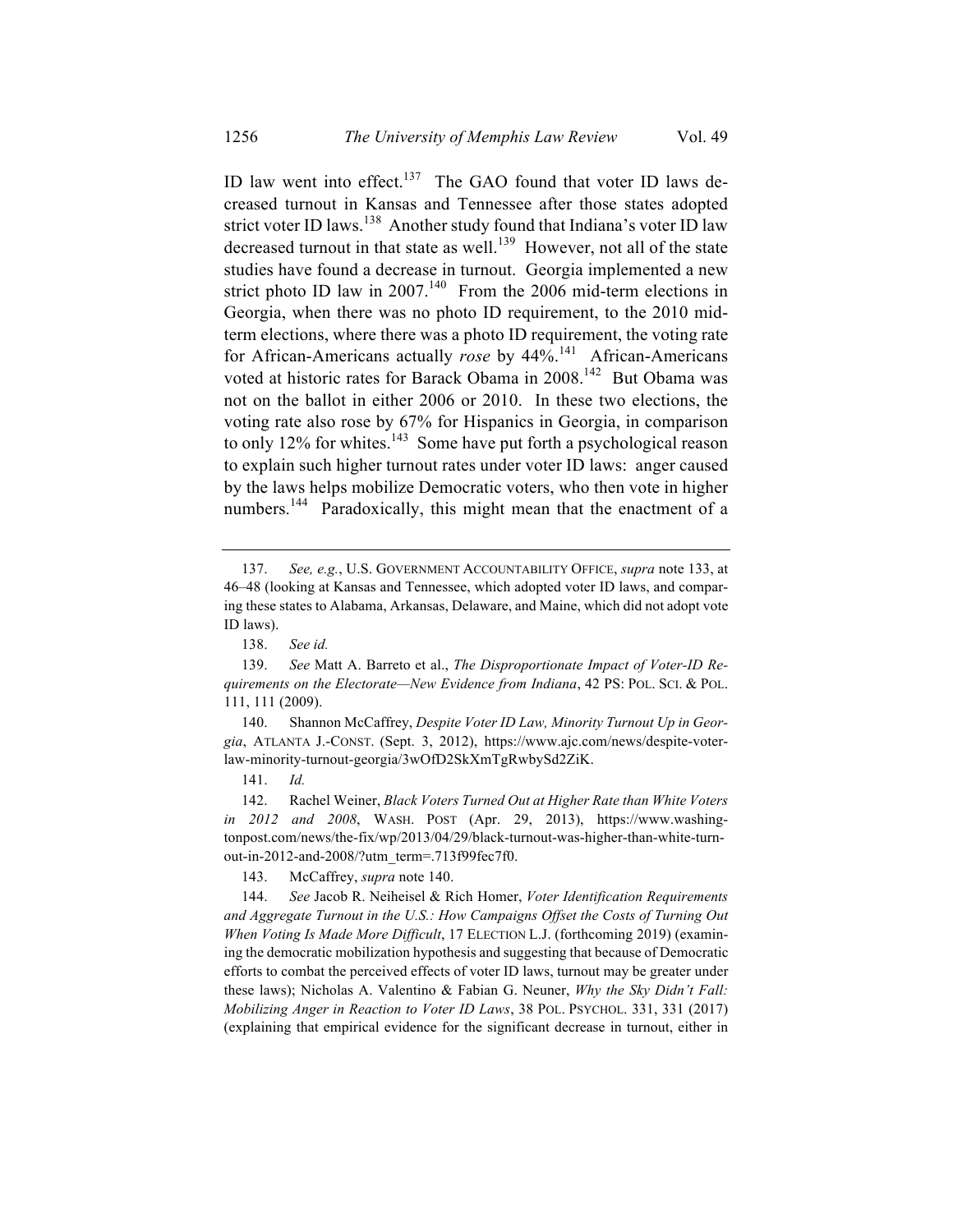ID law went into effect.<sup>137</sup> The GAO found that voter ID laws decreased turnout in Kansas and Tennessee after those states adopted strict voter ID laws.<sup>138</sup> Another study found that Indiana's voter ID law decreased turnout in that state as well.<sup>139</sup> However, not all of the state studies have found a decrease in turnout. Georgia implemented a new strict photo ID law in  $2007<sup>140</sup>$  From the 2006 mid-term elections in Georgia, when there was no photo ID requirement, to the 2010 midterm elections, where there was a photo ID requirement, the voting rate for African-Americans actually *rose* by 44%.<sup>141</sup> African-Americans voted at historic rates for Barack Obama in 2008.<sup>142</sup> But Obama was not on the ballot in either 2006 or 2010. In these two elections, the voting rate also rose by 67% for Hispanics in Georgia, in comparison to only 12% for whites.<sup>143</sup> Some have put forth a psychological reason to explain such higher turnout rates under voter ID laws: anger caused by the laws helps mobilize Democratic voters, who then vote in higher numbers.<sup>144</sup> Paradoxically, this might mean that the enactment of a

140. Shannon McCaffrey, *Despite Voter ID Law, Minority Turnout Up in Georgia*, ATLANTA J.-CONST. (Sept. 3, 2012), https://www.ajc.com/news/despite-voterlaw-minority-turnout-georgia/3wOfD2SkXmTgRwbySd2ZiK.

141. *Id.*

142. Rachel Weiner, *Black Voters Turned Out at Higher Rate than White Voters in 2012 and 2008*, WASH. POST (Apr. 29, 2013), https://www.washingtonpost.com/news/the-fix/wp/2013/04/29/black-turnout-was-higher-than-white-turnout-in-2012-and-2008/?utm\_term=.713f99fec7f0.

143. McCaffrey, *supra* note 140.

144. *See* Jacob R. Neiheisel & Rich Homer, *Voter Identification Requirements and Aggregate Turnout in the U.S.: How Campaigns Offset the Costs of Turning Out When Voting Is Made More Difficult*, 17 ELECTION L.J. (forthcoming 2019) (examining the democratic mobilization hypothesis and suggesting that because of Democratic efforts to combat the perceived effects of voter ID laws, turnout may be greater under these laws); Nicholas A. Valentino & Fabian G. Neuner, *Why the Sky Didn't Fall: Mobilizing Anger in Reaction to Voter ID Laws*, 38 POL. PSYCHOL. 331, 331 (2017) (explaining that empirical evidence for the significant decrease in turnout, either in

<sup>137.</sup> *See, e.g.*, U.S. GOVERNMENT ACCOUNTABILITY OFFICE, *supra* note 133, at 46–48 (looking at Kansas and Tennessee, which adopted voter ID laws, and comparing these states to Alabama, Arkansas, Delaware, and Maine, which did not adopt vote ID laws).

<sup>138.</sup> *See id.*

<sup>139.</sup> *See* Matt A. Barreto et al., *The Disproportionate Impact of Voter-ID Requirements on the Electorate—New Evidence from Indiana*, 42 PS: POL. SCI. & POL. 111, 111 (2009).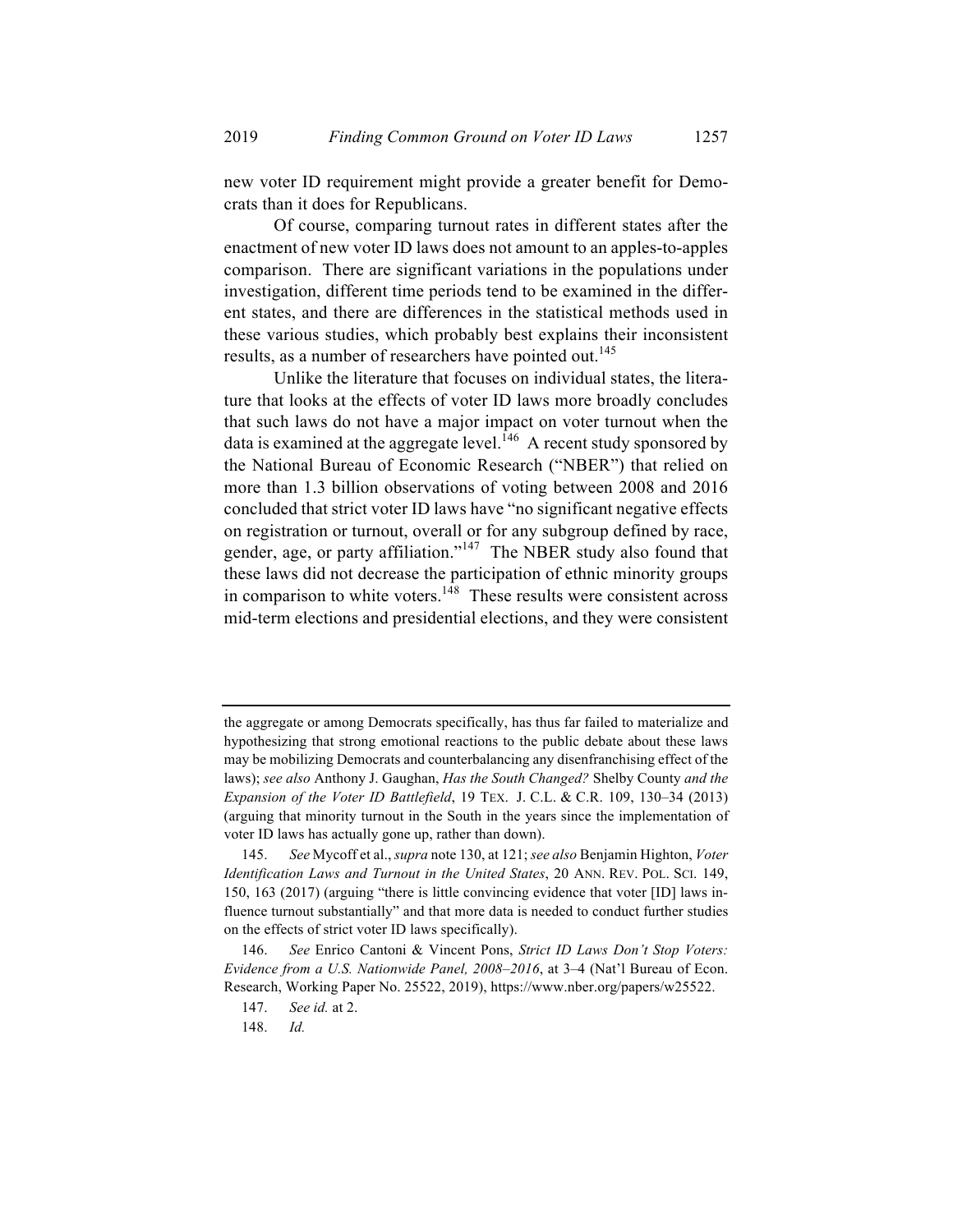new voter ID requirement might provide a greater benefit for Democrats than it does for Republicans.

Of course, comparing turnout rates in different states after the enactment of new voter ID laws does not amount to an apples-to-apples comparison. There are significant variations in the populations under investigation, different time periods tend to be examined in the different states, and there are differences in the statistical methods used in these various studies, which probably best explains their inconsistent results, as a number of researchers have pointed out.<sup>145</sup>

Unlike the literature that focuses on individual states, the literature that looks at the effects of voter ID laws more broadly concludes that such laws do not have a major impact on voter turnout when the data is examined at the aggregate level.<sup>146</sup> A recent study sponsored by the National Bureau of Economic Research ("NBER") that relied on more than 1.3 billion observations of voting between 2008 and 2016 concluded that strict voter ID laws have "no significant negative effects on registration or turnout, overall or for any subgroup defined by race, gender, age, or party affiliation."<sup>147</sup> The NBER study also found that these laws did not decrease the participation of ethnic minority groups in comparison to white voters. $148$  These results were consistent across mid-term elections and presidential elections, and they were consistent

the aggregate or among Democrats specifically, has thus far failed to materialize and hypothesizing that strong emotional reactions to the public debate about these laws may be mobilizing Democrats and counterbalancing any disenfranchising effect of the laws); *see also* Anthony J. Gaughan, *Has the South Changed?* Shelby County *and the Expansion of the Voter ID Battlefield*, 19 TEX. J. C.L. & C.R. 109, 130–34 (2013) (arguing that minority turnout in the South in the years since the implementation of voter ID laws has actually gone up, rather than down).

<sup>145.</sup> *See* Mycoff et al., *supra* note 130, at 121; *see also* Benjamin Highton, *Voter Identification Laws and Turnout in the United States*, 20 ANN. REV. POL. SCI. 149, 150, 163 (2017) (arguing "there is little convincing evidence that voter [ID] laws influence turnout substantially" and that more data is needed to conduct further studies on the effects of strict voter ID laws specifically).

<sup>146.</sup> *See* Enrico Cantoni & Vincent Pons, *Strict ID Laws Don't Stop Voters: Evidence from a U.S. Nationwide Panel, 2008–2016*, at 3–4 (Nat'l Bureau of Econ. Research, Working Paper No. 25522, 2019), https://www.nber.org/papers/w25522.

<sup>147.</sup> *See id.* at 2.

<sup>148.</sup> *Id.*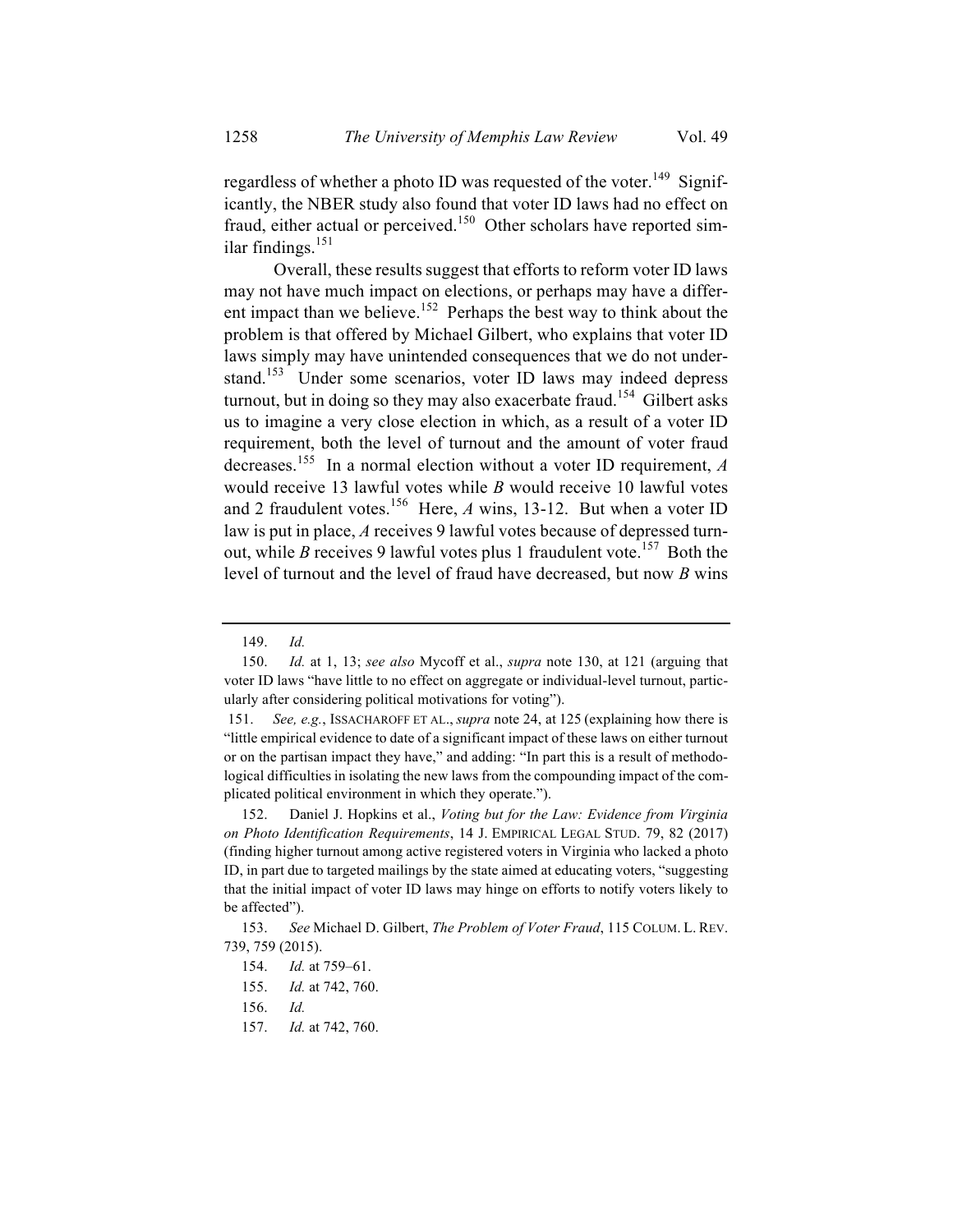regardless of whether a photo ID was requested of the voter.<sup>149</sup> Significantly, the NBER study also found that voter ID laws had no effect on fraud, either actual or perceived.<sup>150</sup> Other scholars have reported similar findings. $151$ 

Overall, these results suggest that efforts to reform voter ID laws may not have much impact on elections, or perhaps may have a different impact than we believe.<sup>152</sup> Perhaps the best way to think about the problem is that offered by Michael Gilbert, who explains that voter ID laws simply may have unintended consequences that we do not understand.<sup>153</sup> Under some scenarios, voter ID laws may indeed depress turnout, but in doing so they may also exacerbate fraud.<sup>154</sup> Gilbert asks us to imagine a very close election in which, as a result of a voter ID requirement, both the level of turnout and the amount of voter fraud decreases. <sup>155</sup> In a normal election without a voter ID requirement, *A* would receive 13 lawful votes while *B* would receive 10 lawful votes and 2 fraudulent votes.<sup>156</sup> Here,  $A$  wins, 13-12. But when a voter ID law is put in place, *A* receives 9 lawful votes because of depressed turnout, while *B* receives 9 lawful votes plus 1 fraudulent vote.<sup>157</sup> Both the level of turnout and the level of fraud have decreased, but now *B* wins

<sup>149.</sup> *Id.*

<sup>150.</sup> *Id.* at 1, 13; *see also* Mycoff et al., *supra* note 130, at 121 (arguing that voter ID laws "have little to no effect on aggregate or individual-level turnout, particularly after considering political motivations for voting").

<sup>151.</sup> *See, e.g.*, ISSACHAROFF ET AL., *supra* note 24, at 125 (explaining how there is "little empirical evidence to date of a significant impact of these laws on either turnout or on the partisan impact they have," and adding: "In part this is a result of methodological difficulties in isolating the new laws from the compounding impact of the complicated political environment in which they operate.").

<sup>152.</sup> Daniel J. Hopkins et al., *Voting but for the Law: Evidence from Virginia on Photo Identification Requirements*, 14 J. EMPIRICAL LEGAL STUD. 79, 82 (2017) (finding higher turnout among active registered voters in Virginia who lacked a photo ID, in part due to targeted mailings by the state aimed at educating voters, "suggesting that the initial impact of voter ID laws may hinge on efforts to notify voters likely to be affected").

<sup>153.</sup> *See* Michael D. Gilbert, *The Problem of Voter Fraud*, 115 COLUM. L. REV. 739, 759 (2015).

<sup>154.</sup> *Id.* at 759–61.

<sup>155.</sup> *Id.* at 742, 760.

<sup>156.</sup> *Id.*

<sup>157.</sup> *Id.* at 742, 760.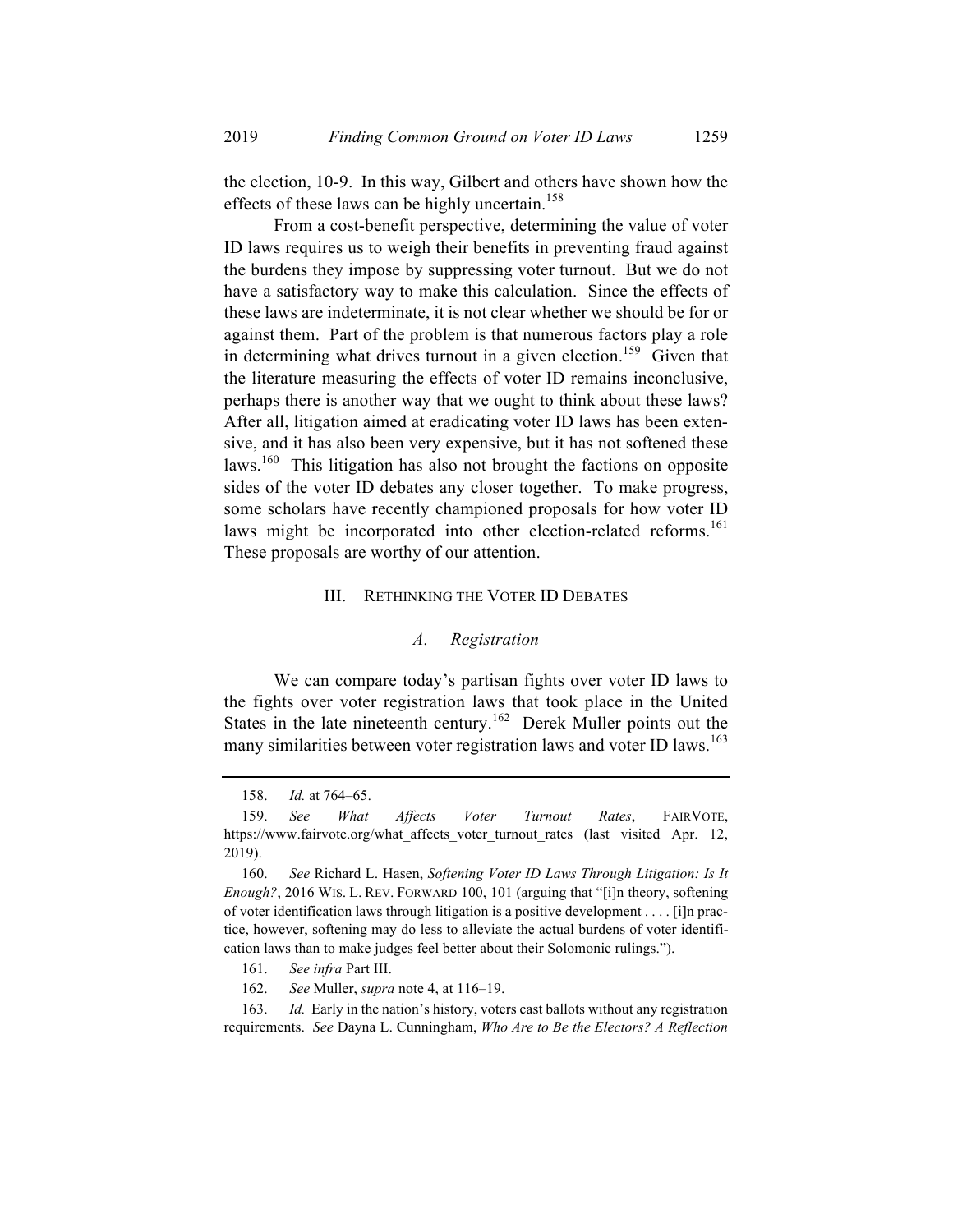the election, 10-9. In this way, Gilbert and others have shown how the effects of these laws can be highly uncertain.<sup>158</sup>

From a cost-benefit perspective, determining the value of voter ID laws requires us to weigh their benefits in preventing fraud against the burdens they impose by suppressing voter turnout. But we do not have a satisfactory way to make this calculation. Since the effects of these laws are indeterminate, it is not clear whether we should be for or against them. Part of the problem is that numerous factors play a role in determining what drives turnout in a given election.<sup>159</sup> Given that the literature measuring the effects of voter ID remains inconclusive, perhaps there is another way that we ought to think about these laws? After all, litigation aimed at eradicating voter ID laws has been extensive, and it has also been very expensive, but it has not softened these laws.<sup>160</sup> This litigation has also not brought the factions on opposite sides of the voter ID debates any closer together. To make progress, some scholars have recently championed proposals for how voter ID laws might be incorporated into other election-related reforms.<sup>161</sup> These proposals are worthy of our attention.

#### III. RETHINKING THE VOTER ID DEBATES

#### *A. Registration*

We can compare today's partisan fights over voter ID laws to the fights over voter registration laws that took place in the United States in the late nineteenth century.<sup>162</sup> Derek Muller points out the many similarities between voter registration laws and voter ID laws.<sup>163</sup>

162. *See* Muller, *supra* note 4, at 116–19.

163. *Id.* Early in the nation's history, voters cast ballots without any registration requirements. *See* Dayna L. Cunningham, *Who Are to Be the Electors? A Reflection* 

<sup>158.</sup> *Id.* at 764–65.

<sup>159.</sup> *See What Affects Voter Turnout Rates*, FAIRVOTE, https://www.fairvote.org/what affects voter turnout rates (last visited Apr. 12, 2019).

<sup>160.</sup> *See* Richard L. Hasen, *Softening Voter ID Laws Through Litigation: Is It Enough?*, 2016 WIS. L. REV. FORWARD 100, 101 (arguing that "[i]n theory, softening of voter identification laws through litigation is a positive development . . . . [i]n practice, however, softening may do less to alleviate the actual burdens of voter identification laws than to make judges feel better about their Solomonic rulings.").

<sup>161.</sup> *See infra* Part III.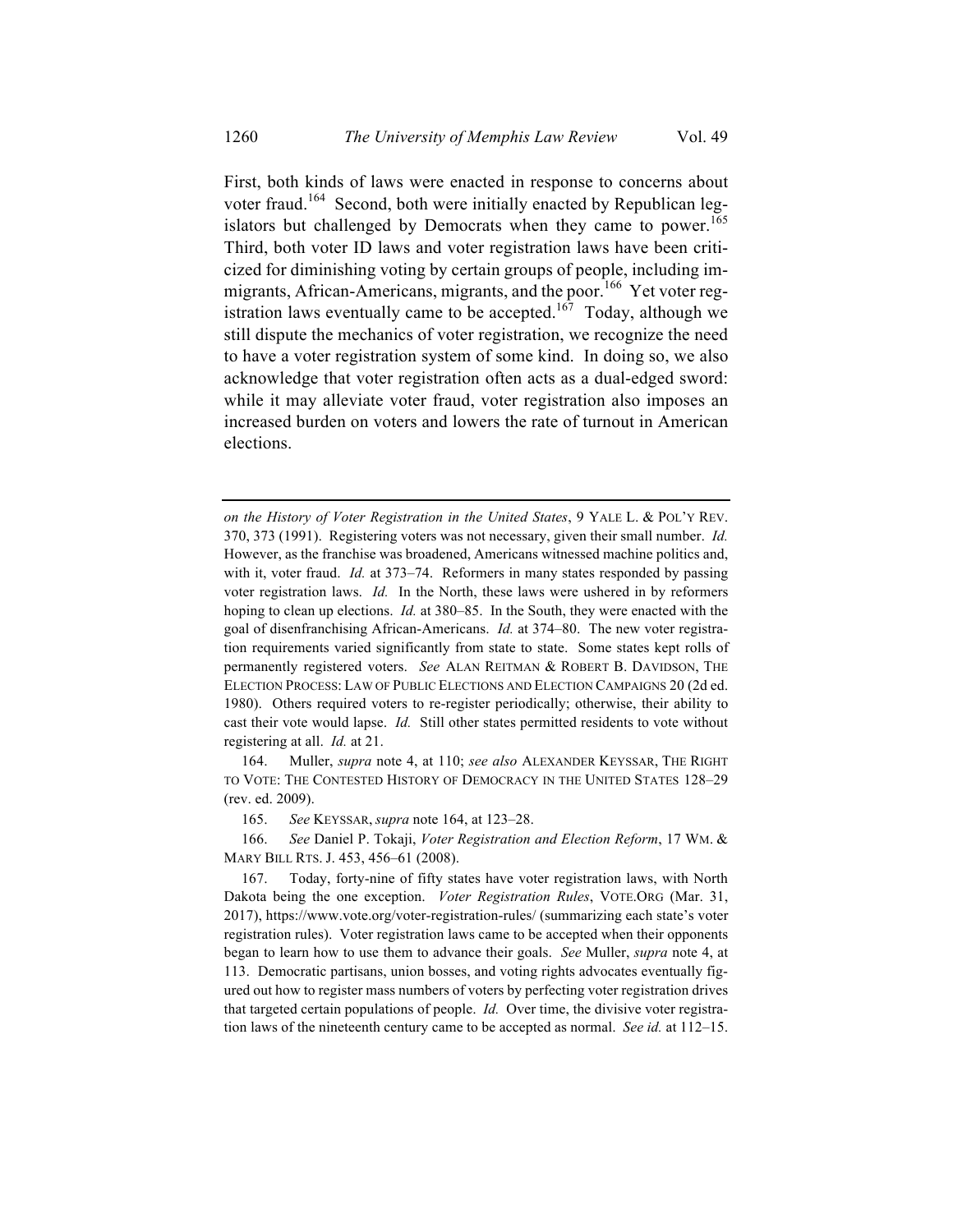First, both kinds of laws were enacted in response to concerns about voter fraud.<sup>164</sup> Second, both were initially enacted by Republican legislators but challenged by Democrats when they came to power.<sup>165</sup> Third, both voter ID laws and voter registration laws have been criticized for diminishing voting by certain groups of people, including immigrants, African-Americans, migrants, and the poor.<sup>166</sup> Yet voter registration laws eventually came to be accepted.<sup>167</sup> Today, although we still dispute the mechanics of voter registration, we recognize the need to have a voter registration system of some kind. In doing so, we also acknowledge that voter registration often acts as a dual-edged sword: while it may alleviate voter fraud, voter registration also imposes an increased burden on voters and lowers the rate of turnout in American elections.

164. Muller, *supra* note 4, at 110; *see also* ALEXANDER KEYSSAR, THE RIGHT TO VOTE: THE CONTESTED HISTORY OF DEMOCRACY IN THE UNITED STATES 128–29 (rev. ed. 2009).

165. *See* KEYSSAR, *supra* note 164, at 123–28.

166. *See* Daniel P. Tokaji, *Voter Registration and Election Reform*, 17 WM. & MARY BILL RTS. J. 453, 456–61 (2008).

167. Today, forty-nine of fifty states have voter registration laws, with North Dakota being the one exception. *Voter Registration Rules*, VOTE.ORG (Mar. 31, 2017), https://www.vote.org/voter-registration-rules/ (summarizing each state's voter registration rules). Voter registration laws came to be accepted when their opponents began to learn how to use them to advance their goals. *See* Muller, *supra* note 4, at 113. Democratic partisans, union bosses, and voting rights advocates eventually figured out how to register mass numbers of voters by perfecting voter registration drives that targeted certain populations of people. *Id.* Over time, the divisive voter registration laws of the nineteenth century came to be accepted as normal. *See id.* at 112–15.

*on the History of Voter Registration in the United States*, 9 YALE L. & POL'Y REV. 370, 373 (1991). Registering voters was not necessary, given their small number. *Id.* However, as the franchise was broadened, Americans witnessed machine politics and, with it, voter fraud. *Id.* at 373–74. Reformers in many states responded by passing voter registration laws. *Id.* In the North, these laws were ushered in by reformers hoping to clean up elections. *Id.* at 380–85. In the South, they were enacted with the goal of disenfranchising African-Americans. *Id.* at 374–80. The new voter registration requirements varied significantly from state to state. Some states kept rolls of permanently registered voters. *See* ALAN REITMAN & ROBERT B. DAVIDSON, THE ELECTION PROCESS: LAW OF PUBLIC ELECTIONS AND ELECTION CAMPAIGNS 20 (2d ed. 1980). Others required voters to re-register periodically; otherwise, their ability to cast their vote would lapse. *Id.* Still other states permitted residents to vote without registering at all. *Id.* at 21.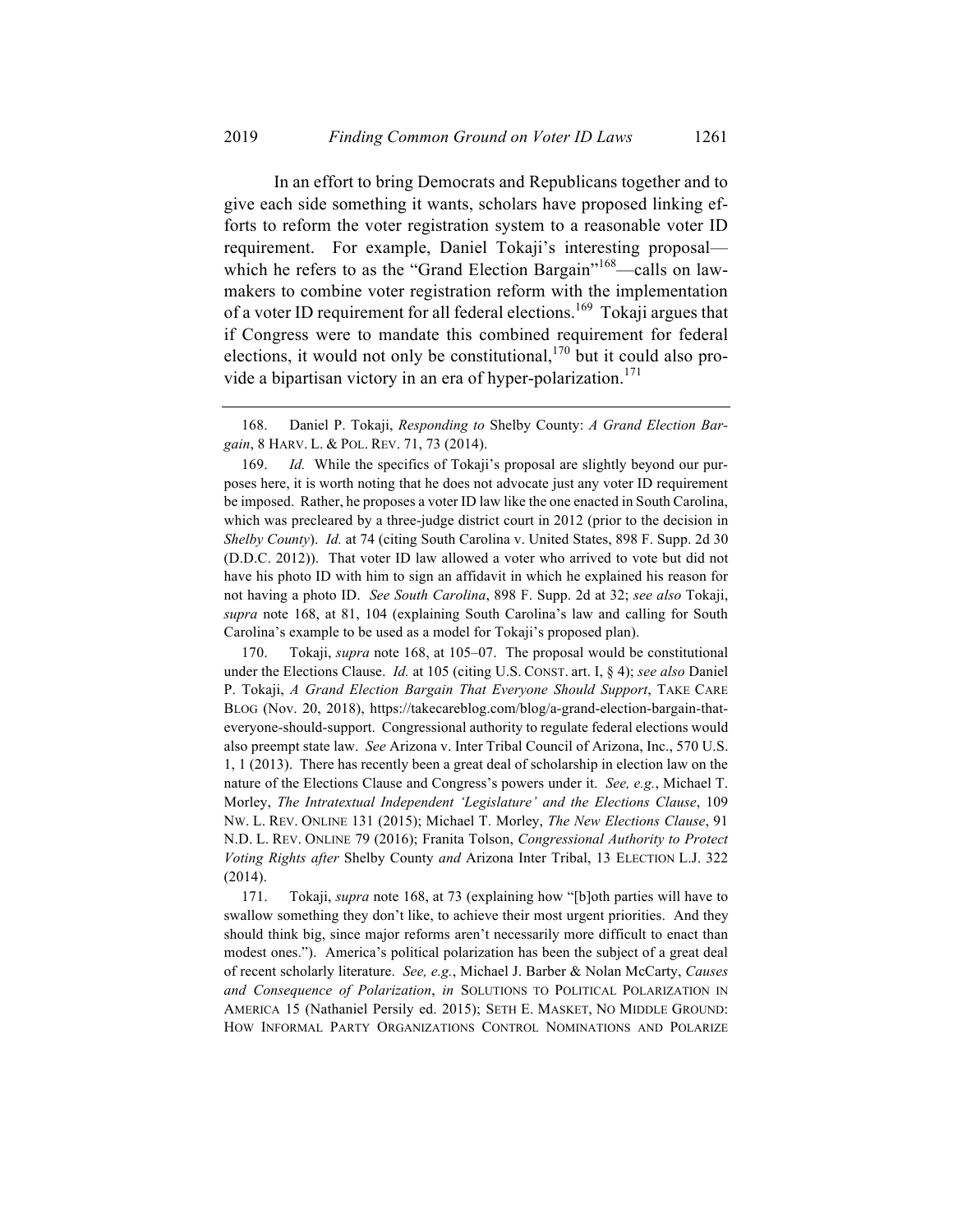In an effort to bring Democrats and Republicans together and to give each side something it wants, scholars have proposed linking efforts to reform the voter registration system to a reasonable voter ID requirement. For example, Daniel Tokaji's interesting proposal which he refers to as the "Grand Election Bargain"<sup>168</sup>—calls on lawmakers to combine voter registration reform with the implementation of a voter ID requirement for all federal elections.<sup>169</sup> Tokaji argues that if Congress were to mandate this combined requirement for federal elections, it would not only be constitutional,  $170$  but it could also provide a bipartisan victory in an era of hyper-polarization.<sup>171</sup>

170. Tokaji, *supra* note 168, at 105–07. The proposal would be constitutional under the Elections Clause. *Id.* at 105 (citing U.S. CONST. art. I, § 4); *see also* Daniel P. Tokaji, *A Grand Election Bargain That Everyone Should Support*, TAKE CARE BLOG (Nov. 20, 2018), https://takecareblog.com/blog/a-grand-election-bargain-thateveryone-should-support. Congressional authority to regulate federal elections would also preempt state law. *See* Arizona v. Inter Tribal Council of Arizona, Inc., 570 U.S. 1, 1 (2013). There has recently been a great deal of scholarship in election law on the nature of the Elections Clause and Congress's powers under it. *See, e.g.*, Michael T. Morley, *The Intratextual Independent 'Legislature' and the Elections Clause*, 109 NW. L. REV. ONLINE 131 (2015); Michael T. Morley, *The New Elections Clause*, 91 N.D. L. REV. ONLINE 79 (2016); Franita Tolson, *Congressional Authority to Protect Voting Rights after* Shelby County *and* Arizona Inter Tribal, 13 ELECTION L.J. 322 (2014).

171. Tokaji, *supra* note 168, at 73 (explaining how "[b]oth parties will have to swallow something they don't like, to achieve their most urgent priorities. And they should think big, since major reforms aren't necessarily more difficult to enact than modest ones."). America's political polarization has been the subject of a great deal of recent scholarly literature. *See, e.g.*, Michael J. Barber & Nolan McCarty, *Causes and Consequence of Polarization*, *in* SOLUTIONS TO POLITICAL POLARIZATION IN AMERICA 15 (Nathaniel Persily ed. 2015); SETH E. MASKET, NO MIDDLE GROUND: HOW INFORMAL PARTY ORGANIZATIONS CONTROL NOMINATIONS AND POLARIZE

<sup>168.</sup> Daniel P. Tokaji, *Responding to* Shelby County: *A Grand Election Bargain*, 8 HARV. L. & POL. REV. 71, 73 (2014).

<sup>169.</sup> *Id.* While the specifics of Tokaji's proposal are slightly beyond our purposes here, it is worth noting that he does not advocate just any voter ID requirement be imposed. Rather, he proposes a voter ID law like the one enacted in South Carolina, which was precleared by a three-judge district court in 2012 (prior to the decision in *Shelby County*). *Id.* at 74 (citing South Carolina v. United States, 898 F. Supp. 2d 30 (D.D.C. 2012)). That voter ID law allowed a voter who arrived to vote but did not have his photo ID with him to sign an affidavit in which he explained his reason for not having a photo ID. *See South Carolina*, 898 F. Supp. 2d at 32; *see also* Tokaji, *supra* note 168, at 81, 104 (explaining South Carolina's law and calling for South Carolina's example to be used as a model for Tokaji's proposed plan).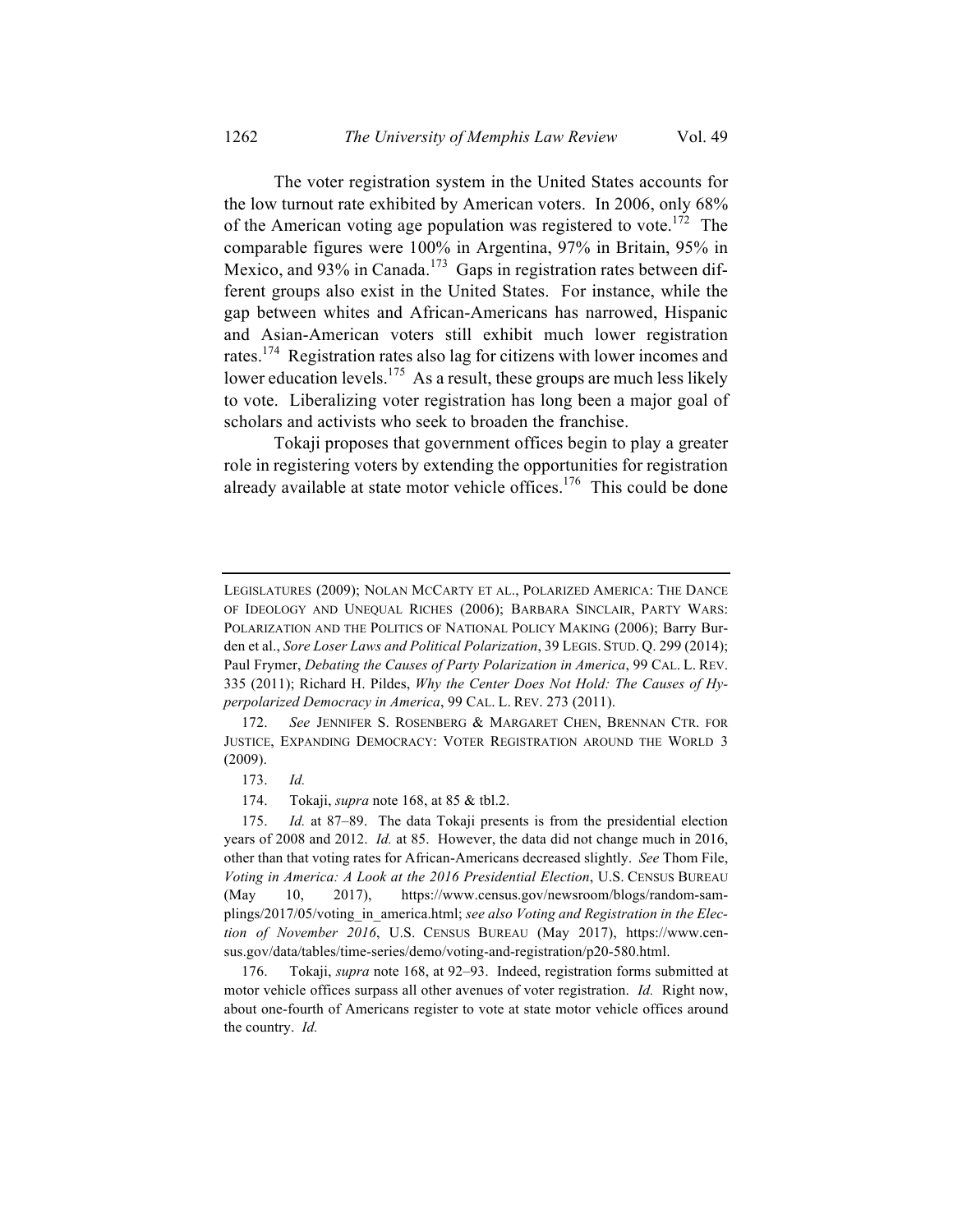The voter registration system in the United States accounts for the low turnout rate exhibited by American voters. In 2006, only 68% of the American voting age population was registered to vote.<sup>172</sup> The comparable figures were 100% in Argentina, 97% in Britain, 95% in Mexico, and 93% in Canada.<sup>173</sup> Gaps in registration rates between different groups also exist in the United States. For instance, while the gap between whites and African-Americans has narrowed, Hispanic and Asian-American voters still exhibit much lower registration rates.174 Registration rates also lag for citizens with lower incomes and lower education levels.<sup>175</sup> As a result, these groups are much less likely to vote. Liberalizing voter registration has long been a major goal of scholars and activists who seek to broaden the franchise.

Tokaji proposes that government offices begin to play a greater role in registering voters by extending the opportunities for registration already available at state motor vehicle offices.<sup>176</sup> This could be done

173. *Id.*

174. Tokaji, *supra* note 168, at 85 & tbl.2.

LEGISLATURES (2009); NOLAN MCCARTY ET AL., POLARIZED AMERICA: THE DANCE OF IDEOLOGY AND UNEQUAL RICHES (2006); BARBARA SINCLAIR, PARTY WARS: POLARIZATION AND THE POLITICS OF NATIONAL POLICY MAKING (2006); Barry Burden et al., *Sore Loser Laws and Political Polarization*, 39 LEGIS. STUD. Q. 299 (2014); Paul Frymer, *Debating the Causes of Party Polarization in America*, 99 CAL. L. REV. 335 (2011); Richard H. Pildes, *Why the Center Does Not Hold: The Causes of Hyperpolarized Democracy in America*, 99 CAL. L. REV. 273 (2011).

<sup>172.</sup> *See* JENNIFER S. ROSENBERG & MARGARET CHEN, BRENNAN CTR. FOR JUSTICE, EXPANDING DEMOCRACY: VOTER REGISTRATION AROUND THE WORLD 3 (2009).

<sup>175.</sup> *Id.* at 87–89. The data Tokaji presents is from the presidential election years of 2008 and 2012. *Id.* at 85. However, the data did not change much in 2016, other than that voting rates for African-Americans decreased slightly. *See* Thom File, *Voting in America: A Look at the 2016 Presidential Election*, U.S. CENSUS BUREAU (May 10, 2017), https://www.census.gov/newsroom/blogs/random-samplings/2017/05/voting\_in\_america.html; *see also Voting and Registration in the Election of November 2016*, U.S. CENSUS BUREAU (May 2017), https://www.census.gov/data/tables/time-series/demo/voting-and-registration/p20-580.html.

<sup>176.</sup> Tokaji, *supra* note 168, at 92–93. Indeed, registration forms submitted at motor vehicle offices surpass all other avenues of voter registration. *Id.* Right now, about one-fourth of Americans register to vote at state motor vehicle offices around the country. *Id.*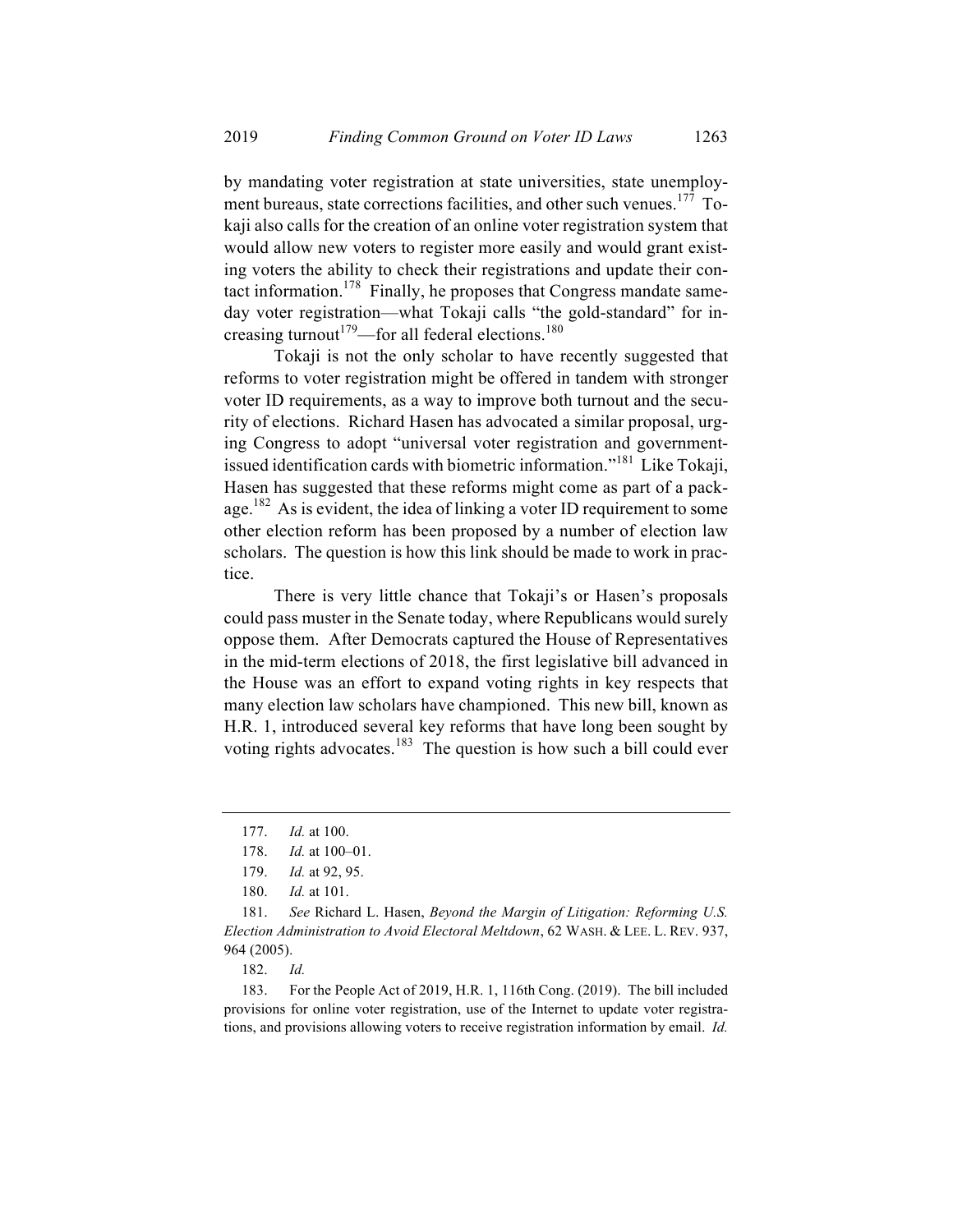by mandating voter registration at state universities, state unemployment bureaus, state corrections facilities, and other such venues.<sup>177</sup> Tokaji also calls for the creation of an online voter registration system that would allow new voters to register more easily and would grant existing voters the ability to check their registrations and update their contact information.<sup>178</sup> Finally, he proposes that Congress mandate sameday voter registration—what Tokaji calls "the gold-standard" for increasing turnout<sup>179</sup>—for all federal elections.<sup>180</sup>

Tokaji is not the only scholar to have recently suggested that reforms to voter registration might be offered in tandem with stronger voter ID requirements, as a way to improve both turnout and the security of elections. Richard Hasen has advocated a similar proposal, urging Congress to adopt "universal voter registration and governmentissued identification cards with biometric information."181 Like Tokaji, Hasen has suggested that these reforms might come as part of a package.<sup>182</sup> As is evident, the idea of linking a voter ID requirement to some other election reform has been proposed by a number of election law scholars. The question is how this link should be made to work in practice.

There is very little chance that Tokaji's or Hasen's proposals could pass muster in the Senate today, where Republicans would surely oppose them. After Democrats captured the House of Representatives in the mid-term elections of 2018, the first legislative bill advanced in the House was an effort to expand voting rights in key respects that many election law scholars have championed. This new bill, known as H.R. 1, introduced several key reforms that have long been sought by voting rights advocates.<sup>183</sup> The question is how such a bill could ever

182. *Id.*

183. For the People Act of 2019, H.R. 1, 116th Cong. (2019). The bill included provisions for online voter registration, use of the Internet to update voter registrations, and provisions allowing voters to receive registration information by email. *Id.* 

<sup>177.</sup> *Id.* at 100.

<sup>178.</sup> *Id.* at 100–01.

<sup>179.</sup> *Id.* at 92, 95.

<sup>180.</sup> *Id.* at 101.

<sup>181.</sup> *See* Richard L. Hasen, *Beyond the Margin of Litigation: Reforming U.S. Election Administration to Avoid Electoral Meltdown*, 62 WASH. & LEE. L. REV. 937, 964 (2005).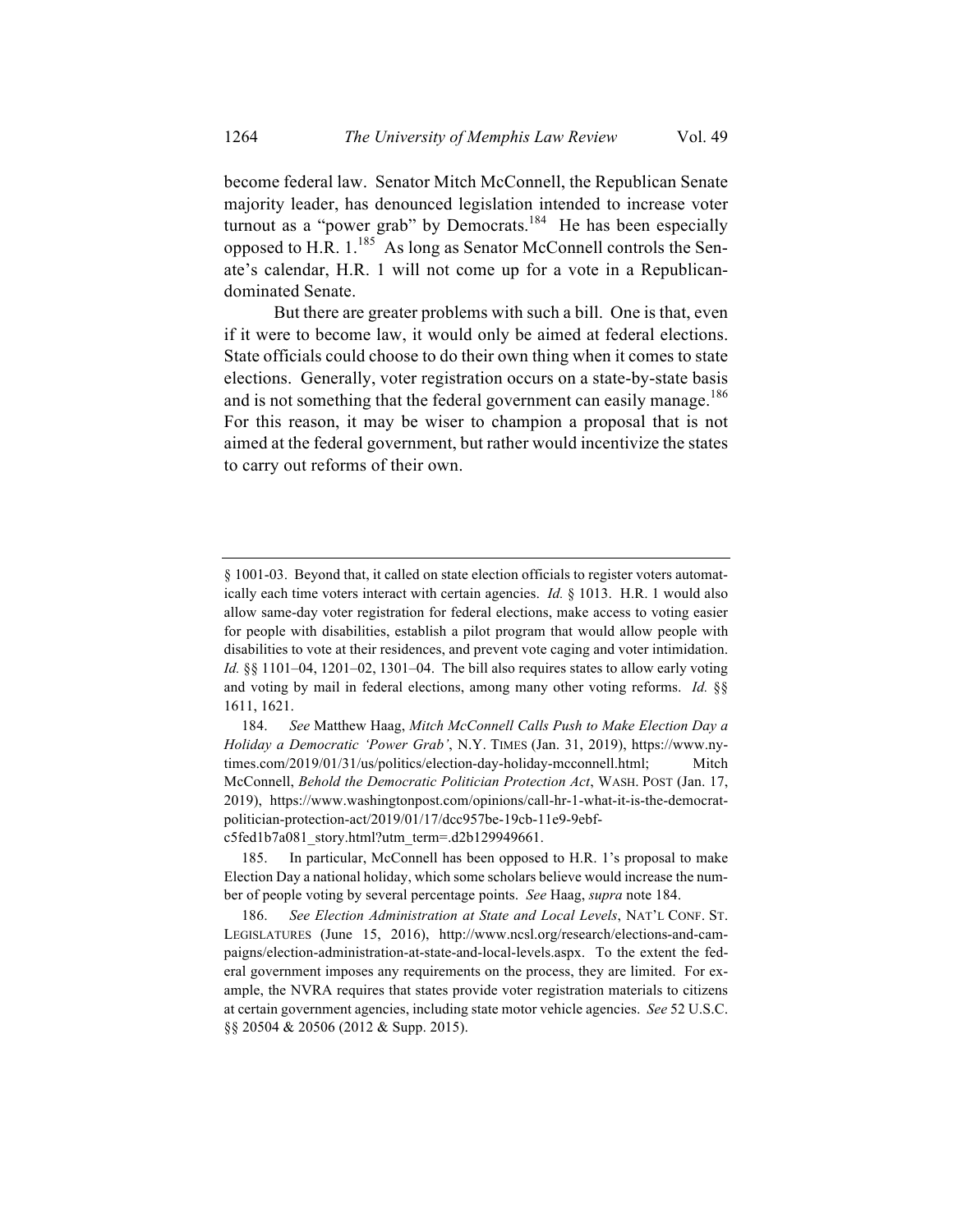become federal law. Senator Mitch McConnell, the Republican Senate majority leader, has denounced legislation intended to increase voter turnout as a "power grab" by Democrats.<sup>184</sup> He has been especially opposed to H.R.  $1.^{185}$  As long as Senator McConnell controls the Senate's calendar, H.R. 1 will not come up for a vote in a Republicandominated Senate.

But there are greater problems with such a bill. One is that, even if it were to become law, it would only be aimed at federal elections. State officials could choose to do their own thing when it comes to state elections. Generally, voter registration occurs on a state-by-state basis and is not something that the federal government can easily manage.<sup>186</sup> For this reason, it may be wiser to champion a proposal that is not aimed at the federal government, but rather would incentivize the states to carry out reforms of their own.

<sup>§</sup> 1001-03. Beyond that, it called on state election officials to register voters automatically each time voters interact with certain agencies. *Id.* § 1013. H.R. 1 would also allow same-day voter registration for federal elections, make access to voting easier for people with disabilities, establish a pilot program that would allow people with disabilities to vote at their residences, and prevent vote caging and voter intimidation. *Id.* §§ 1101–04, 1201–02, 1301–04. The bill also requires states to allow early voting and voting by mail in federal elections, among many other voting reforms. *Id.* §§ 1611, 1621.

<sup>184.</sup> *See* Matthew Haag, *Mitch McConnell Calls Push to Make Election Day a Holiday a Democratic 'Power Grab'*, N.Y. TIMES (Jan. 31, 2019), https://www.nytimes.com/2019/01/31/us/politics/election-day-holiday-mcconnell.html; Mitch McConnell, *Behold the Democratic Politician Protection Act*, WASH. POST (Jan. 17, 2019), https://www.washingtonpost.com/opinions/call-hr-1-what-it-is-the-democratpolitician-protection-act/2019/01/17/dcc957be-19cb-11e9-9ebfc5fed1b7a081\_story.html?utm\_term=.d2b129949661.

<sup>185.</sup> In particular, McConnell has been opposed to H.R. 1's proposal to make Election Day a national holiday, which some scholars believe would increase the number of people voting by several percentage points. *See* Haag, *supra* note 184.

<sup>186.</sup> *See Election Administration at State and Local Levels*, NAT'L CONF. ST. LEGISLATURES (June 15, 2016), http://www.ncsl.org/research/elections-and-campaigns/election-administration-at-state-and-local-levels.aspx. To the extent the federal government imposes any requirements on the process, they are limited. For example, the NVRA requires that states provide voter registration materials to citizens at certain government agencies, including state motor vehicle agencies. *See* 52 U.S.C. §§ 20504 & 20506 (2012 & Supp. 2015).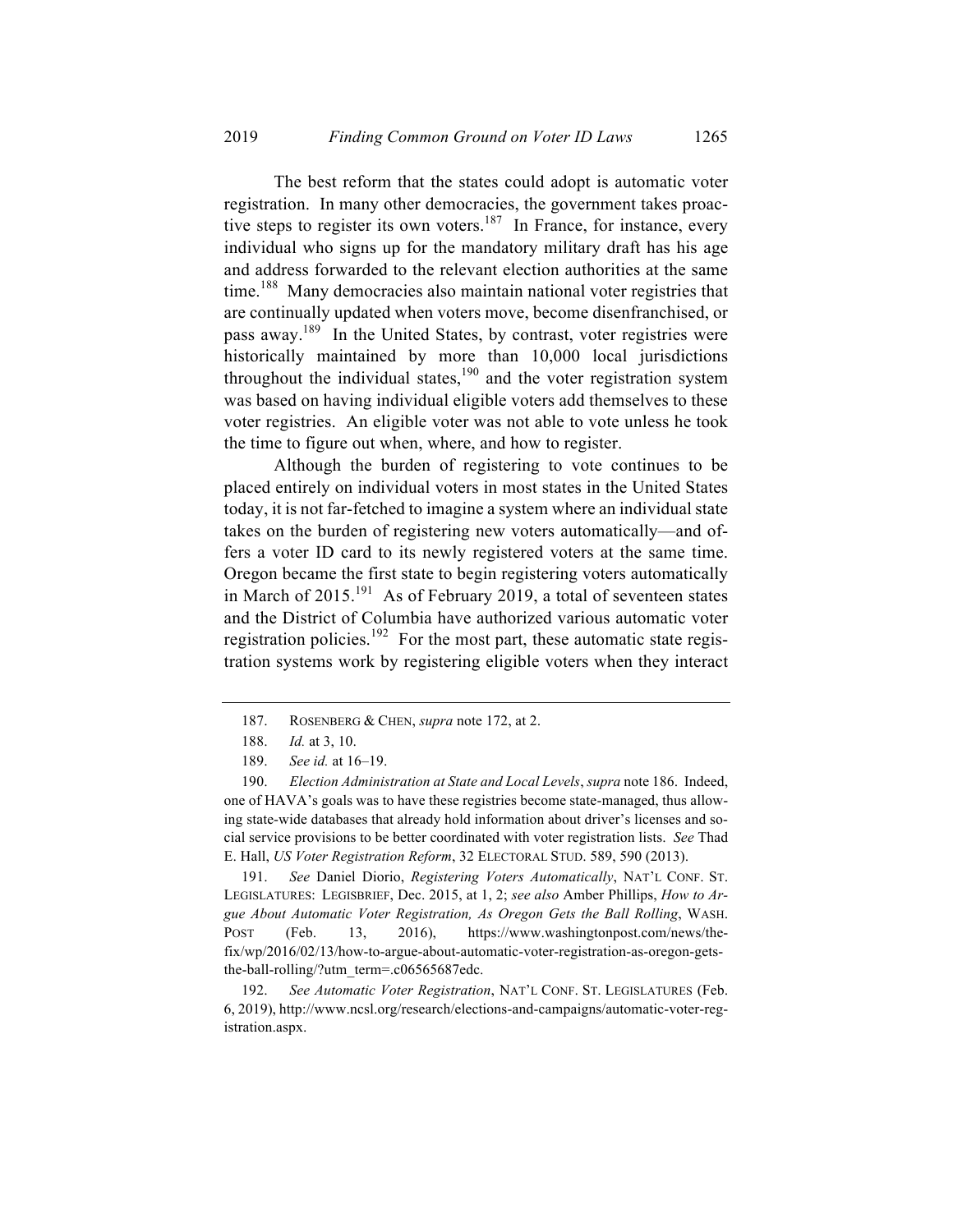The best reform that the states could adopt is automatic voter registration. In many other democracies, the government takes proactive steps to register its own voters.<sup>187</sup> In France, for instance, every individual who signs up for the mandatory military draft has his age and address forwarded to the relevant election authorities at the same time.<sup>188</sup> Many democracies also maintain national voter registries that are continually updated when voters move, become disenfranchised, or pass away.<sup>189</sup> In the United States, by contrast, voter registries were historically maintained by more than 10,000 local jurisdictions throughout the individual states,  $190$  and the voter registration system was based on having individual eligible voters add themselves to these voter registries. An eligible voter was not able to vote unless he took the time to figure out when, where, and how to register.

Although the burden of registering to vote continues to be placed entirely on individual voters in most states in the United States today, it is not far-fetched to imagine a system where an individual state takes on the burden of registering new voters automatically—and offers a voter ID card to its newly registered voters at the same time. Oregon became the first state to begin registering voters automatically in March of  $2015$ <sup>191</sup> As of February 2019, a total of seventeen states and the District of Columbia have authorized various automatic voter registration policies.<sup>192</sup> For the most part, these automatic state registration systems work by registering eligible voters when they interact

191. *See* Daniel Diorio, *Registering Voters Automatically*, NAT'L CONF. ST. LEGISLATURES: LEGISBRIEF, Dec. 2015, at 1, 2; *see also* Amber Phillips, *How to Argue About Automatic Voter Registration, As Oregon Gets the Ball Rolling*, WASH. POST (Feb. 13, 2016), https://www.washingtonpost.com/news/thefix/wp/2016/02/13/how-to-argue-about-automatic-voter-registration-as-oregon-getsthe-ball-rolling/?utm\_term=.c06565687edc.

192. *See Automatic Voter Registration*, NAT'L CONF. ST. LEGISLATURES (Feb. 6, 2019), http://www.ncsl.org/research/elections-and-campaigns/automatic-voter-registration.aspx.

<sup>187.</sup> ROSENBERG & CHEN, *supra* note 172, at 2.

<sup>188.</sup> *Id.* at 3, 10.

<sup>189.</sup> *See id.* at 16–19.

<sup>190.</sup> *Election Administration at State and Local Levels*, *supra* note 186. Indeed, one of HAVA's goals was to have these registries become state-managed, thus allowing state-wide databases that already hold information about driver's licenses and social service provisions to be better coordinated with voter registration lists. *See* Thad E. Hall, *US Voter Registration Reform*, 32 ELECTORAL STUD. 589, 590 (2013).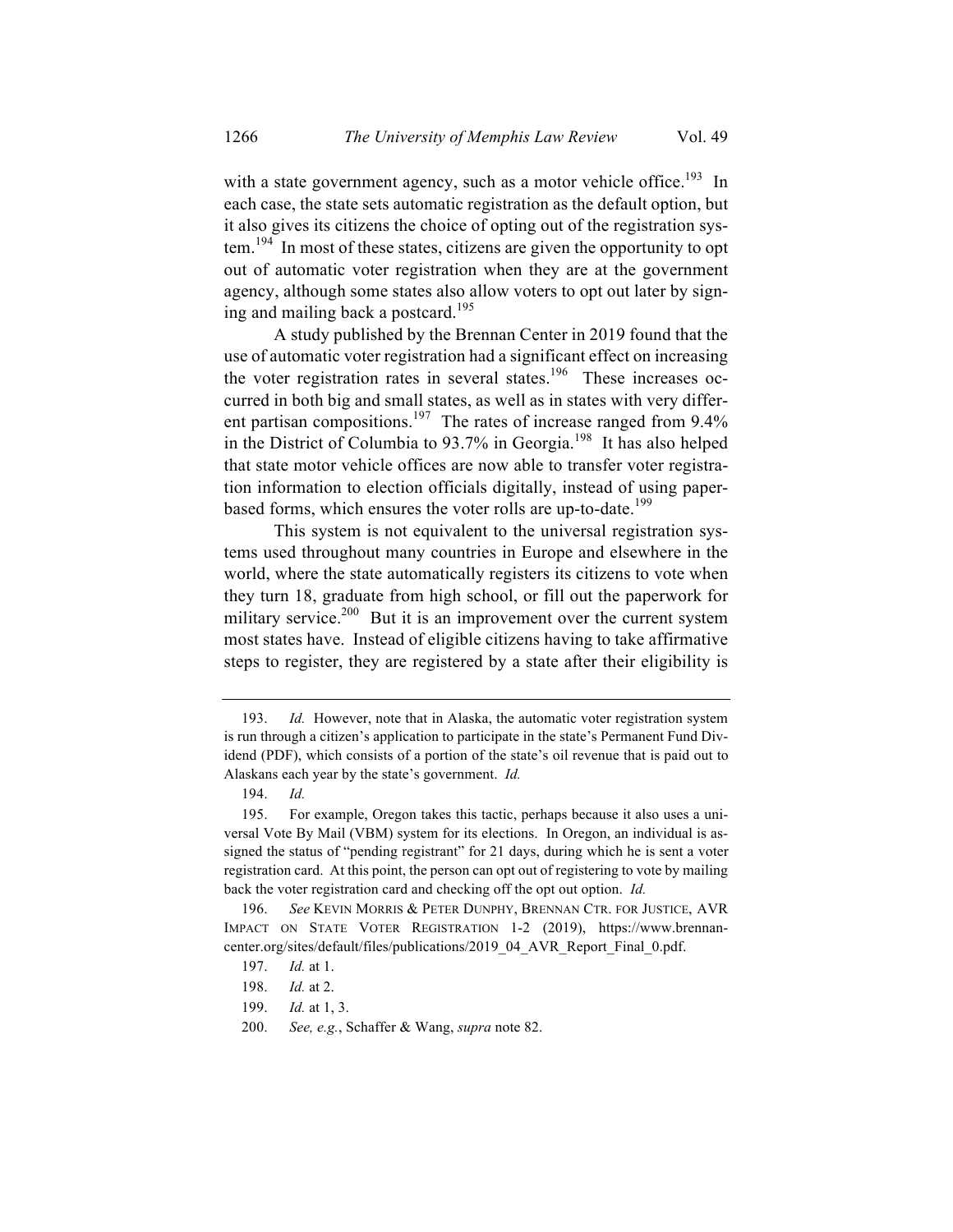with a state government agency, such as a motor vehicle office.<sup>193</sup> In each case, the state sets automatic registration as the default option, but it also gives its citizens the choice of opting out of the registration system.<sup>194</sup> In most of these states, citizens are given the opportunity to opt out of automatic voter registration when they are at the government agency, although some states also allow voters to opt out later by signing and mailing back a postcard. 195

A study published by the Brennan Center in 2019 found that the use of automatic voter registration had a significant effect on increasing the voter registration rates in several states.<sup>196</sup> These increases occurred in both big and small states, as well as in states with very different partisan compositions.<sup>197</sup> The rates of increase ranged from  $9.4\%$ in the District of Columbia to  $93.7\%$  in Georgia.<sup>198</sup> It has also helped that state motor vehicle offices are now able to transfer voter registration information to election officials digitally, instead of using paperbased forms, which ensures the voter rolls are up-to-date.<sup>199</sup>

This system is not equivalent to the universal registration systems used throughout many countries in Europe and elsewhere in the world, where the state automatically registers its citizens to vote when they turn 18, graduate from high school, or fill out the paperwork for military service.<sup>200</sup> But it is an improvement over the current system most states have. Instead of eligible citizens having to take affirmative steps to register, they are registered by a state after their eligibility is

<sup>193.</sup> *Id.* However, note that in Alaska, the automatic voter registration system is run through a citizen's application to participate in the state's Permanent Fund Dividend (PDF), which consists of a portion of the state's oil revenue that is paid out to Alaskans each year by the state's government. *Id.*

<sup>194.</sup> *Id.*

<sup>195.</sup> For example, Oregon takes this tactic, perhaps because it also uses a universal Vote By Mail (VBM) system for its elections. In Oregon, an individual is assigned the status of "pending registrant" for 21 days, during which he is sent a voter registration card. At this point, the person can opt out of registering to vote by mailing back the voter registration card and checking off the opt out option. *Id.*

<sup>196.</sup> *See* KEVIN MORRIS & PETER DUNPHY, BRENNAN CTR. FOR JUSTICE, AVR IMPACT ON STATE VOTER REGISTRATION 1-2 (2019), https://www.brennancenter.org/sites/default/files/publications/2019\_04\_AVR\_Report\_Final\_0.pdf.

<sup>197.</sup> *Id.* at 1.

<sup>198.</sup> *Id.* at 2.

<sup>199.</sup> *Id.* at 1, 3.

<sup>200.</sup> *See, e.g.*, Schaffer & Wang, *supra* note 82.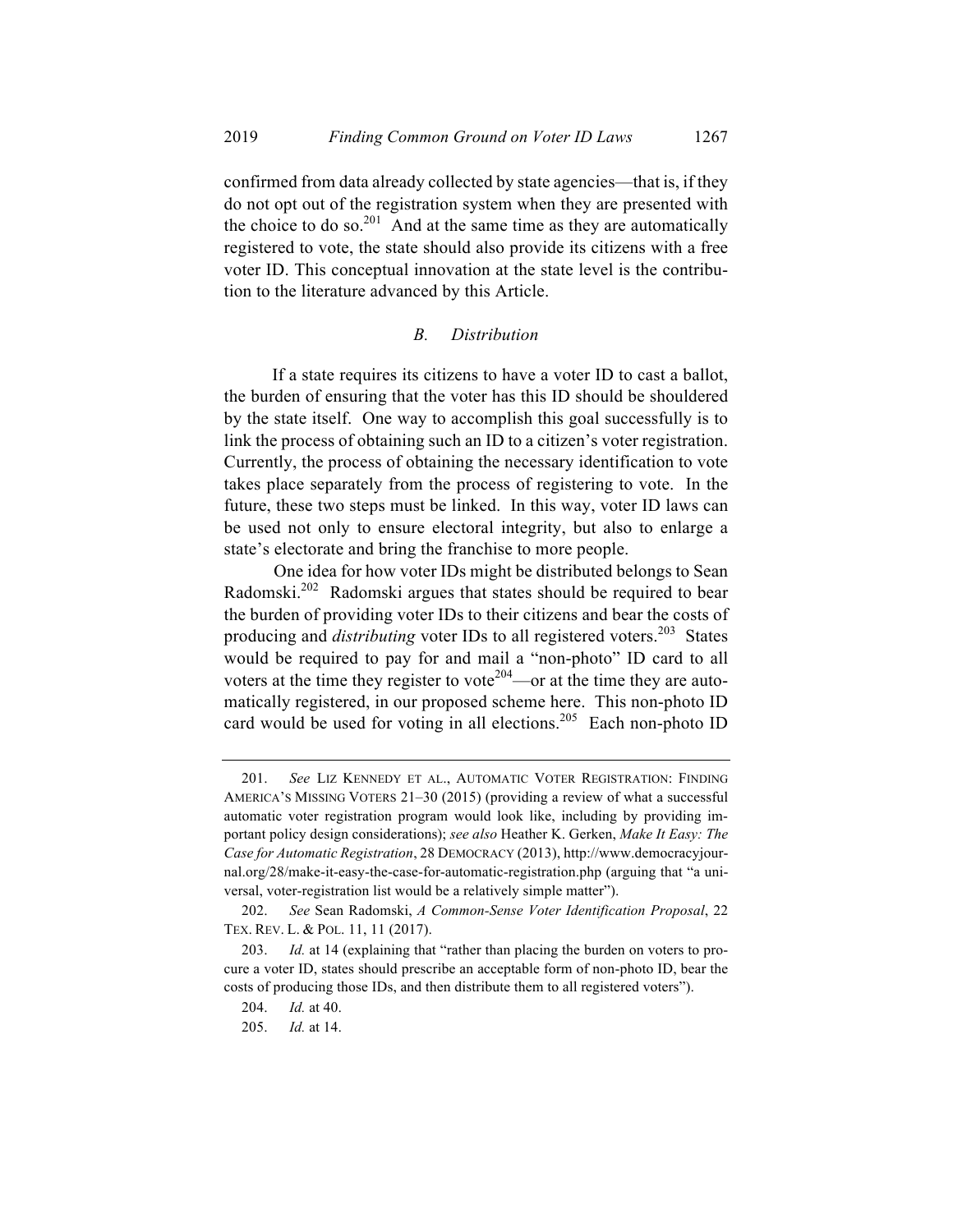confirmed from data already collected by state agencies—that is, if they do not opt out of the registration system when they are presented with the choice to do so.<sup>201</sup> And at the same time as they are automatically registered to vote, the state should also provide its citizens with a free voter ID. This conceptual innovation at the state level is the contribution to the literature advanced by this Article.

#### *B. Distribution*

If a state requires its citizens to have a voter ID to cast a ballot, the burden of ensuring that the voter has this ID should be shouldered by the state itself. One way to accomplish this goal successfully is to link the process of obtaining such an ID to a citizen's voter registration. Currently, the process of obtaining the necessary identification to vote takes place separately from the process of registering to vote. In the future, these two steps must be linked. In this way, voter ID laws can be used not only to ensure electoral integrity, but also to enlarge a state's electorate and bring the franchise to more people.

One idea for how voter IDs might be distributed belongs to Sean Radomski.202 Radomski argues that states should be required to bear the burden of providing voter IDs to their citizens and bear the costs of producing and *distributing* voter IDs to all registered voters.<sup>203</sup> States would be required to pay for and mail a "non-photo" ID card to all voters at the time they register to vote<sup>204</sup>—or at the time they are automatically registered, in our proposed scheme here. This non-photo ID card would be used for voting in all elections.<sup>205</sup> Each non-photo ID

<sup>201.</sup> *See* LIZ KENNEDY ET AL., AUTOMATIC VOTER REGISTRATION: FINDING AMERICA'S MISSING VOTERS 21–30 (2015) (providing a review of what a successful automatic voter registration program would look like, including by providing important policy design considerations); *see also* Heather K. Gerken, *Make It Easy: The Case for Automatic Registration*, 28 DEMOCRACY (2013), http://www.democracyjournal.org/28/make-it-easy-the-case-for-automatic-registration.php (arguing that "a universal, voter-registration list would be a relatively simple matter").

<sup>202.</sup> *See* Sean Radomski, *A Common-Sense Voter Identification Proposal*, 22 TEX. REV. L. & POL. 11, 11 (2017).

<sup>203.</sup> *Id.* at 14 (explaining that "rather than placing the burden on voters to procure a voter ID, states should prescribe an acceptable form of non-photo ID, bear the costs of producing those IDs, and then distribute them to all registered voters").

<sup>204.</sup> *Id.* at 40.

<sup>205.</sup> *Id.* at 14.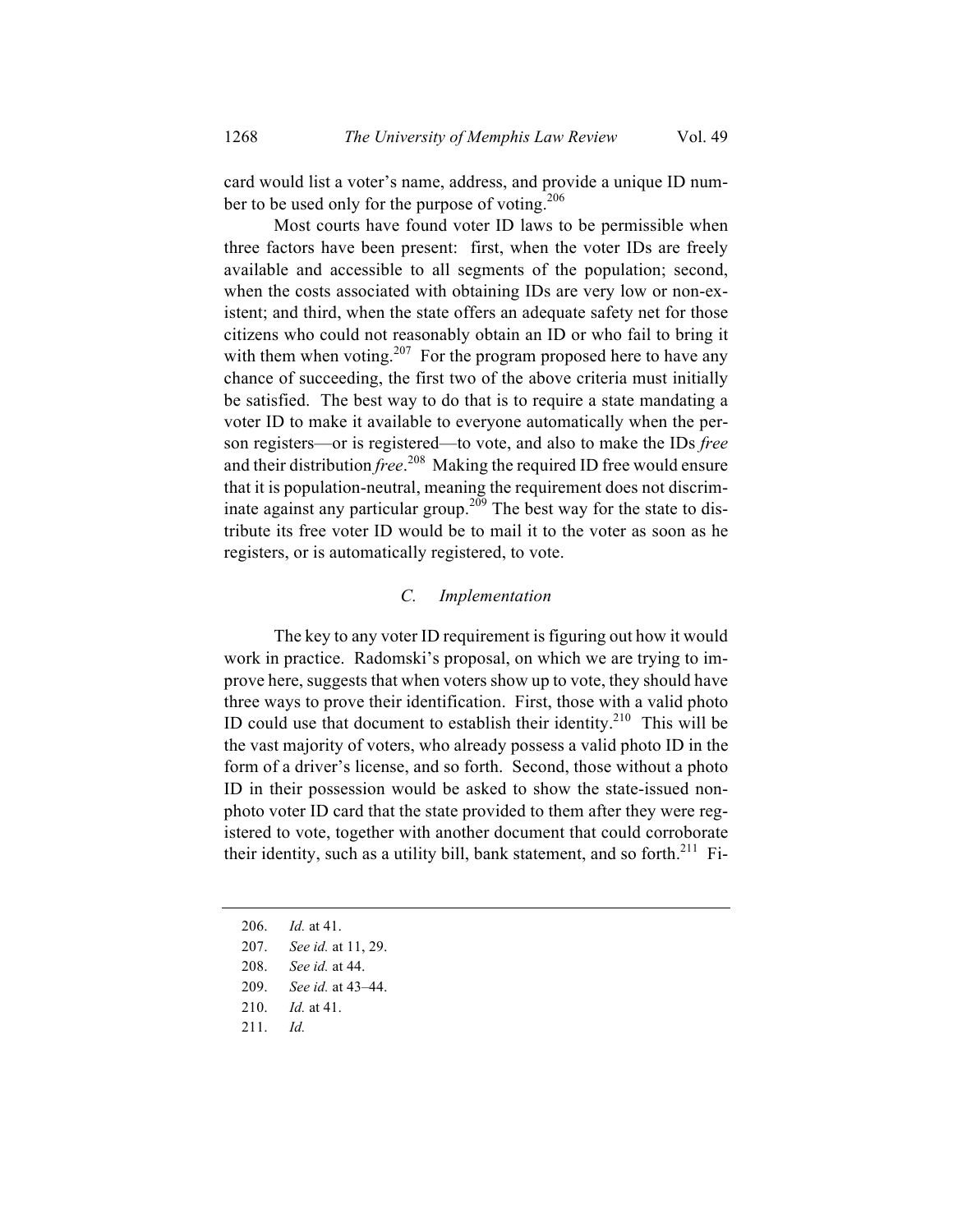card would list a voter's name, address, and provide a unique ID number to be used only for the purpose of voting.<sup>206</sup>

Most courts have found voter ID laws to be permissible when three factors have been present: first, when the voter IDs are freely available and accessible to all segments of the population; second, when the costs associated with obtaining IDs are very low or non-existent; and third, when the state offers an adequate safety net for those citizens who could not reasonably obtain an ID or who fail to bring it with them when voting.<sup>207</sup> For the program proposed here to have any chance of succeeding, the first two of the above criteria must initially be satisfied. The best way to do that is to require a state mandating a voter ID to make it available to everyone automatically when the person registers—or is registered—to vote, and also to make the IDs *free* and their distribution *free*. 208 Making the required ID free would ensure that it is population-neutral, meaning the requirement does not discriminate against any particular group.<sup>209</sup> The best way for the state to distribute its free voter ID would be to mail it to the voter as soon as he registers, or is automatically registered, to vote.

#### *C. Implementation*

The key to any voter ID requirement is figuring out how it would work in practice. Radomski's proposal, on which we are trying to improve here, suggests that when voters show up to vote, they should have three ways to prove their identification. First, those with a valid photo ID could use that document to establish their identity.<sup>210</sup> This will be the vast majority of voters, who already possess a valid photo ID in the form of a driver's license, and so forth. Second, those without a photo ID in their possession would be asked to show the state-issued nonphoto voter ID card that the state provided to them after they were registered to vote, together with another document that could corroborate their identity, such as a utility bill, bank statement, and so forth.<sup>211</sup> Fi-

- 206. *Id.* at 41.
- 207. *See id.* at 11, 29.
- 208. *See id.* at 44.
- 209. *See id.* at 43–44.
- 210. *Id.* at 41.
- 211. *Id.*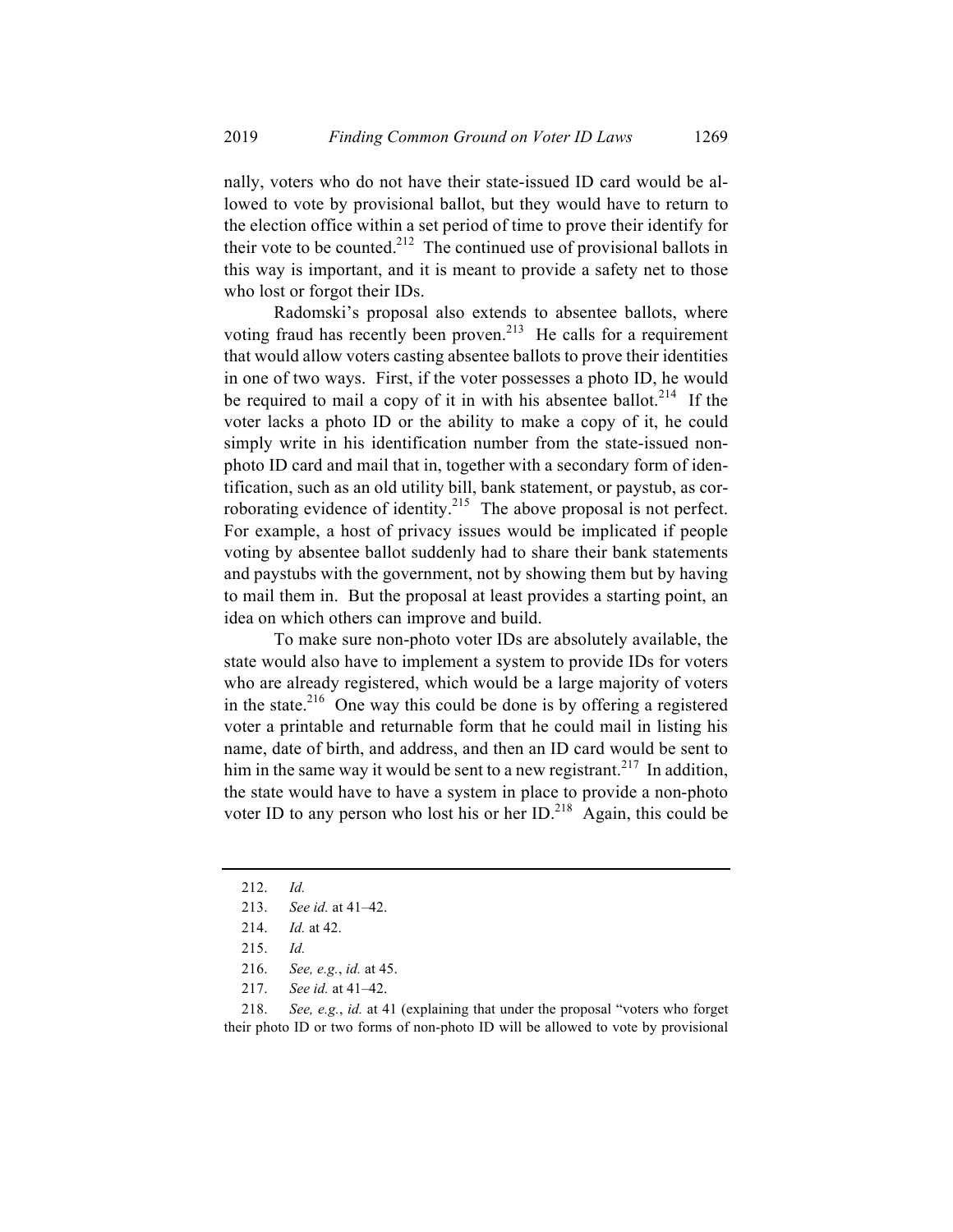nally, voters who do not have their state-issued ID card would be allowed to vote by provisional ballot, but they would have to return to the election office within a set period of time to prove their identify for their vote to be counted.<sup>212</sup> The continued use of provisional ballots in this way is important, and it is meant to provide a safety net to those who lost or forgot their IDs.

Radomski's proposal also extends to absentee ballots, where voting fraud has recently been proven.<sup>213</sup> He calls for a requirement that would allow voters casting absentee ballots to prove their identities in one of two ways. First, if the voter possesses a photo ID, he would be required to mail a copy of it in with his absentee ballot.<sup>214</sup> If the voter lacks a photo ID or the ability to make a copy of it, he could simply write in his identification number from the state-issued nonphoto ID card and mail that in, together with a secondary form of identification, such as an old utility bill, bank statement, or paystub, as corroborating evidence of identity.<sup>215</sup> The above proposal is not perfect. For example, a host of privacy issues would be implicated if people voting by absentee ballot suddenly had to share their bank statements and paystubs with the government, not by showing them but by having to mail them in. But the proposal at least provides a starting point, an idea on which others can improve and build.

To make sure non-photo voter IDs are absolutely available, the state would also have to implement a system to provide IDs for voters who are already registered, which would be a large majority of voters in the state. $216$  One way this could be done is by offering a registered voter a printable and returnable form that he could mail in listing his name, date of birth, and address, and then an ID card would be sent to him in the same way it would be sent to a new registrant.<sup>217</sup> In addition, the state would have to have a system in place to provide a non-photo voter ID to any person who lost his or her ID.<sup>218</sup> Again, this could be

218. *See, e.g.*, *id.* at 41 (explaining that under the proposal "voters who forget their photo ID or two forms of non-photo ID will be allowed to vote by provisional

<sup>212.</sup> *Id.*

<sup>213.</sup> *See id.* at 41–42.

<sup>214.</sup> *Id.* at 42.

<sup>215.</sup> *Id.*

<sup>216.</sup> *See, e.g.*, *id.* at 45.

<sup>217.</sup> *See id.* at 41–42.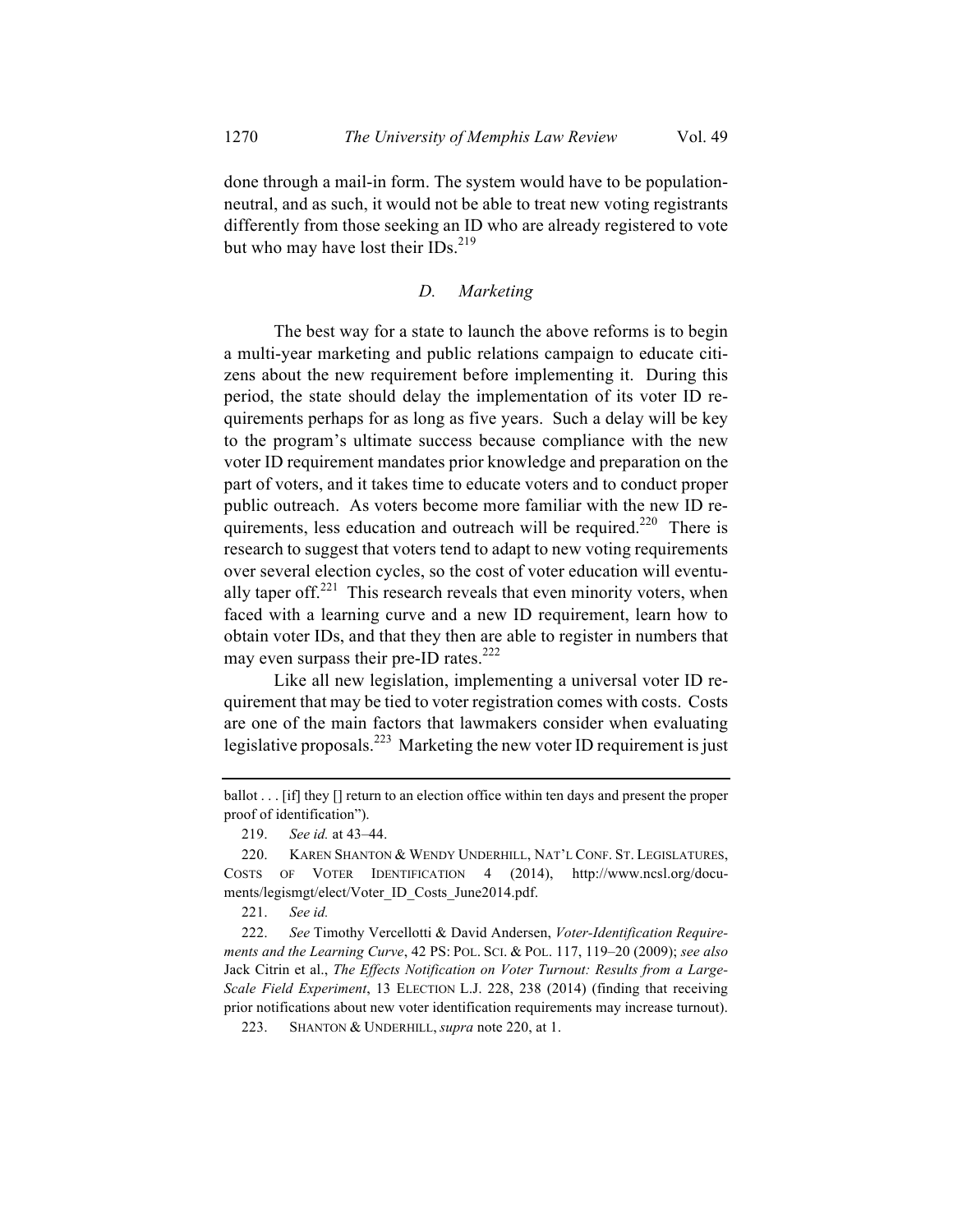done through a mail-in form. The system would have to be populationneutral, and as such, it would not be able to treat new voting registrants differently from those seeking an ID who are already registered to vote but who may have lost their IDs. $^{219}$ 

### *D. Marketing*

The best way for a state to launch the above reforms is to begin a multi-year marketing and public relations campaign to educate citizens about the new requirement before implementing it. During this period, the state should delay the implementation of its voter ID requirements perhaps for as long as five years. Such a delay will be key to the program's ultimate success because compliance with the new voter ID requirement mandates prior knowledge and preparation on the part of voters, and it takes time to educate voters and to conduct proper public outreach. As voters become more familiar with the new ID requirements, less education and outreach will be required.<sup>220</sup> There is research to suggest that voters tend to adapt to new voting requirements over several election cycles, so the cost of voter education will eventually taper off.<sup>221</sup> This research reveals that even minority voters, when faced with a learning curve and a new ID requirement, learn how to obtain voter IDs, and that they then are able to register in numbers that may even surpass their pre-ID rates.<sup>222</sup>

Like all new legislation, implementing a universal voter ID requirement that may be tied to voter registration comes with costs. Costs are one of the main factors that lawmakers consider when evaluating legislative proposals.<sup>223</sup> Marketing the new voter ID requirement is just

221. *See id.*

222. *See* Timothy Vercellotti & David Andersen, *Voter-Identification Requirements and the Learning Curve*, 42 PS: POL. SCI. & POL. 117, 119–20 (2009); *see also* Jack Citrin et al., *The Effects Notification on Voter Turnout: Results from a Large-Scale Field Experiment*, 13 ELECTION L.J. 228, 238 (2014) (finding that receiving prior notifications about new voter identification requirements may increase turnout).

223. SHANTON & UNDERHILL, *supra* note 220, at 1.

ballot . . . [if] they [] return to an election office within ten days and present the proper proof of identification").

<sup>219.</sup> *See id.* at 43–44.

<sup>220.</sup> KAREN SHANTON & WENDY UNDERHILL, NAT'L CONF. ST. LEGISLATURES, COSTS OF VOTER IDENTIFICATION 4 (2014), http://www.ncsl.org/documents/legismgt/elect/Voter\_ID\_Costs\_June2014.pdf.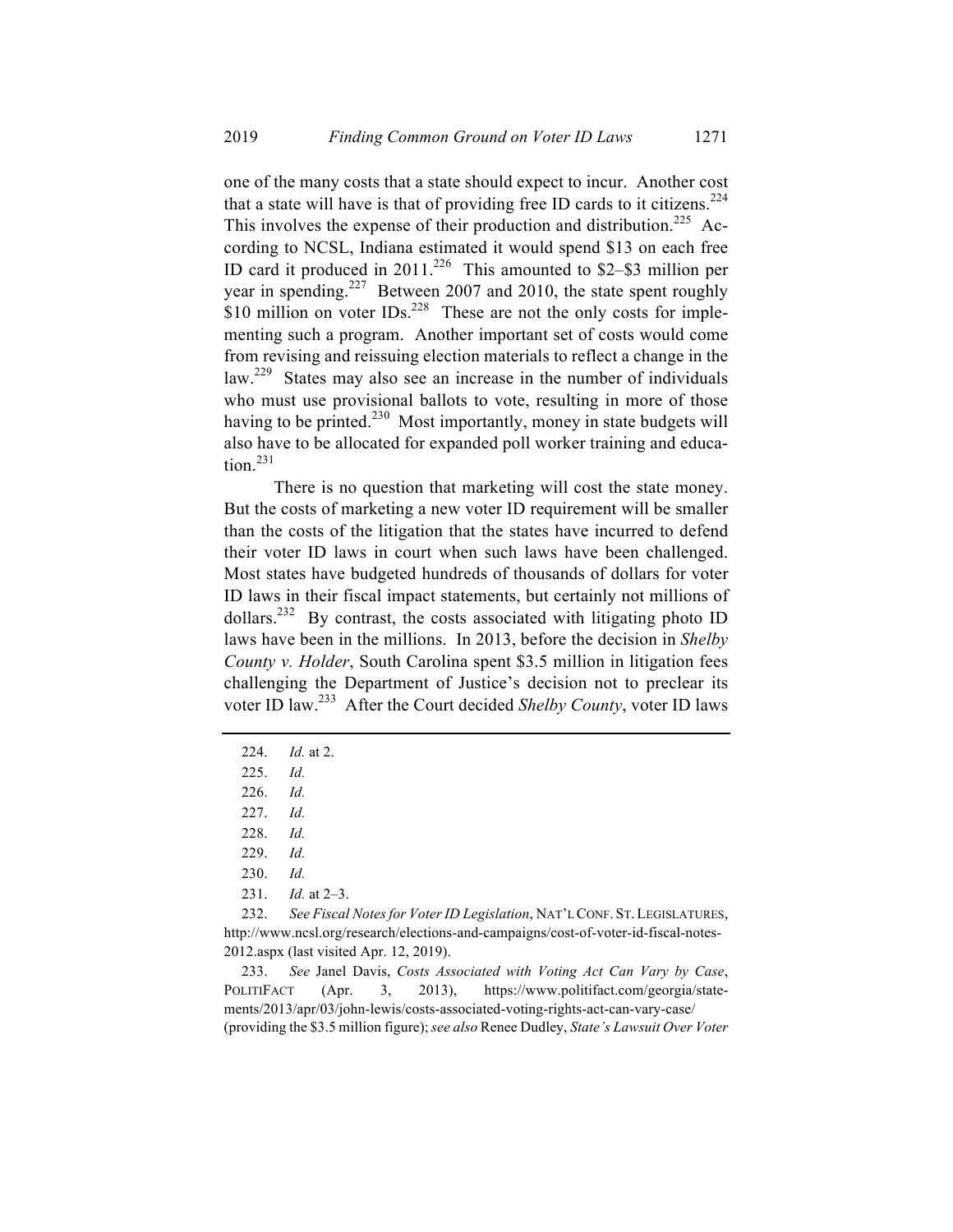one of the many costs that a state should expect to incur. Another cost that a state will have is that of providing free ID cards to it citizens.<sup>224</sup> This involves the expense of their production and distribution.<sup>225</sup> According to NCSL, Indiana estimated it would spend \$13 on each free ID card it produced in  $2011$ <sup>226</sup> This amounted to \$2–\$3 million per year in spending.<sup>227</sup> Between 2007 and 2010, the state spent roughly \$10 million on voter  $IDs<sup>228</sup>$  These are not the only costs for implementing such a program. Another important set of costs would come from revising and reissuing election materials to reflect a change in the law.<sup>229</sup> States may also see an increase in the number of individuals who must use provisional ballots to vote, resulting in more of those having to be printed.<sup>230</sup> Most importantly, money in state budgets will also have to be allocated for expanded poll worker training and education $^{231}$ 

There is no question that marketing will cost the state money. But the costs of marketing a new voter ID requirement will be smaller than the costs of the litigation that the states have incurred to defend their voter ID laws in court when such laws have been challenged. Most states have budgeted hundreds of thousands of dollars for voter ID laws in their fiscal impact statements, but certainly not millions of dollars.<sup>232</sup> By contrast, the costs associated with litigating photo ID laws have been in the millions. In 2013, before the decision in *Shelby County v. Holder*, South Carolina spent \$3.5 million in litigation fees challenging the Department of Justice's decision not to preclear its voter ID law.233 After the Court decided *Shelby County*, voter ID laws

232. *See Fiscal Notes for Voter ID Legislation*, NAT'L CONF. ST. LEGISLATURES, http://www.ncsl.org/research/elections-and-campaigns/cost-of-voter-id-fiscal-notes-2012.aspx (last visited Apr. 12, 2019).

233. *See* Janel Davis, *Costs Associated with Voting Act Can Vary by Case*, POLITIFACT (Apr. 3, 2013), https://www.politifact.com/georgia/statements/2013/apr/03/john-lewis/costs-associated-voting-rights-act-can-vary-case/ (providing the \$3.5 million figure); *see also* Renee Dudley, *State's Lawsuit Over Voter* 

<sup>224.</sup> *Id.* at 2.

<sup>225.</sup> *Id.*

<sup>226.</sup> *Id.*

<sup>227.</sup> *Id.*

<sup>228.</sup> *Id.*

<sup>229.</sup> *Id.*

<sup>230.</sup> *Id.*

<sup>231.</sup> *Id.* at 2–3.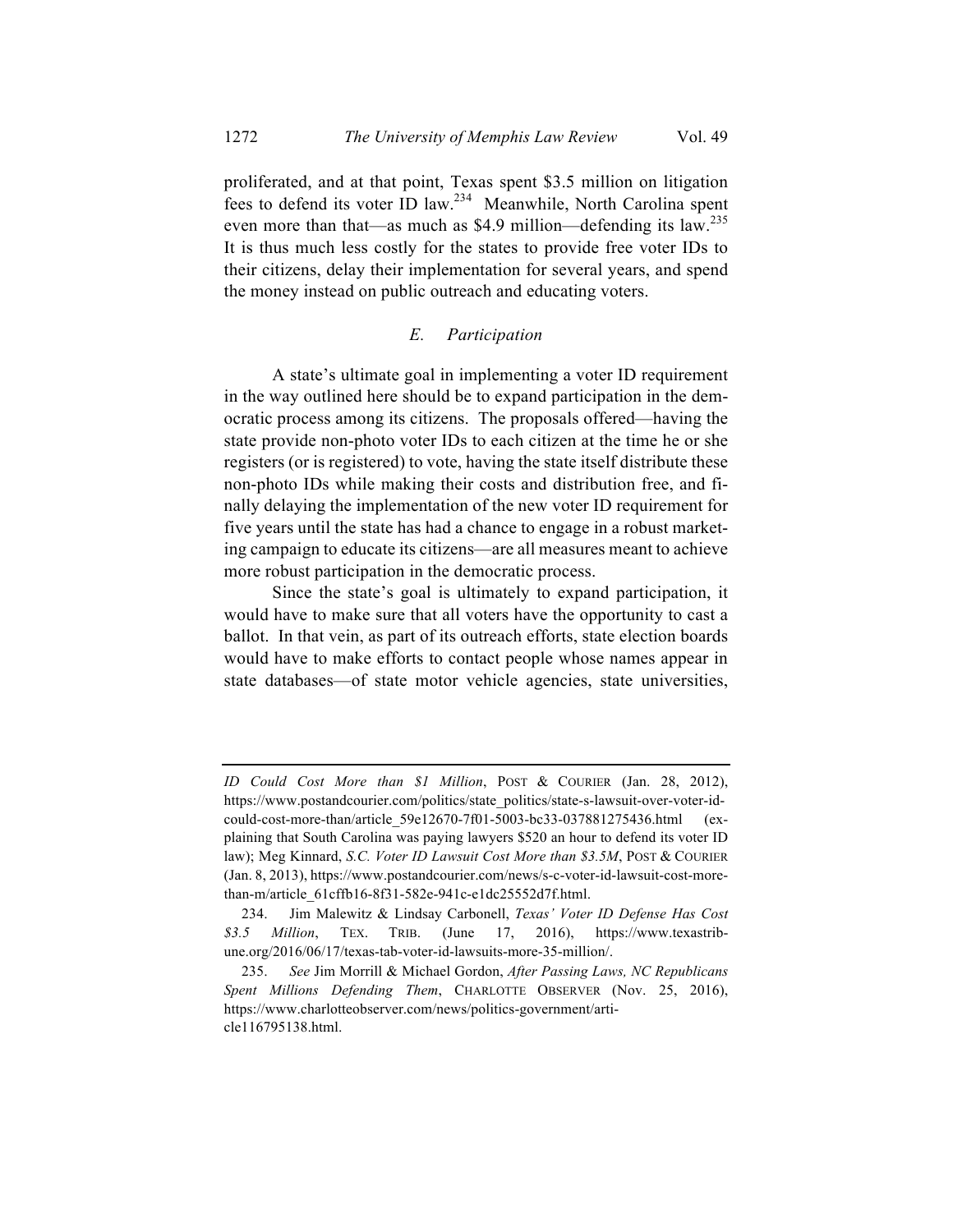proliferated, and at that point, Texas spent \$3.5 million on litigation fees to defend its voter ID law.234 Meanwhile, North Carolina spent even more than that—as much as \$4.9 million—defending its law.<sup>235</sup> It is thus much less costly for the states to provide free voter IDs to their citizens, delay their implementation for several years, and spend the money instead on public outreach and educating voters.

#### *E. Participation*

A state's ultimate goal in implementing a voter ID requirement in the way outlined here should be to expand participation in the democratic process among its citizens. The proposals offered—having the state provide non-photo voter IDs to each citizen at the time he or she registers (or is registered) to vote, having the state itself distribute these non-photo IDs while making their costs and distribution free, and finally delaying the implementation of the new voter ID requirement for five years until the state has had a chance to engage in a robust marketing campaign to educate its citizens—are all measures meant to achieve more robust participation in the democratic process.

Since the state's goal is ultimately to expand participation, it would have to make sure that all voters have the opportunity to cast a ballot. In that vein, as part of its outreach efforts, state election boards would have to make efforts to contact people whose names appear in state databases—of state motor vehicle agencies, state universities,

*ID Could Cost More than \$1 Million*, POST & COURIER (Jan. 28, 2012), https://www.postandcourier.com/politics/state\_politics/state-s-lawsuit-over-voter-idcould-cost-more-than/article\_59e12670-7f01-5003-bc33-037881275436.html (explaining that South Carolina was paying lawyers \$520 an hour to defend its voter ID law); Meg Kinnard, *S.C. Voter ID Lawsuit Cost More than \$3.5M*, POST & COURIER (Jan. 8, 2013), https://www.postandcourier.com/news/s-c-voter-id-lawsuit-cost-morethan-m/article\_61cffb16-8f31-582e-941c-e1dc25552d7f.html.

<sup>234.</sup> Jim Malewitz & Lindsay Carbonell, *Texas' Voter ID Defense Has Cost \$3.5 Million*, TEX. TRIB. (June 17, 2016), https://www.texastribune.org/2016/06/17/texas-tab-voter-id-lawsuits-more-35-million/.

<sup>235.</sup> *See* Jim Morrill & Michael Gordon, *After Passing Laws, NC Republicans Spent Millions Defending Them*, CHARLOTTE OBSERVER (Nov. 25, 2016), https://www.charlotteobserver.com/news/politics-government/article116795138.html.